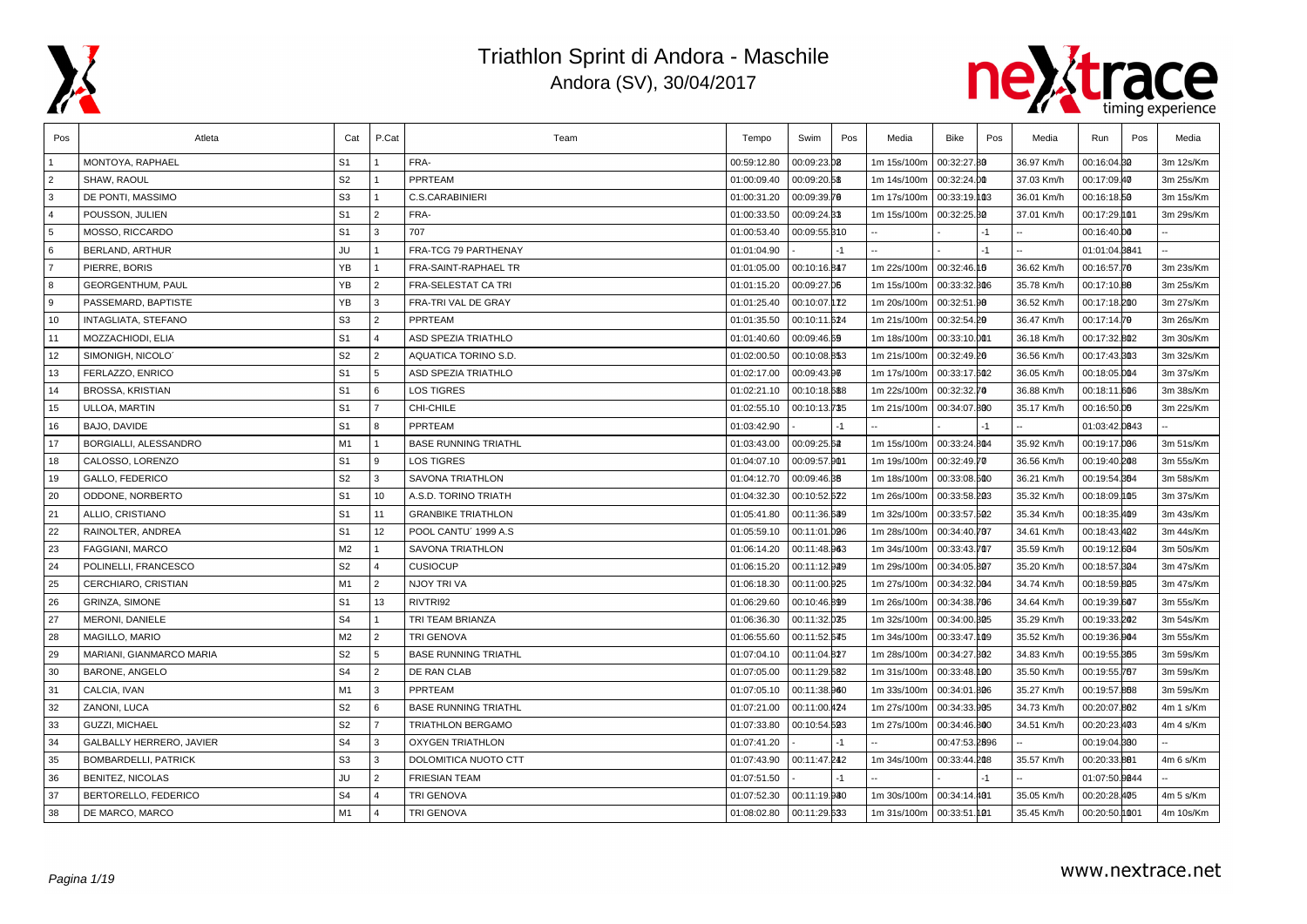



| Pos            | Atleta                      | Cat            | P.Cat                   | Team                        | Tempo       | Swim         | Pos  | Media       | <b>Bike</b>   | Pos  | Media      | Run           | Pos | Media     |
|----------------|-----------------------------|----------------|-------------------------|-----------------------------|-------------|--------------|------|-------------|---------------|------|------------|---------------|-----|-----------|
|                | MONTOYA, RAPHAEL            | S <sub>1</sub> |                         | FRA-                        | 00:59:12.80 | 00:09:23.08  |      | 1m 15s/100m | 00:32:27.80   |      | 36.97 Km/h | 00:16:04.80   |     | 3m 12s/Km |
| $\overline{2}$ | SHAW, RAOUL                 | S <sub>2</sub> |                         | PPRTEAM                     | 01:00:09.40 | 00:09:20.58  |      | 1m 14s/100m | 00:32:24.00   |      | 37.03 Km/h | 00:17:09.40   |     | 3m 25s/Km |
| 3              | DE PONTI, MASSIMO           | S <sub>3</sub> |                         | <b>C.S.CARABINIERI</b>      | 01:00:31.20 | 00:09:39.70  |      | 1m 17s/100m | 00:33:19.103  |      | 36.01 Km/h | 00:16:18.50   |     | 3m 15s/Km |
| $\overline{4}$ | POUSSON, JULIEN             | S <sub>1</sub> | $\overline{2}$          | FRA-                        | 01:00:33.50 | 00:09:24.33  |      | 1m 15s/100m | 00:32:25.30   |      | 37.01 Km/h | 00:17:29.101  |     | 3m 29s/Km |
| 5              | MOSSO, RICCARDO             | S <sub>1</sub> | 3                       | 707                         | 01:00:53.40 | 00:09:55.310 |      |             |               |      |            | 00:16:40.00   |     |           |
| 6              | <b>BERLAND, ARTHUR</b>      | JU             | $\mathbf{1}$            | FRA-TCG 79 PARTHENAY        | 01:01:04.90 |              | $-1$ |             |               | $-1$ |            | 01:01:04.8641 |     |           |
| $\overline{7}$ | PIERRE, BORIS               | YB             | $\mathbf{1}$            | FRA-SAINT-RAPHAEL TR        | 01:01:05.00 | 00:10:16.847 |      | 1m 22s/100m | 00:32:46.16   |      | 36.62 Km/h | 00:16:57.70   |     | 3m 23s/Km |
| 8              | <b>GEORGENTHUM, PAUL</b>    | YB             | $\overline{2}$          | <b>FRA-SELESTAT CA TRI</b>  | 01:01:15.20 | 00:09:27.06  |      | 1m 15s/100m | 00:33:32.306  |      | 35.78 Km/h | 00:17:10.80   |     | 3m 25s/Km |
| <b>g</b>       | PASSEMARD, BAPTISTE         | YB             | 3                       | FRA-TRI VAL DE GRAY         | 01:01:25.40 | 00:10:07.172 |      | 1m 20s/100m | 00:32:51.98   |      | 36.52 Km/h | 00:17:18.200  |     | 3m 27s/Km |
| 10             | INTAGLIATA, STEFANO         | S <sub>3</sub> | 2                       | PPRTEAM                     | 01:01:35.50 | 00:10:11.624 |      | 1m 21s/100m | 00:32:54.20   |      | 36.47 Km/h | 00:17:14.79   |     | 3m 26s/Km |
| 11             | MOZZACHIODI, ELIA           | S <sub>1</sub> | $\overline{4}$          | <b>ASD SPEZIA TRIATHLO</b>  | 01:01:40.60 | 00:09:46.69  |      | 1m 18s/100m | 00:33:10.001  |      | 36.18 Km/h | 00:17:32.802  |     | 3m 30s/Km |
| 12             | SIMONIGH, NICOLO            | S <sub>2</sub> | 2                       | AQUATICA TORINO S.D.        | 01:02:00.50 | 00:10:08.853 |      | 1m 21s/100m | 00:32:49.26   |      | 36.56 Km/h | 00:17:43.803  |     | 3m 32s/Km |
| 13             | FERLAZZO, ENRICO            | S <sub>1</sub> | 5                       | <b>ASD SPEZIA TRIATHLO</b>  | 01:02:17.00 | 00:09:43.96  |      | 1m 17s/100m | 00:33:17.602  |      | 36.05 Km/h | 00:18:05.004  |     | 3m 37s/Km |
| 14             | <b>BROSSA, KRISTIAN</b>     | S <sub>1</sub> | 6                       | <b>LOS TIGRES</b>           | 01:02:21.10 | 00:10:18.688 |      | 1m 22s/100m | 00:32:32.70   |      | 36.88 Km/h | 00:18:11.606  |     | 3m 38s/Km |
| 15             | ULLOA, MARTIN               | S <sub>1</sub> | $\overline{7}$          | CHI-CHILE                   | 01:02:55.10 | 00:10:13.735 |      | 1m 21s/100m | 00:34:07.800  |      | 35.17 Km/h | 00:16:50.06   |     | 3m 22s/Km |
| 16             | BAJO, DAVIDE                | S <sub>1</sub> | 8                       | PPRTEAM                     | 01:03:42.90 |              | $-1$ |             |               | -1   |            | 01:03:42.0843 |     |           |
| 17             | BORGIALLI, ALESSANDRO       | M <sub>1</sub> | $\overline{1}$          | <b>BASE RUNNING TRIATHL</b> | 01:03:43.00 | 00:09:25.62  |      | 1m 15s/100m | 00:33:24.804  |      | 35.92 Km/h | 00:19:17.006  |     | 3m 51s/Km |
| 18             | CALOSSO, LORENZO            | S <sub>1</sub> | 9                       | <b>LOS TIGRES</b>           | 01:04:07.10 | 00:09:57.901 |      | 1m 19s/100m | 00:32:49.70   |      | 36.56 Km/h | 00:19:40.208  |     | 3m 55s/Km |
| 19             | GALLO, FEDERICO             | S <sub>2</sub> | 3                       | <b>SAVONA TRIATHLON</b>     | 01:04:12.70 | 00:09:46.38  |      | 1m 18s/100m | 00:33:08.500  |      | 36.21 Km/h | 00:19:54.864  |     | 3m 58s/Km |
| 20             | ODDONE, NORBERTO            | S <sub>1</sub> | 10                      | A.S.D. TORINO TRIATH        | 01:04:32.30 | 00:10:52.622 |      | 1m 26s/100m | 00:33:58.203  |      | 35.32 Km/h | 00:18:09.105  |     | 3m 37s/Km |
| 21             | ALLIO, CRISTIANO            | S <sub>1</sub> | 11                      | <b>GRANBIKE TRIATHLON</b>   | 01:05:41.80 | 00:11:36.639 |      | 1m 32s/100m | 00:33:57.502  |      | 35.34 Km/h | 00:18:35.409  |     | 3m 43s/Km |
| 22             | RAINOLTER, ANDREA           | S <sub>1</sub> | 12                      | POOL CANTU' 1999 A.S        | 01:05:59.10 | 00:11:01.096 |      | 1m 28s/100m | 00:34:40.707  |      | 34.61 Km/h | 00:18:43.402  |     | 3m 44s/Km |
| 23             | FAGGIANI, MARCO             | M <sub>2</sub> | $\overline{1}$          | SAVONA TRIATHLON            | 01:06:14.20 | 00:11:48.963 |      | 1m 34s/100m | 00:33:43.707  |      | 35.59 Km/h | 00:19:12.604  |     | 3m 50s/Km |
| 24             | POLINELLI, FRANCESCO        | S <sub>2</sub> | $\overline{4}$          | <b>CUSIOCUP</b>             | 01:06:15.20 | 00:11:12.929 |      | 1m 29s/100m | 00:34:05.807  |      | 35.20 Km/h | 00:18:57.804  |     | 3m 47s/Km |
| 25             | CERCHIARO, CRISTIAN         | M1             | $\overline{2}$          | NJOY TRI VA                 | 01:06:18.30 | 00:11:00.925 |      | 1m 27s/100m | 00:34:32.004  |      | 34.74 Km/h | 00:18:59.805  |     | 3m 47s/Km |
| 26             | <b>GRINZA, SIMONE</b>       | S <sub>1</sub> | 13                      | RIVTRI92                    | 01:06:29.60 | 00:10:46.899 |      | 1m 26s/100m | 00:34:38.706  |      | 34.64 Km/h | 00:19:39.607  |     | 3m 55s/Km |
| 27             | MERONI, DANIELE             | S <sub>4</sub> |                         | TRI TEAM BRIANZA            | 01:06:36.30 | 00:11:32.035 |      | 1m 32s/100m | 00:34:00.305  |      | 35.29 Km/h | 00:19:33.202  |     | 3m 54s/Km |
| 28             | MAGILLO, MARIO              | M2             | $\overline{2}$          | <b>TRI GENOVA</b>           | 01:06:55.60 | 00:11:52.645 |      | 1m 34s/100m | 00:33:47.109  |      | 35.52 Km/h | 00:19:36.904  |     | 3m 55s/Km |
| 29             | MARIANI, GIANMARCO MARIA    | S <sub>2</sub> | 5                       | <b>BASE RUNNING TRIATHL</b> | 01:07:04.10 | 00:11:04.827 |      | 1m 28s/100m | 00:34:27.302  |      | 34.83 Km/h | 00:19:55.365  |     | 3m 59s/Km |
| 30             | <b>BARONE, ANGELO</b>       | S <sub>4</sub> | $\overline{2}$          | DE RAN CLAB                 | 01:07:05.00 | 00:11:29.582 |      | 1m 31s/100m | 00:33:48.100  |      | 35.50 Km/h | 00:19:55.767  |     | 3m 59s/Km |
| 31             | CALCIA, IVAN                | M1             | 3                       | <b>PPRTEAM</b>              | 01:07:05.10 | 00:11:38.960 |      | 1m 33s/100m | 00:34:01.806  |      | 35.27 Km/h | 00:19:57.868  |     | 3m 59s/Km |
| 32             | ZANONI, LUCA                | S <sub>2</sub> | 6                       | <b>BASE RUNNING TRIATHL</b> | 01:07:21.00 | 00:11:00.424 |      | 1m 27s/100m | 00:34:33.905  |      | 34.73 Km/h | 00:20:07.862  |     | 4m 1 s/Km |
| 33             | GUZZI, MICHAEL              | S <sub>2</sub> | $\overline{7}$          | <b>TRIATHLON BERGAMO</b>    | 01:07:33.80 | 00:10:54.593 |      | 1m 27s/100m | 00:34:46.800  |      | 34.51 Km/h | 00:20:23.403  |     | 4m 4 s/Km |
| 34             | GALBALLY HERRERO, JAVIER    | S <sub>4</sub> | 3                       | <b>OXYGEN TRIATHLON</b>     | 01:07:41.20 |              | $-1$ |             | 00:47:53.2896 |      |            | 00:19:04.800  |     |           |
| 35             | <b>BOMBARDELLI, PATRICK</b> | S <sub>3</sub> | l 3                     | DOLOMITICA NUOTO CTT        | 01:07:43.90 | 00:11:47.242 |      | 1m 34s/100m | 00:33:44.208  |      | 35.57 Km/h | 00:20:33.881  |     | 4m 6 s/Km |
| 36             | <b>BENITEZ, NICOLAS</b>     | JU             | 2                       | <b>FRIESIAN TEAM</b>        | 01:07:51.50 |              | -1   |             |               |      |            | 01:07:50.0044 |     |           |
| 37             | BERTORELLO, FEDERICO        | S <sub>4</sub> | $\overline{\mathbf{4}}$ | TRI GENOVA                  | 01:07:52.30 | 00:11:19.930 |      | 1m 30s/100m | 00:34:14.401  |      | 35.05 Km/h | 00:20:28.405  |     | 4m 5 s/Km |
| 38             | DE MARCO, MARCO             | M1             | $\overline{4}$          | <b>TRI GENOVA</b>           | 01:08:02.80 | 00:11:29.633 |      | 1m 31s/100m | 00:33:51.101  |      | 35.45 Km/h | 00:20:50.0001 |     | 4m 10s/Km |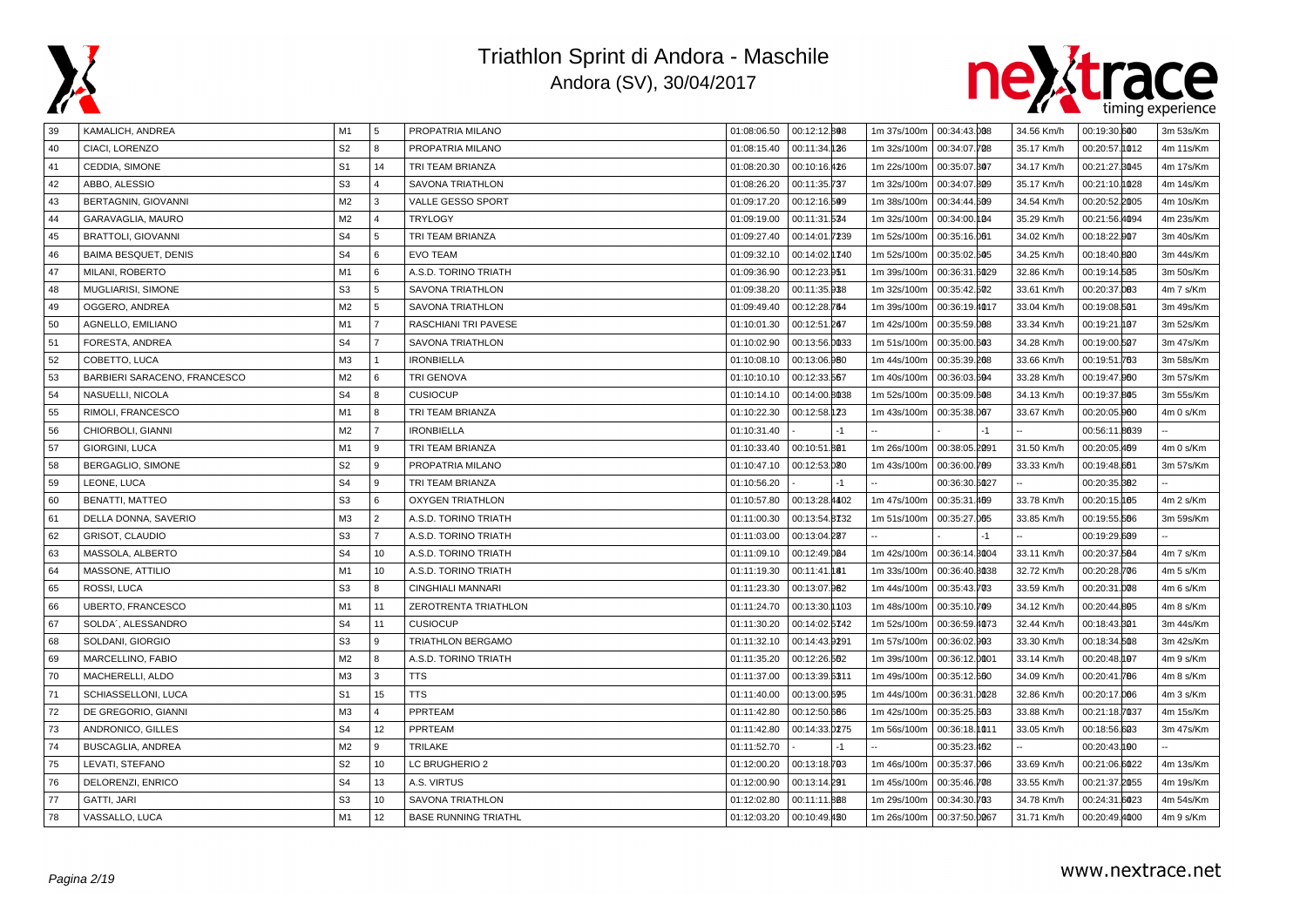



| 39 | KAMALICH, ANDREA             | M1             | 5              | PROPATRIA MILANO            | 01:08:06.50 | 00:12:12.808  | 1m 37s/100m 00:34:43.008 |               |      | 34.56 Km/h | 00:19:30.600  | 3m 53s/Km      |
|----|------------------------------|----------------|----------------|-----------------------------|-------------|---------------|--------------------------|---------------|------|------------|---------------|----------------|
| 40 | CIACI, LORENZO               | S <sub>2</sub> | $\mathsf{R}$   | PROPATRIA MILANO            | 01:08:15.40 | 00:11:34.136  | 1m 32s/100m              | 00:34:07.708  |      | 35.17 Km/h | 00:20:57.1012 | 4m 11s/Km      |
| 41 | CEDDIA, SIMONE               | S <sub>1</sub> | 14             | TRI TEAM BRIANZA            | 01:08:20.30 | 00:10:16.426  | 1m 22s/100m              | 00:35:07.307  |      | 34.17 Km/h | 00:21:27.8045 | 4m 17s/Km      |
| 42 | ABBO, ALESSIO                | S <sub>3</sub> | $\overline{4}$ | <b>SAVONA TRIATHLON</b>     | 01:08:26.20 | 00:11:35.737  | 1m 32s/100m              | 00:34:07.809  |      | 35.17 Km/h | 00:21:10.0028 | 4m 14s/Km      |
| 43 | BERTAGNIN, GIOVANNI          | M <sub>2</sub> | 3              | VALLE GESSO SPORT           | 01:09:17.20 | 00:12:16.509  | 1m 38s/100m              | 00:34:44.509  |      | 34.54 Km/h | 00:20:52.2005 | 4m 10s/Km      |
| 44 | GARAVAGLIA, MAURO            | M <sub>2</sub> | $\overline{a}$ | <b>TRYLOGY</b>              | 01:09:19.00 | 00:11:31.534  | 1m 32s/100m              | 00:34:00.104  |      | 35.29 Km/h | 00:21:56.4094 | 4m 23s/Km      |
| 45 | <b>BRATTOLI, GIOVANNI</b>    | S <sub>4</sub> | 5              | TRI TEAM BRIANZA            | 01:09:27.40 | 00:14:01.7239 | 1m 52s/100m              | 00:35:16.001  |      | 34.02 Km/h | 00:18:22.007  | 3m 40s/Km      |
| 46 | <b>BAIMA BESQUET, DENIS</b>  | S <sub>4</sub> | 6              | <b>EVO TEAM</b>             | 01:09:32.10 | 00:14:02.1740 | 1m 52s/100m              | 00:35:02.505  |      | 34.25 Km/h | 00:18:40.800  | 3m 44s/Km      |
| 47 | MILANI, ROBERTO              | M1             | 6              | A.S.D. TORINO TRIATH        | 01:09:36.90 | 00:12:23.951  | 1m 39s/100m              | 00:36:31.6029 |      | 32.86 Km/h | 00:19:14.505  | 3m 50s/Km      |
| 48 | <b>MUGLIARISI, SIMONE</b>    | S <sub>3</sub> | 5              | <b>SAVONA TRIATHLON</b>     | 01:09:38.20 | 00:11:35.938  | 1m 32s/100m              | 00:35:42.502  |      | 33.61 Km/h | 00:20:37.003  | 4m 7 s/Km      |
| 49 | OGGERO, ANDREA               | M <sub>2</sub> | 5              | <b>SAVONA TRIATHLON</b>     | 01:09:49.40 | 00:12:28.764  | 1m 39s/100m              | 00:36:19.4017 |      | 33.04 Km/h | 00:19:08.501  | 3m 49s/Km      |
| 50 | AGNELLO, EMILIANO            | M1             | $\overline{7}$ | RASCHIANI TRI PAVESE        | 01:10:01.30 | 00:12:51.267  | 1m 42s/100m              | 00:35:59.008  |      | 33.34 Km/h | 00:19:21.07   | 3m 52s/Km      |
| 51 | FORESTA, ANDREA              | S <sub>4</sub> |                | <b>SAVONA TRIATHLON</b>     | 01:10:02.90 | 00:13:56.0033 | 1m 51s/100m              | 00:35:00.603  |      | 34.28 Km/h | 00:19:00.507  | 3m 47s/Km      |
| 52 | COBETTO, LUCA                | M <sub>3</sub> |                | <b>IRONBIELLA</b>           | 01:10:08.10 | 00:13:06.980  | 1m 44s/100m              | 00:35:39.208  |      | 33.66 Km/h | 00:19:51.763  | 3m 58s/Km      |
| 53 | BARBIERI SARACENO, FRANCESCO | M <sub>2</sub> | 6              | TRI GENOVA                  | 01:10:10.10 | 00:12:33.567  | 1m 40s/100m              | 00:36:03.604  |      | 33.28 Km/h | 00:19:47.000  | 3m 57s/Km      |
| 54 | NASUELLI, NICOLA             | S <sub>4</sub> | 8              | <b>CUSIOCUP</b>             | 01:10:14.10 | 00:14:00.8038 | 1m 52s/100m              | 00:35:09.608  |      | 34.13 Km/h | 00:19:37.805  | 3m 55s/Km      |
| 55 | RIMOLI, FRANCESCO            | M1             | 8              | TRI TEAM BRIANZA            | 01:10:22.30 | 00:12:58.123  | 1m 43s/100m              | 00:35:38.007  |      | 33.67 Km/h | 00:20:05.000  | 4m 0 s/Km      |
| 56 | CHIORBOLI, GIANNI            | M <sub>2</sub> |                | <b>IRONBIELLA</b>           | 01:10:31.40 | $-1$          |                          |               | $-1$ |            | 00:56:11.8039 |                |
| 57 | GIORGINI, LUCA               | M1             | 9              | TRI TEAM BRIANZA            | 01:10:33.40 | 00:10:51.801  | 1m 26s/100m              | 00:38:05.2091 |      | 31.50 Km/h | 00:20:05.469  | 4m 0 s/Km      |
| 58 | BERGAGLIO, SIMONE            | S <sub>2</sub> | 9              | PROPATRIA MILANO            | 01:10:47.10 | 00:12:53.080  | 1m 43s/100m              | 00:36:00.789  |      | 33.33 Km/h | 00:19:48.661  | 3m 57s/Km      |
| 59 | LEONE, LUCA                  | S <sub>4</sub> | 9              | TRI TEAM BRIANZA            | 01:10:56.20 | $-1$          |                          | 00:36:30.5027 |      |            | 00:20:35.882  |                |
| 60 | <b>BENATTI, MATTEO</b>       | S <sub>3</sub> | 6              | <b>OXYGEN TRIATHLON</b>     | 01:10:57.80 | 00:13:28.4402 | 1m 47s/100m              | 00:35:31.469  |      | 33.78 Km/h | 00:20:15.105  | $4m$ 2 s/ $Km$ |
| 61 | DELLA DONNA, SAVERIO         | M3             | 2              | A.S.D. TORINO TRIATH        | 01:11:00.30 | 00:13:54.8732 | 1m 51s/100m              | 00:35:27.005  |      | 33.85 Km/h | 00:19:55.666  | 3m 59s/Km      |
| 62 | GRISOT, CLAUDIO              | S <sub>3</sub> | $\overline{7}$ | A.S.D. TORINO TRIATH        | 01:11:03.00 | 00:13:04.287  |                          |               | $-1$ |            | 00:19:29.609  |                |
| 63 | MASSOLA, ALBERTO             | S <sub>4</sub> | 10             | A.S.D. TORINO TRIATH        | 01:11:09.10 | 00:12:49.004  | 1m 42s/100m              | 00:36:14.3004 |      | 33.11 Km/h | 00:20:37.584  | 4m 7 s/Km      |
| 64 | MASSONE, ATTILIO             | M1             | 10             | A.S.D. TORINO TRIATH        | 01:11:19.30 | 00:11:41.181  | 1m 33s/100m              | 00:36:40.8038 |      | 32.72 Km/h | 00:20:28.706  | 4m 5 s/Km      |
| 65 | ROSSI, LUCA                  | S <sub>3</sub> | 8              | CINGHIALI MANNARI           | 01:11:23.30 | 00:13:07.962  | 1m 44s/100m              | 00:35:43.703  |      | 33.59 Km/h | 00:20:31.008  | 4m 6 s/Km      |
| 66 | <b>UBERTO, FRANCESCO</b>     | M1             | 11             | ZEROTRENTA TRIATHLON        | 01:11:24.70 | 00:13:30.1103 | 1m 48s/100m              | 00:35:10.709  |      | 34.12 Km/h | 00:20:44.805  | 4m 8 s/Km      |
| 67 | SOLDA', ALESSANDRO           | S <sub>4</sub> | 11             | <b>CUSIOCUP</b>             | 01:11:30.20 | 00:14:02.5742 | 1m 52s/100m              | 00:36:59.4073 |      | 32.44 Km/h | 00:18:43.801  | 3m 44s/Km      |
| 68 | SOLDANI, GIORGIO             | S <sub>3</sub> | 9              | TRIATHLON BERGAMO           | 01:11:32.10 | 00:14:43.9291 | 1m 57s/100m              | 00:36:02.993  |      | 33.30 Km/h | 00:18:34.508  | 3m 42s/Km      |
| 69 | MARCELLINO, FABIO            | M <sub>2</sub> | 8              | A.S.D. TORINO TRIATH        | 01:11:35.20 | 00:12:26.562  | 1m 39s/100m              | 00:36:12.0001 |      | 33.14 Km/h | 00:20:48.197  | 4m 9 s/Km      |
| 70 | MACHERELLI, ALDO             | M <sub>3</sub> | 3              | <b>TTS</b>                  | 01:11:37.00 | 00:13:39.6311 | 1m 49s/100m              | 00:35:12.660  |      | 34.09 Km/h | 00:20:41.786  | 4m 8 s/Km      |
| 71 | SCHIASSELLONI, LUCA          | S <sub>1</sub> | 15             | <b>TTS</b>                  | 01:11:40.00 | 00:13:00.695  | 1m 44s/100m              | 00:36:31.0028 |      | 32.86 Km/h | 00:20:17.006  | 4m 3 s/Km      |
| 72 | DE GREGORIO, GIANNI          | M <sub>3</sub> | $\overline{4}$ | PPRTEAM                     | 01:11:42.80 | 00:12:50.666  | 1m 42s/100m              | 00:35:25.563  |      | 33.88 Km/h | 00:21:18.7037 | 4m 15s/Km      |
| 73 | ANDRONICO, GILLES            | S <sub>4</sub> | 12             | PPRTEAM                     | 01:11:42.80 | 00:14:33.0275 | 1m 56s/100m              | 00:36:18.1011 |      | 33.05 Km/h | 00:18:56.603  | 3m 47s/Km      |
| 74 | <b>BUSCAGLIA, ANDREA</b>     | M <sub>2</sub> | 9              | <b>TRILAKE</b>              | 01:11:52.70 | $-1$          |                          | 00:35:23.462  |      |            | 00:20:43.190  |                |
| 75 | LEVATI, STEFANO              | S <sub>2</sub> | 10             | LC BRUGHERIO 2              | 01:12:00.20 | 00:13:18.793  | 1m 46s/100m              | 00:35:37.006  |      | 33.69 Km/h | 00:21:06.6022 | 4m 13s/Km      |
| 76 | DELORENZI, ENRICO            | S <sub>4</sub> | 13             | A.S. VIRTUS                 | 01:12:00.90 | 00:13:14.291  | 1m 45s/100m              | 00:35:46.708  |      | 33.55 Km/h | 00:21:37.2055 | 4m 19s/Km      |
| 77 | GATTI, JARI                  | S <sub>3</sub> | 10             | <b>SAVONA TRIATHLON</b>     | 01:12:02.80 | 00:11:11.808  | 1m 29s/100m              | 00:34:30.703  |      | 34.78 Km/h | 00:24:31.6023 | 4m 54s/Km      |
| 78 | VASSALLO, LUCA               | M1             | 12             | <b>BASE RUNNING TRIATHL</b> | 01:12:03.20 | 00:10:49.480  | 1m 26s/100m              | 00:37:50.0067 |      | 31.71 Km/h | 00:20:49.4000 | 4m 9 s/Km      |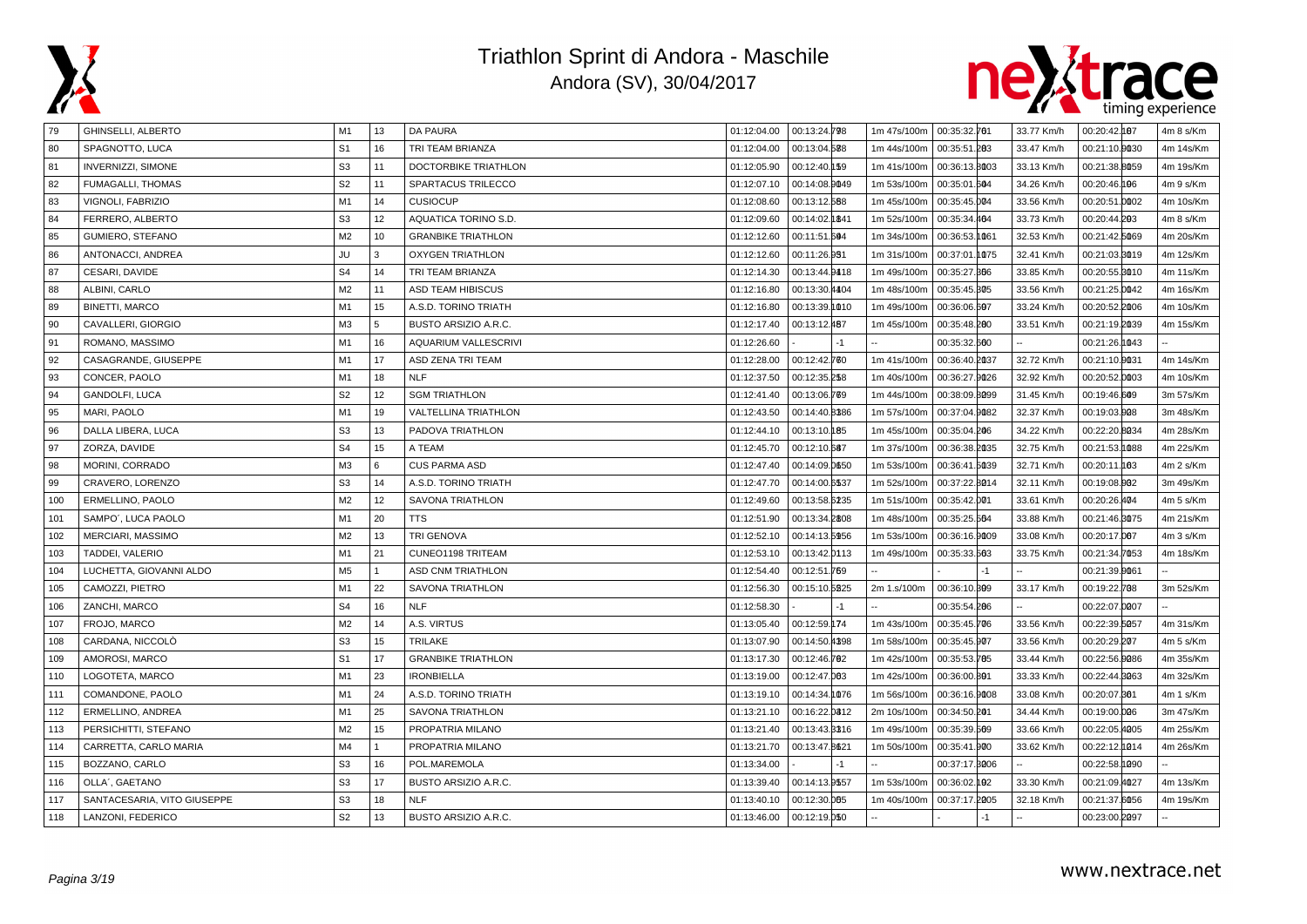



| 79  | <b>GHINSELLI, ALBERTO</b>   | M1             | 13             | <b>DA PAURA</b>             | 01:12:04.00 | 00:13:24.798  | 1m 47s/100m | 00:35:32.701  |      | 33.77 Km/h | 00:20:42.187    | 4m 8 s/Km            |
|-----|-----------------------------|----------------|----------------|-----------------------------|-------------|---------------|-------------|---------------|------|------------|-----------------|----------------------|
| 80  | SPAGNOTTO, LUCA             | S <sub>1</sub> | 16             | TRI TEAM BRIANZA            | 01:12:04.00 | 00:13:04.588  | 1m 44s/100m | 00:35:51.283  |      | 33.47 Km/h | 00:21:10.0030   | 4m 14s/Km            |
| 81  | <b>INVERNIZZI, SIMONE</b>   | S <sub>3</sub> | 11             | DOCTORBIKE TRIATHLON        | 01:12:05.90 | 00:12:40.159  | 1m 41s/100m | 00:36:13.8003 |      | 33.13 Km/h | 00:21:38.8059   | 4m 19s/Km            |
| 82  | FUMAGALLI, THOMAS           | S <sub>2</sub> | 11             | SPARTACUS TRILECCO          | 01:12:07.10 | 00:14:08.9049 | 1m 53s/100m | 00:35:01.604  |      | 34.26 Km/h | 00:20:46.196    | 4m 9 s/Km            |
| 83  | VIGNOLI, FABRIZIO           | M <sub>1</sub> | 14             | <b>CUSIOCUP</b>             | 01:12:08.60 | 00:13:12.588  | 1m 45s/100m | 00:35:45.004  |      | 33.56 Km/h | 00:20:51.0002   | 4m 10s/Km            |
| 84  | FERRERO, ALBERTO            | S <sub>3</sub> | 12             | AQUATICA TORINO S.D.        | 01:12:09.60 | 00:14:02.1841 | 1m 52s/100m | 00:35:34.464  |      | 33.73 Km/h | 00:20:44.203    | 4m 8 s/Km            |
| 85  | <b>GUMIERO, STEFANO</b>     | M <sub>2</sub> | 10             | <b>GRANBIKE TRIATHLON</b>   | 01:12:12.60 | 00:11:51.604  | 1m 34s/100m | 00:36:53.1061 |      | 32.53 Km/h | 00:21:42.5069   | 4m 20s/Km            |
| 86  | ANTONACCI, ANDREA           | JU             | l 3            | <b>OXYGEN TRIATHLON</b>     | 01:12:12.60 | 00:11:26.951  | 1m 31s/100m | 00:37:01.1075 |      | 32.41 Km/h | 00:21:03.3019   | 4m 12s/Km            |
| 87  | CESARI, DAVIDE              | S <sub>4</sub> | 14             | TRI TEAM BRIANZA            | 01:12:14.30 | 00:13:44.9418 | 1m 49s/100m | 00:35:27.366  |      | 33.85 Km/h | 00:20:55.3010   | 4m 11s/Km            |
| 88  | ALBINI, CARLO               | M2             | 11             | ASD TEAM HIBISCUS           | 01:12:16.80 | 00:13:30.4404 | 1m 48s/100m | 00:35:45.305  |      | 33.56 Km/h | 00:21:25.0042   | 4m 16s/Km            |
| 89  | BINETTI, MARCO              | M1             | 15             | A.S.D. TORINO TRIATH        | 01:12:16.80 | 00:13:39.1010 | 1m 49s/100m | 00:36:06.607  |      | 33.24 Km/h | 00:20:52.2006   | 4m 10s/Km            |
| 90  | CAVALLERI, GIORGIO          | M3             | 5              | <b>BUSTO ARSIZIO A.R.C.</b> | 01:12:17.40 | 00:13:12.487  | 1m 45s/100m | 00:35:48.200  |      | 33.51 Km/h | 00:21:19.2039   | 4m 15s/Km            |
| 91  | ROMANO, MASSIMO             | M <sub>1</sub> | 16             | AQUARIUM VALLESCRIVI        | 01:12:26.60 |               |             | 00:35:32.600  |      |            | 00:21:26.1043   |                      |
| 92  | CASAGRANDE, GIUSEPPE        | M <sub>1</sub> | 17             | ASD ZENA TRI TEAM           | 01:12:28.00 | 00:12:42.760  | 1m 41s/100m | 00:36:40.2037 |      | 32.72 Km/h | 00:21:10.0031   | 4m 14s/Km            |
| 93  | CONCER, PAOLO               | M <sub>1</sub> | 18             | <b>NLF</b>                  | 01:12:37.50 | 00:12:35.258  | 1m 40s/100m | 00:36:27.9026 |      | 32.92 Km/h | 00:20:52.0003   | 4m 10s/Km            |
| 94  | <b>GANDOLFI, LUCA</b>       | S <sub>2</sub> | 12             | <b>SGM TRIATHLON</b>        | 01:12:41.40 | 00:13:06.789  | 1m 44s/100m | 00:38:09.8099 |      | 31.45 Km/h | 00:19:46.609    | 3m 57s/Km            |
| 95  | MARI, PAOLO                 | M <sub>1</sub> | 19             | VALTELLINA TRIATHLON        | 01:12:43.50 | 00:14:40.8386 | 1m 57s/100m | 00:37:04.9082 |      | 32.37 Km/h | 00:19:03.908    | 3m 48s/Km            |
| 96  | DALLA LIBERA, LUCA          | S <sub>3</sub> | 13             | PADOVA TRIATHLON            | 01:12:44.10 | 00:13:10.185  | 1m 45s/100m | 00:35:04.206  |      | 34.22 Km/h | 00:22:20.8034   | 4m 28s/Km            |
| 97  | ZORZA, DAVIDE               | S <sub>4</sub> | 15             | A TEAM                      | 01:12:45.70 | 00:12:10.687  | 1m 37s/100m | 00:36:38.2035 |      | 32.75 Km/h | 00:21:53.1088   | 4m 22s/Km            |
| 98  | MORINI, CORRADO             | M <sub>3</sub> | 6              | <b>CUS PARMA ASD</b>        | 01:12:47.40 | 00:14:09.0650 | 1m 53s/100m | 00:36:41.5039 |      | 32.71 Km/h | 00:20:11<br>⊧өз | 4m 2 s/Km            |
| 99  | CRAVERO, LORENZO            | S <sub>3</sub> | 14             | A.S.D. TORINO TRIATH        | 01:12:47.70 | 00:14:00.6537 | 1m 52s/100m | 00:37:22.8014 |      | 32.11 Km/h | 00:19:08.002    | 3m 49s/Km            |
| 100 | ERMELLINO, PAOLO            | M <sub>2</sub> | 12             | SAVONA TRIATHLON            | 01:12:49.60 | 00:13:58.6235 | 1m 51s/100m | 00:35:42.001  |      | 33.61 Km/h | 00:20:26.404    | 4m 5 s/Km            |
| 101 | SAMPO', LUCA PAOLO          | M1             | 20             | <b>TTS</b>                  | 01:12:51.90 | 00:13:34.2808 | 1m 48s/100m | 00:35:25.564  |      | 33.88 Km/h | 00:21:46.8075   | 4m 21s/Km            |
| 102 | MERCIARI, MASSIMO           | M <sub>2</sub> | 13             | <b>TRI GENOVA</b>           | 01:12:52.10 | 00:14:13.5956 | 1m 53s/100m | 00:36:16.9009 |      | 33.08 Km/h | 00:20:17.007    | 4m <sub>3</sub> s/Km |
| 103 | TADDEI, VALERIO             | M <sub>1</sub> | 21             | CUNEO1198 TRITEAM           | 01:12:53.10 | 00:13:42.0113 | 1m 49s/100m | 00:35:33.563  |      | 33.75 Km/h | 00:21:34.7053   | 4m 18s/Km            |
| 104 | LUCHETTA, GIOVANNI ALDO     | M <sub>5</sub> | $\vert$ 1      | ASD CNM TRIATHLON           | 01:12:54.40 | 00:12:51.769  |             |               | $-1$ |            | 00:21:39.0061   |                      |
| 105 | CAMOZZI, PIETRO             | M <sub>1</sub> | 22             | SAVONA TRIATHLON            | 01:12:56.30 | 00:15:10.5225 | 2m 1.s/100m | 00:36:10.399  |      | 33.17 Km/h | 00:19:22.708    | 3m 52s/Km            |
| 106 | ZANCHI, MARCO               | S <sub>4</sub> | 16             | <b>NLF</b>                  | 01:12:58.30 |               |             | 00:35:54.206  |      |            | 00:22:07.0007   |                      |
| 107 | FROJO, MARCO                | M <sub>2</sub> | 14             | A.S. VIRTUS                 | 01:13:05.40 | 00:12:59.174  | 1m 43s/100m | 00:35:45.706  |      | 33.56 Km/h | 00:22:39.5057   | 4m 31s/Km            |
| 108 | CARDANA, NICCOLÒ            | S <sub>3</sub> | 15             | <b>TRILAKE</b>              | 01:13:07.90 | 00:14:50.4398 | 1m 58s/100m | 00:35:45.907  |      | 33.56 Km/h | 00:20:29.207    | 4m 5 s/Km            |
| 109 | AMOROSI, MARCO              | S <sub>1</sub> | 17             | <b>GRANBIKE TRIATHLON</b>   | 01:13:17.30 | 00:12:46.702  | 1m 42s/100m | 00:35:53.785  |      | 33.44 Km/h | 00:22:56.9086   | 4m 35s/Km            |
| 110 | LOGOTETA, MARCO             | M1             | 23             | <b>IRONBIELLA</b>           | 01:13:19.00 | 00:12:47.003  | 1m 42s/100m | 00:36:00.801  |      | 33.33 Km/h | 00:22:44.8063   | 4m 32s/Km            |
| 111 | COMANDONE, PAOLO            | M <sub>1</sub> | 24             | A.S.D. TORINO TRIATH        | 01:13:19.10 | 00:14:34.1076 | 1m 56s/100m | 00:36:16.9008 |      | 33.08 Km/h | 00:20:07.861    | 4m 1 s/Km            |
| 112 | ERMELLINO, ANDREA           | M <sub>1</sub> | 25             | SAVONA TRIATHLON            | 01:13:21.10 | 00:16:22.0812 | 2m 10s/100m | 00:34:50.201  |      | 34.44 Km/h | 00:19:00.006    | 3m 47s/Km            |
| 113 | PERSICHITTI, STEFANO        | M2             | 15             | PROPATRIA MILANO            | 01:13:21.40 | 00:13:43.3316 | 1m 49s/100m | 00:35:39.569  |      | 33.66 Km/h | 00:22:05.4005   | 4m 25s/Km            |
| 114 | CARRETTA, CARLO MARIA       | M4             | $\overline{1}$ | PROPATRIA MILANO            | 01:13:21.70 | 00:13:47.8621 | 1m 50s/100m | 00:35:41.900  |      | 33.62 Km/h | 00:22:12.0014   | 4m 26s/Km            |
| 115 | BOZZANO, CARLO              | S <sub>3</sub> | 16             | POL.MAREMOLA                | 01:13:34.00 |               |             | 00:37:17.8006 |      |            | 00:22:58.1990   |                      |
| 116 | OLLA', GAETANO              | S <sub>3</sub> | 17             | BUSTO ARSIZIO A.R.C.        | 01:13:39.40 | 00:14:13.9557 | 1m 53s/100m | 00:36:02.102  |      | 33.30 Km/h | 00:21:09.4027   | 4m 13s/Km            |
| 117 | SANTACESARIA, VITO GIUSEPPE | S <sub>3</sub> | 18             | <b>NLF</b>                  | 01:13:40.10 | 00:12:30.005  | 1m 40s/100m | 00:37:17.2005 |      | 32.18 Km/h | 00:21:37.6056   | 4m 19s/Km            |
| 118 | LANZONI, FEDERICO           | S <sub>2</sub> | 13             | <b>BUSTO ARSIZIO A.R.C.</b> | 01:13:46.00 | 00:12:19.050  |             |               | $-1$ |            | 00:23:00.0097   |                      |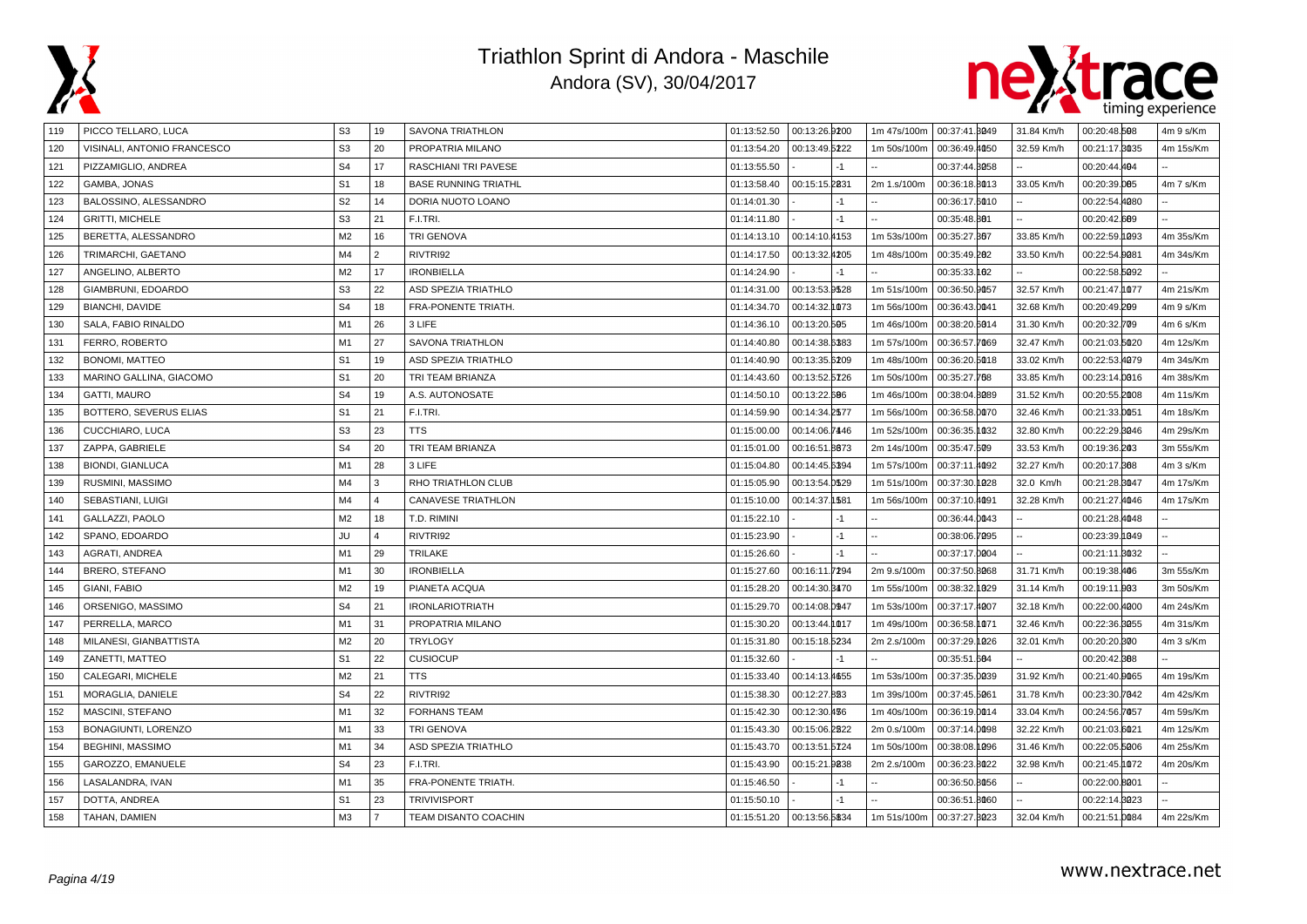



| 119 | PICCO TELLARO, LUCA         | S <sub>3</sub> | 19             | SAVONA TRIATHLON            | 01:13:52.50 | 00:13:26.9200              | 1m 47s/100m | 00:37:41.8049 | 31.84 Km/h | 00:20:48.508  | 4m 9 s/Km |
|-----|-----------------------------|----------------|----------------|-----------------------------|-------------|----------------------------|-------------|---------------|------------|---------------|-----------|
| 120 | VISINALI, ANTONIO FRANCESCO | S <sub>3</sub> | 20             | PROPATRIA MILANO            | 01:13:54.20 | 00:13:49.5222              | 1m 50s/100m | 00:36:49.4050 | 32.59 Km/h | 00:21:17.8035 | 4m 15s/Km |
| 121 | PIZZAMIGLIO, ANDREA         | S <sub>4</sub> | 17             | RASCHIANI TRI PAVESE        | 01:13:55.50 | $-1$                       |             | 00:37:44.8058 |            | 00:20:44.404  |           |
| 122 | GAMBA, JONAS                | S <sub>1</sub> | 18             | <b>BASE RUNNING TRIATHL</b> | 01:13:58.40 | 00:15:15.2831              | 2m 1.s/100m | 00:36:18.8013 | 33.05 Km/h | 00:20:39.005  | 4m 7 s/Km |
| 123 | BALOSSINO, ALESSANDRO       | S <sub>2</sub> | 14             | DORIA NUOTO LOANO           | 01:14:01.30 | -1                         |             | 00:36:17.6010 |            | 00:22:54.4080 |           |
| 124 | <b>GRITTI, MICHELE</b>      | S <sub>3</sub> | 21             | F.I.TRI.                    | 01:14:11.80 | $-1$                       |             | 00:35:48.801  |            | 00:20:42.609  |           |
| 125 | BERETTA, ALESSANDRO         | M <sub>2</sub> | 16             | <b>TRI GENOVA</b>           | 01:14:13.10 | 00:14:10.4153              | 1m 53s/100m | 00:35:27.867  | 33.85 Km/h | 00:22:59.1093 | 4m 35s/Km |
| 126 | TRIMARCHI, GAETANO          | M <sub>4</sub> | $\overline{2}$ | RIVTRI92                    | 01:14:17.50 | 00:13:32.4205              | 1m 48s/100m | 00:35:49.202  | 33.50 Km/h | 00:22:54.0081 | 4m 34s/Km |
| 127 | ANGELINO, ALBERTO           | M <sub>2</sub> | 17             | <b>IRONBIELLA</b>           | 01:14:24.90 |                            |             | 00:35:33.102  |            | 00:22:58.5092 |           |
| 128 | GIAMBRUNI, EDOARDO          | S <sub>3</sub> | 22             | <b>ASD SPEZIA TRIATHLO</b>  | 01:14:31.00 | 00:13:53.9528              | 1m 51s/100m | 00:36:50.9057 | 32.57 Km/h | 00:21:47.1077 | 4m 21s/Km |
| 129 | <b>BIANCHI, DAVIDE</b>      | S <sub>4</sub> | 18             | <b>FRA-PONENTE TRIATH</b>   | 01:14:34.70 | 00:14:32.1073              | 1m 56s/100m | 00:36:43.0041 | 32.68 Km/h | 00:20:49.209  | 4m 9 s/Km |
| 130 | SALA, FABIO RINALDO         | M1             | 26             | 3 LIFE                      | 01:14:36.10 | 00:13:20.505               | 1m 46s/100m | 00:38:20.6014 | 31.30 Km/h | 00:20:32.709  | 4m 6 s/Km |
| 131 | FERRO, ROBERTO              | M1             | 27             | SAVONA TRIATHLON            | 01:14:40.80 | 00:14:38.6383              | 1m 57s/100m | 00:36:57.7069 | 32.47 Km/h | 00:21:03.5020 | 4m 12s/Km |
| 132 | <b>BONOMI, MATTEO</b>       | S <sub>1</sub> | 19             | <b>ASD SPEZIA TRIATHLO</b>  | 01:14:40.90 | 00:13:35.6209              | 1m 48s/100m | 00:36:20.5018 | 33.02 Km/h | 00:22:53.4079 | 4m 34s/Km |
| 133 | MARINO GALLINA, GIACOMO     | S <sub>1</sub> | 20             | TRI TEAM BRIANZA            | 01:14:43.60 | 00:13:52.5726              | 1m 50s/100m | 00:35:27.768  | 33.85 Km/h | 00:23:14.0016 | 4m 38s/Km |
| 134 | <b>GATTI, MAURO</b>         | S <sub>4</sub> | 19             | A.S. AUTONOSATE             | 01:14:50.10 | 00:13:22.606               | 1m 46s/100m | 00:38:04.8089 | 31.52 Km/h | 00:20:55.2008 | 4m 11s/Km |
| 135 | BOTTERO, SEVERUS ELIAS      | S <sub>1</sub> | 21             | F.I.TRI.                    | 01:14:59.90 | 00:14:34.2577              | 1m 56s/100m | 00:36:58.0070 | 32.46 Km/h | 00:21:33.0051 | 4m 18s/Km |
| 136 | CUCCHIARO, LUCA             | S <sub>3</sub> | 23             | <b>TTS</b>                  | 01:15:00.00 | 00:14:06.7446              | 1m 52s/100m | 00:36:35.1032 | 32.80 Km/h | 00:22:29.3046 | 4m 29s/Km |
| 137 | ZAPPA, GABRIELE             | S <sub>4</sub> | 20             | TRI TEAM BRIANZA            | 01:15:01.00 | 00:16:51.8873              | 2m 14s/100m | 00:35:47.609  | 33.53 Km/h | 00:19:36.203  | 3m 55s/Km |
| 138 | <b>BIONDI, GIANLUCA</b>     | M1             | 28             | 3 LIFE                      | 01:15:04.80 | 00:14:45.6394              | 1m 57s/100m | 00:37:11.4092 | 32.27 Km/h | 00:20:17.808  | 4m 3 s/Km |
| 139 | RUSMINI, MASSIMO            | M4             | 3              | RHO TRIATHLON CLUB          | 01:15:05.90 | 00:13:54.0529              | 1m 51s/100m | 00:37:30.1028 | 32.0 Km/h  | 00:21:28.8047 | 4m 17s/Km |
| 140 | SEBASTIANI, LUIGI           | M4             | $\overline{4}$ | <b>CANAVESE TRIATHLON</b>   | 01:15:10.00 | 00:14:37.1581              | 1m 56s/100m | 00:37:10.4091 | 32.28 Km/h | 00:21:27.4046 | 4m 17s/Km |
| 141 | GALLAZZI, PAOLO             | M <sub>2</sub> | 18             | T.D. RIMINI                 | 01:15:22.10 | $-1$                       |             | 00:36:44.0043 |            | 00:21:28.4048 |           |
| 142 | SPANO, EDOARDO              | JU             | $\Delta$       | RIVTRI92                    | 01:15:23.90 | $-1$                       |             | 00:38:06.7095 |            | 00:23:39.1049 |           |
| 143 | AGRATI, ANDREA              | M1             | 29             | <b>TRILAKE</b>              | 01:15:26.60 |                            |             | 00:37:17.0004 |            | 00:21:11.3032 |           |
| 144 | BRERO, STEFANO              | M1             | 30             | <b>IRONBIELLA</b>           | 01:15:27.60 | 00:16:11.7294              | 2m 9.s/100m | 00:37:50.8068 | 31.71 Km/h | 00:19:38.406  | 3m 55s/Km |
| 145 | GIANI, FABIO                | M <sub>2</sub> | 19             | PIANETA ACQUA               | 01:15:28.20 | 00:14:30.8470              | 1m 55s/100m | 00:38:32.1029 | 31.14 Km/h | 00:19:11.003  | 3m 50s/Km |
| 146 | ORSENIGO, MASSIMO           | S <sub>4</sub> | 21             | <b>IRONLARIOTRIATH</b>      | 01:15:29.70 | 00:14:08.0947              | 1m 53s/100m | 00:37:17.4007 | 32.18 Km/h | 00:22:00.4000 | 4m 24s/Km |
| 147 | PERRELLA, MARCO             | M1             | 31             | PROPATRIA MILANO            | 01:15:30.20 | 00:13:44.1017              | 1m 49s/100m | 00:36:58.1071 | 32.46 Km/h | 00:22:36.3055 | 4m 31s/Km |
| 148 | MILANESI, GIANBATTISTA      | M <sub>2</sub> | 20             | <b>TRYLOGY</b>              | 01:15:31.80 | 00:15:18.5234              | 2m 2.s/100m | 00:37:29.1026 | 32.01 Km/h | 00:20:20.300  | 4m 3 s/Km |
| 149 | ZANETTI, MATTEO             | S <sub>1</sub> | 22             | <b>CUSIOCUP</b>             | 01:15:32.60 | $-1$                       |             | 00:35:51.604  |            | 00:20:42.888  |           |
| 150 | CALEGARI, MICHELE           | M <sub>2</sub> | 21             | <b>TTS</b>                  | 01:15:33.40 | 00:14:13.4655              | 1m 53s/100m | 00:37:35.0039 | 31.92 Km/h | 00:21:40.0065 | 4m 19s/Km |
| 151 | MORAGLIA, DANIELE           | S <sub>4</sub> | 22             | RIVTRI92                    | 01:15:38.30 | 00:12:27.823               | 1m 39s/100m | 00:37:45.5061 | 31.78 Km/h | 00:23:30.7042 | 4m 42s/Km |
| 152 | MASCINI, STEFANO            | M <sub>1</sub> | 32             | <b>FORHANS TEAM</b>         | 01:15:42.30 | 00:12:30.436               | 1m 40s/100m | 00:36:19.0014 | 33.04 Km/h | 00:24:56.7057 | 4m 59s/Km |
| 153 | BONAGIUNTI, LORENZO         | M <sub>1</sub> | 33             | <b>TRI GENOVA</b>           | 01:15:43.30 | 00:15:06.2822              | 2m 0.s/100m | 00:37:14.0098 | 32.22 Km/h | 00:21:03.6021 | 4m 12s/Km |
| 154 | <b>BEGHINI, MASSIMO</b>     | M1             | 34             | <b>ASD SPEZIA TRIATHLO</b>  | 01:15:43.70 | 00:13:51.5724              | 1m 50s/100m | 00:38:08.1096 | 31.46 Km/h | 00:22:05.5006 | 4m 25s/Km |
| 155 | GAROZZO, EMANUELE           | S <sub>4</sub> | 23             | F.I.TRI.                    | 01:15:43.90 | 00:15:21.9838              | 2m 2.s/100m | 00:36:23.8022 | 32.98 Km/h | 00:21:45.1072 | 4m 20s/Km |
| 156 | LASALANDRA, IVAN            | M1             | 35             | FRA-PONENTE TRIATH.         | 01:15:46.50 | $-1$                       |             | 00:36:50.8056 |            | 00:22:00.8001 |           |
| 157 | DOTTA, ANDREA               | S <sub>1</sub> | 23             | <b>TRIVIVISPORT</b>         | 01:15:50.10 | $-1$                       |             | 00:36:51.8060 |            | 00:22:14.8023 |           |
| 158 | TAHAN, DAMIEN               | M <sub>3</sub> | $\overline{7}$ | <b>TEAM DISANTO COACHIN</b> |             | 01:15:51.20  00:13:56.5834 | 1m 51s/100m | 00:37:27.3023 | 32.04 Km/h | 00:21:51.0084 | 4m 22s/Km |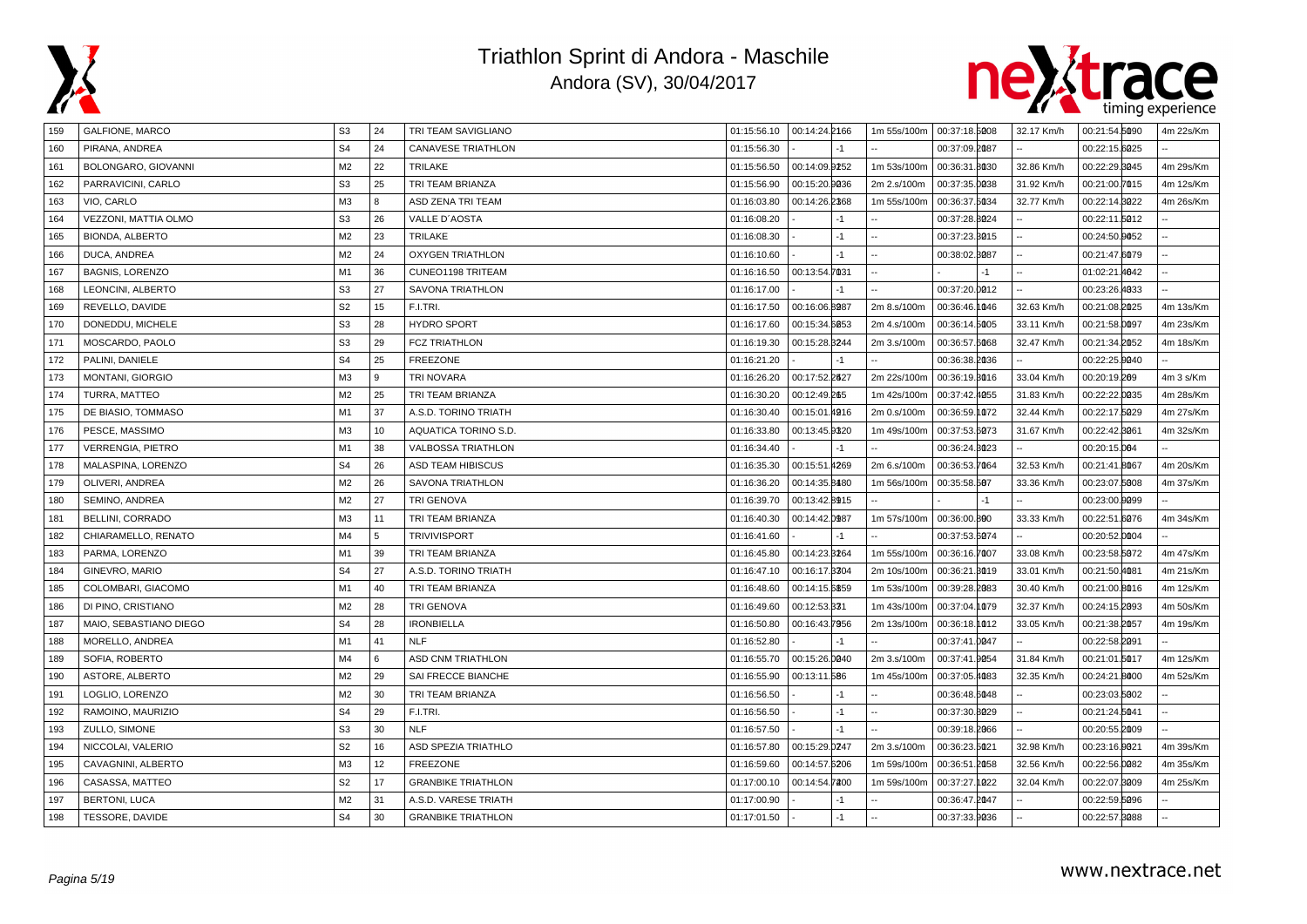



| 159 | GALFIONE, MARCO        | S <sub>3</sub> | 24 | TRI TEAM SAVIGLIANO       | 01:15:56.10  00:14:24.2166 |               |      | 1m 55s/100m | 00:37:18.5008 | 32.17 Km/h | 00:21:54.5090 | 4m 22s/Km |
|-----|------------------------|----------------|----|---------------------------|----------------------------|---------------|------|-------------|---------------|------------|---------------|-----------|
| 160 | PIRANA, ANDREA         | S <sub>4</sub> | 24 | <b>CANAVESE TRIATHLON</b> | 01:15:56.30                |               |      |             | 00:37:09.2087 |            | 00:22:15.6025 |           |
| 161 | BOLONGARO, GIOVANNI    | M <sub>2</sub> | 22 | <b>TRILAKE</b>            | 01:15:56.50                | 00:14:09.9252 |      | 1m 53s/100m | 00:36:31.8030 | 32.86 Km/h | 00:22:29.8045 | 4m 29s/Km |
| 162 | PARRAVICINI, CARLO     | S <sub>3</sub> | 25 | TRI TEAM BRIANZA          | 01:15:56.90                | 00:15:20.9036 |      | 2m 2.s/100m | 00:37:35.0038 | 31.92 Km/h | 00:21:00.7015 | 4m 12s/Km |
| 163 | VIO, CARLO             | M3             | 8  | ASD ZENA TRI TEAM         | 01:16:03.80                | 00:14:26.2368 |      | 1m 55s/100m | 00:36:37.5034 | 32.77 Km/h | 00:22:14.8022 | 4m 26s/Km |
| 164 | VEZZONI, MATTIA OLMO   | S <sub>3</sub> | 26 | VALLE D'AOSTA             | 01:16:08.20                |               | $-1$ |             | 00:37:28.8024 |            | 00:22:11.5012 |           |
| 165 | BIONDA, ALBERTO        | M2             | 23 | TRILAKE                   | 01:16:08.30                |               | $-1$ |             | 00:37:23.3015 |            | 00:24:50.0052 |           |
| 166 | DUCA, ANDREA           | M2             | 24 | <b>OXYGEN TRIATHLON</b>   | 01:16:10.60                |               | $-1$ |             | 00:38:02.3087 |            | 00:21:47.6079 |           |
| 167 | <b>BAGNIS, LORENZO</b> | M <sub>1</sub> | 36 | CUNEO1198 TRITEAM         | 01:16:16.50                | 00:13:54.7031 |      |             |               |            | 01:02:21.4642 |           |
| 168 | LEONCINI, ALBERTO      | S <sub>3</sub> | 27 | SAVONA TRIATHLON          | 01:16:17.00                |               | -1   |             | 00:37:20.0012 |            | 00:23:26.4033 |           |
| 169 | REVELLO, DAVIDE        | S <sub>2</sub> | 15 | F.I.TRI.                  | 01:16:17.50                | 00:16:06.8287 |      | 2m 8.s/100m | 00:36:46.1046 | 32.63 Km/h | 00:21:08.2025 | 4m 13s/Km |
| 170 | DONEDDU, MICHELE       | S <sub>3</sub> | 28 | <b>HYDRO SPORT</b>        | 01:16:17.60                | 00:15:34.6053 |      | 2m 4.s/100m | 00:36:14.5005 | 33.11 Km/h | 00:21:58.0097 | 4m 23s/Km |
| 171 | MOSCARDO, PAOLO        | S <sub>3</sub> | 29 | FCZ TRIATHLON             | 01:16:19.30                | 00:15:28.3244 |      | 2m 3.s/100m | 00:36:57.6068 | 32.47 Km/h | 00:21:34.2052 | 4m 18s/Km |
| 172 | PALINI, DANIELE        | S <sub>4</sub> | 25 | <b>FREEZONE</b>           | 01:16:21.20                |               | $-1$ |             | 00:36:38.2036 |            | 00:22:25.9040 |           |
| 173 | MONTANI, GIORGIO       | M <sub>3</sub> | 9  | TRI NOVARA                | 01:16:26.20                | 00:17:52.2627 |      | 2m 22s/100m | 00:36:19.3016 | 33.04 Km/h | 00:20:19.209  | 4m 3 s/Km |
| 174 | TURRA, MATTEO          | M2             | 25 | TRI TEAM BRIANZA          | 01:16:30.20                | 00:12:49.265  |      | 1m 42s/100m | 00:37:42.4055 | 31.83 Km/h | 00:22:22.0035 | 4m 28s/Km |
| 175 | DE BIASIO, TOMMASO     | M1             | 37 | A.S.D. TORINO TRIATH      | 01:16:30.40                | 00:15:01.4916 |      | 2m 0.s/100m | 00:36:59.1072 | 32.44 Km/h | 00:22:17.5029 | 4m 27s/Km |
| 176 | PESCE, MASSIMO         | M3             | 10 | AQUATICA TORINO S.D.      | 01:16:33.80                | 00:13:45.9320 |      | 1m 49s/100m | 00:37:53.6073 | 31.67 Km/h | 00:22:42.8061 | 4m 32s/Km |
| 177 | VERRENGIA, PIETRO      | M <sub>1</sub> | 38 | <b>VALBOSSA TRIATHLON</b> | 01:16:34.40                |               | $-1$ |             | 00:36:24.8023 |            | 00:20:15.004  |           |
| 178 | MALASPINA, LORENZO     | S <sub>4</sub> | 26 | <b>ASD TEAM HIBISCUS</b>  | 01:16:35.30                | 00:15:51.4269 |      | 2m 6.s/100m | 00:36:53.7064 | 32.53 Km/h | 00:21:41.8067 | 4m 20s/Km |
| 179 | OLIVERI, ANDREA        | M2             | 26 | SAVONA TRIATHLON          | 01:16:36.20                | 00:14:35.8480 |      | 1m 56s/100m | 00:35:58.507  | 33.36 Km/h | 00:23:07.5008 | 4m 37s/Km |
| 180 | SEMINO, ANDREA         | M <sub>2</sub> | 27 | <b>TRI GENOVA</b>         | 01:16:39.70                | 00:13:42.8915 |      |             | $-1$          |            | 00:23:00.0099 |           |
| 181 | BELLINI, CORRADO       | M3             | 11 | TRI TEAM BRIANZA          | 01:16:40.30                | 00:14:42.0987 |      | 1m 57s/100m | 00:36:00.800  | 33.33 Km/h | 00:22:51.6076 | 4m 34s/Km |
| 182 | CHIARAMELLO, RENATO    | M4             | 5  | <b>TRIVIVISPORT</b>       | 01:16:41.60                |               | $-1$ |             | 00:37:53.6074 |            | 00:20:52.0004 |           |
| 183 | PARMA, LORENZO         | M <sub>1</sub> | 39 | TRI TEAM BRIANZA          | 01:16:45.80                | 00:14:23.3264 |      | 1m 55s/100m | 00:36:16.7007 | 33.08 Km/h | 00:23:58.5072 | 4m 47s/Km |
| 184 | GINEVRO, MARIO         | S <sub>4</sub> | 27 | A.S.D. TORINO TRIATH      | 01:16:47.10                | 00:16:17.3304 |      | 2m 10s/100m | 00:36:21.3019 | 33.01 Km/h | 00:21:50.4081 | 4m 21s/Km |
| 185 | COLOMBARI, GIACOMO     | M1             | 40 | TRI TEAM BRIANZA          | 01:16:48.60                | 00:14:15.6859 |      | 1m 53s/100m | 00:39:28.2083 | 30.40 Km/h | 00:21:00.8016 | 4m 12s/Km |
| 186 | DI PINO, CRISTIANO     | M <sub>2</sub> | 28 | <b>TRI GENOVA</b>         | 01:16:49.60                | 00:12:53.331  |      | 1m 43s/100m | 00:37:04.1079 | 32.37 Km/h | 00:24:15.2093 | 4m 50s/Km |
| 187 | MAIO, SEBASTIANO DIEGO | S <sub>4</sub> | 28 | <b>IRONBIELLA</b>         | 01:16:50.80                | 00:16:43.7956 |      | 2m 13s/100m | 00:36:18.1012 | 33.05 Km/h | 00:21:38.2057 | 4m 19s/Km |
| 188 | MORELLO, ANDREA        | M <sub>1</sub> | 41 | <b>NLF</b>                | 01:16:52.80                |               | $-1$ |             | 00:37:41.0047 |            | 00:22:58.2091 |           |
| 189 | SOFIA, ROBERTO         | M4             | 6  | <b>ASD CNM TRIATHLON</b>  | 01:16:55.70                | 00:15:26.0040 |      | 2m 3.s/100m | 00:37:41.9054 | 31.84 Km/h | 00:21:01.5017 | 4m 12s/Km |
| 190 | ASTORE, ALBERTO        | M2             | 29 | SAI FRECCE BIANCHE        | 01:16:55.90                | 00:13:11.586  |      | 1m 45s/100m | 00:37:05.4083 | 32.35 Km/h | 00:24:21.8000 | 4m 52s/Km |
| 191 | LOGLIO, LORENZO        | M <sub>2</sub> | 30 | TRI TEAM BRIANZA          | 01:16:56.50                |               | $-1$ |             | 00:36:48.6048 |            | 00:23:03.5002 |           |
| 192 | RAMOINO, MAURIZIO      | S <sub>4</sub> | 29 | F.I.TRI.                  | 01:16:56.50                |               | $-1$ |             | 00:37:30.8029 |            | 00:21:24.5041 |           |
| 193 | ZULLO, SIMONE          | S <sub>3</sub> | 30 | <b>NLF</b>                | 01:16:57.50                |               | $-1$ |             | 00:39:18.2066 |            | 00:20:55.2009 |           |
| 194 | NICCOLAI, VALERIO      | S <sub>2</sub> | 16 | ASD SPEZIA TRIATHLO       | 01:16:57.80                | 00:15:29.0247 |      | 2m 3.s/100m | 00:36:23.5021 | 32.98 Km/h | 00:23:16.0021 | 4m 39s/Km |
| 195 | CAVAGNINI, ALBERTO     | M <sub>3</sub> | 12 | <b>FREEZONE</b>           | 01:16:59.60                | 00:14:57.6206 |      | 1m 59s/100m | 00:36:51.2058 | 32.56 Km/h | 00:22:56.0082 | 4m 35s/Km |
| 196 | CASASSA, MATTEO        | S <sub>2</sub> | 17 | <b>GRANBIKE TRIATHLON</b> | 01:17:00.10                | 00:14:54.7200 |      | 1m 59s/100m | 00:37:27.1022 | 32.04 Km/h | 00:22:07.8009 | 4m 25s/Km |
| 197 | <b>BERTONI, LUCA</b>   | M2             | 31 | A.S.D. VARESE TRIATH      | 01:17:00.90                |               | -1   |             | 00:36:47.2047 |            | 00:22:59.5096 |           |
| 198 | TESSORE, DAVIDE        | S <sub>4</sub> | 30 | <b>GRANBIKE TRIATHLON</b> | 01:17:01.50                |               | $-1$ |             | 00:37:33.9036 |            | 00:22:57.8088 |           |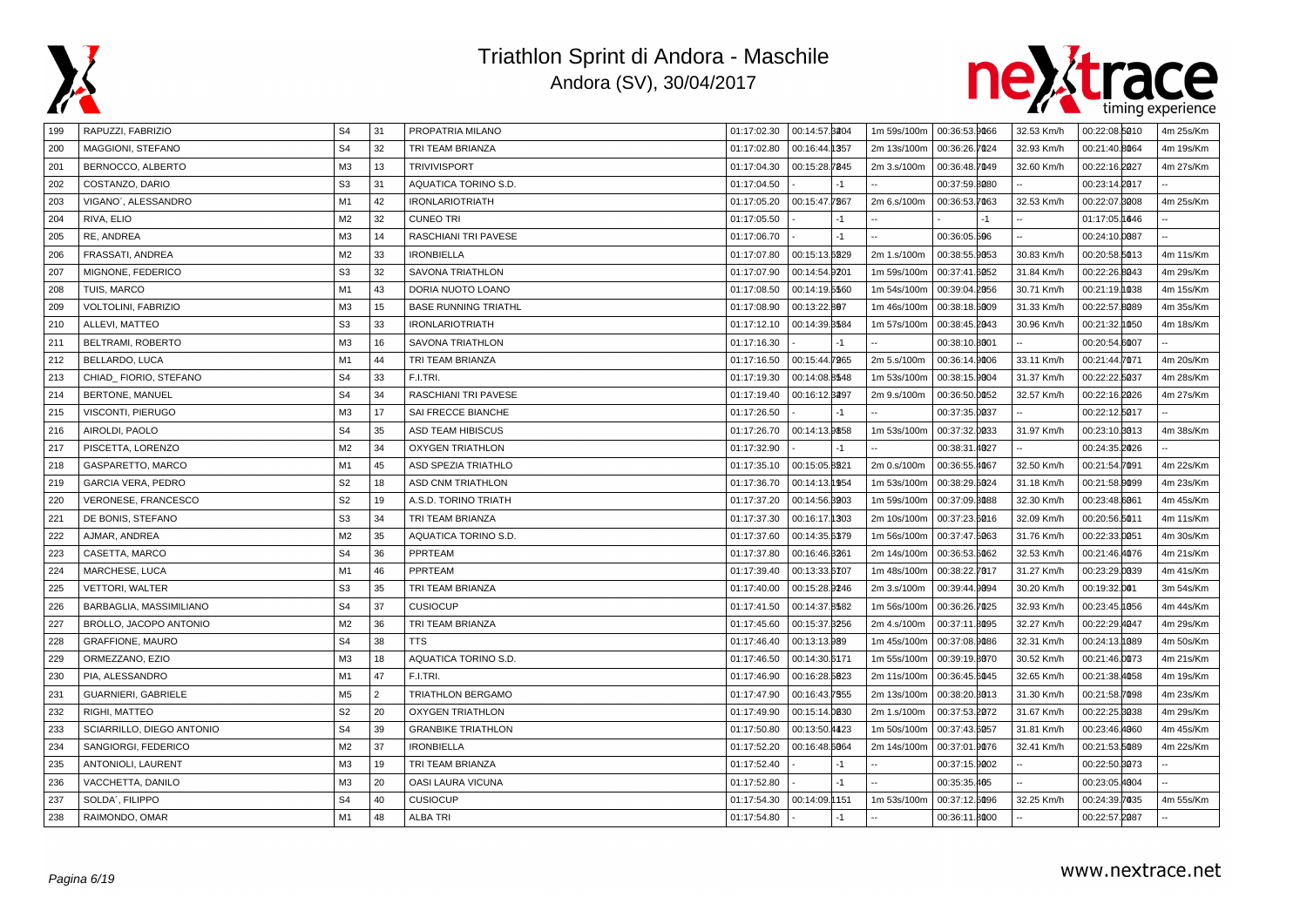



| 199 | RAPUZZI, FABRIZIO          | S <sub>4</sub> | 31 | PROPATRIA MILANO            | 01:17:02.30 | 00:14:57.8204 |      | 1m 59s/100m | 00:36:53.9066 | 32.53 Km/h | 00:22:08.5010 | 4m 25s/Km |
|-----|----------------------------|----------------|----|-----------------------------|-------------|---------------|------|-------------|---------------|------------|---------------|-----------|
| 200 | MAGGIONI, STEFANO          | S <sub>4</sub> | 32 | TRI TEAM BRIANZA            | 01:17:02.80 | 00:16:44.1357 |      | 2m 13s/100m | 00:36:26.7024 | 32.93 Km/h | 00:21:40.8064 | 4m 19s/Km |
| 201 | BERNOCCO, ALBERTO          | M <sub>3</sub> | 13 | <b>TRIVIVISPORT</b>         | 01:17:04.30 | 00:15:28.7845 |      | 2m 3.s/100m | 00:36:48.7049 | 32.60 Km/h | 00:22:16.2027 | 4m 27s/Km |
| 202 | COSTANZO, DARIO            | S <sub>3</sub> | 31 | AQUATICA TORINO S.D.        | 01:17:04.50 |               | $-1$ |             | 00:37:59.8080 |            | 00:23:14.2017 |           |
| 203 | VIGANO', ALESSANDRO        | M1             | 42 | <b>IRONLARIOTRIATH</b>      | 01:17:05.20 | 00:15:47.7867 |      | 2m 6.s/100m | 00:36:53.7063 | 32.53 Km/h | 00:22:07.8008 | 4m 25s/Km |
| 204 | RIVA, ELIO                 | M <sub>2</sub> | 32 | <b>CUNEO TRI</b>            | 01:17:05.50 |               | $-1$ |             | $-1$          |            | 01:17:05.1646 |           |
| 205 | RE, ANDREA                 | M <sub>3</sub> | 14 | RASCHIANI TRI PAVESE        | 01:17:06.70 |               | $-1$ |             | 00:36:05.506  |            | 00:24:10.0087 |           |
| 206 | FRASSATI, ANDREA           | M <sub>2</sub> | 33 | <b>IRONBIELLA</b>           | 01:17:07.80 | 00:15:13.6829 |      | 2m 1.s/100m | 00:38:55.9053 | 30.83 Km/h | 00:20:58.5013 | 4m 11s/Km |
| 207 | MIGNONE, FEDERICO          | S <sub>3</sub> | 32 | SAVONA TRIATHLON            | 01:17:07.90 | 00:14:54.9201 |      | 1m 59s/100m | 00:37:41.6052 | 31.84 Km/h | 00:22:26.8043 | 4m 29s/Km |
| 208 | TUIS, MARCO                | M1             | 43 | DORIA NUOTO LOANO           | 01:17:08.50 | 00:14:19.5560 |      | 1m 54s/100m | 00:39:04.2056 | 30.71 Km/h | 00:21:19.1038 | 4m 15s/Km |
| 209 | VOLTOLINI, FABRIZIO        | M <sub>3</sub> | 15 | <b>BASE RUNNING TRIATHL</b> | 01:17:08.90 | 00:13:22.807  |      | 1m 46s/100m | 00:38:18.5009 | 31.33 Km/h | 00:22:57.8089 | 4m 35s/Km |
| 210 | ALLEVI, MATTEO             | S <sub>3</sub> | 33 | <b>IRONLARIOTRIATH</b>      | 01:17:12.10 | 00:14:39.8584 |      | 1m 57s/100m | 00:38:45.2043 | 30.96 Km/h | 00:21:32.1050 | 4m 18s/Km |
| 211 | BELTRAMI, ROBERTO          | M3             | 16 | <b>SAVONA TRIATHLON</b>     | 01:17:16.30 |               | $-1$ |             | 00:38:10.8001 |            | 00:20:54.6007 |           |
| 212 | BELLARDO, LUCA             | M <sub>1</sub> | 44 | TRI TEAM BRIANZA            | 01:17:16.50 | 00:15:44.7965 |      | 2m 5.s/100m | 00:36:14.9006 | 33.11 Km/h | 00:21:44.7071 | 4m 20s/Km |
| 213 | CHIAD_FIORIO, STEFANO      | S <sub>4</sub> | 33 | F.I.TRI.                    | 01:17:19.30 | 00:14:08.8548 |      | 1m 53s/100m | 00:38:15.9004 | 31.37 Km/h | 00:22:22.5037 | 4m 28s/Km |
| 214 | BERTONE, MANUEL            | S <sub>4</sub> | 34 | RASCHIANI TRI PAVESE        | 01:17:19.40 | 00:16:12.3297 |      | 2m 9.s/100m | 00:36:50.0052 | 32.57 Km/h | 00:22:16.2026 | 4m 27s/Km |
| 215 | VISCONTI, PIERUGO          | M <sub>3</sub> | 17 | SAI FRECCE BIANCHE          | 01:17:26.50 |               | $-1$ |             | 00:37:35.0037 |            | 00:22:12.5017 |           |
| 216 | AIROLDI, PAOLO             | S <sub>4</sub> | 35 | ASD TEAM HIBISCUS           | 01:17:26.70 | 00:14:13.9858 |      | 1m 53s/100m | 00:37:32.0033 | 31.97 Km/h | 00:23:10.3013 | 4m 38s/Km |
| 217 | PISCETTA, LORENZO          | M <sub>2</sub> | 34 | <b>OXYGEN TRIATHLON</b>     | 01:17:32.90 |               | $-1$ |             | 00:38:31.4027 |            | 00:24:35.2026 |           |
| 218 | GASPARETTO, MARCO          | M1             | 45 | <b>ASD SPEZIA TRIATHLO</b>  | 01:17:35.10 | 00:15:05.8221 |      | 2m 0.s/100m | 00:36:55.4067 | 32.50 Km/h | 00:21:54.7091 | 4m 22s/Km |
| 219 | GARCIA VERA, PEDRO         | S <sub>2</sub> | 18 | <b>ASD CNM TRIATHLON</b>    | 01:17:36.70 | 00:14:13.1954 |      | 1m 53s/100m | 00:38:29.5024 | 31.18 Km/h | 00:21:58.0099 | 4m 23s/Km |
| 220 | VERONESE, FRANCESCO        | S <sub>2</sub> | 19 | A.S.D. TORINO TRIATH        | 01:17:37.20 | 00:14:56.8903 |      | 1m 59s/100m | 00:37:09.3088 | 32.30 Km/h | 00:23:48.6061 | 4m 45s/Km |
| 221 | DE BONIS, STEFANO          | S <sub>3</sub> | 34 | TRI TEAM BRIANZA            | 01:17:37.30 | 00:16:17.1303 |      | 2m 10s/100m | 00:37:23.6016 | 32.09 Km/h | 00:20:56.5011 | 4m 11s/Km |
| 222 | AJMAR, ANDREA              | M <sub>2</sub> | 35 | AQUATICA TORINO S.D.        | 01:17:37.60 | 00:14:35.6379 |      | 1m 56s/100m | 00:37:47.5063 | 31.76 Km/h | 00:22:33.0051 | 4m 30s/Km |
| 223 | CASETTA, MARCO             | S <sub>4</sub> | 36 | PPRTEAM                     | 01:17:37.80 | 00:16:46.3261 |      | 2m 14s/100m | 00:36:53.5062 | 32.53 Km/h | 00:21:46.4076 | 4m 21s/Km |
| 224 | MARCHESE, LUCA             | M1             | 46 | PPRTEAM                     | 01:17:39.40 | 00:13:33.6707 |      | 1m 48s/100m | 00:38:22.7017 | 31.27 Km/h | 00:23:29.0039 | 4m 41s/Km |
| 225 | <b>VETTORI, WALTER</b>     | S <sub>3</sub> | 35 | TRI TEAM BRIANZA            | 01:17:40.00 | 00:15:28.9246 |      | 2m 3.s/100m | 00:39:44.9094 | 30.20 Km/h | 00:19:32.001  | 3m 54s/Km |
| 226 | BARBAGLIA, MASSIMILIANO    | S <sub>4</sub> | 37 | <b>CUSIOCUP</b>             | 01:17:41.50 | 00:14:37.8582 |      | 1m 56s/100m | 00:36:26.7025 | 32.93 Km/h | 00:23:45.1056 | 4m 44s/Km |
| 227 | BROLLO, JACOPO ANTONIO     | M <sub>2</sub> | 36 | TRI TEAM BRIANZA            | 01:17:45.60 | 00:15:37.8256 |      | 2m 4.s/100m | 00:37:11.8095 | 32.27 Km/h | 00:22:29.4047 | 4m 29s/Km |
| 228 | <b>GRAFFIONE, MAURO</b>    | S <sub>4</sub> | 38 | <b>TTS</b>                  | 01:17:46.40 | 00:13:13.989  |      | 1m 45s/100m | 00:37:08.9086 | 32.31 Km/h | 00:24:13.1889 | 4m 50s/Km |
| 229 | ORMEZZANO, EZIO            | M <sub>3</sub> | 18 | AQUATICA TORINO S.D.        | 01:17:46.50 | 00:14:30.6171 |      | 1m 55s/100m | 00:39:19.8070 | 30.52 Km/h | 00:21:46.0073 | 4m 21s/Km |
| 230 | PIA, ALESSANDRO            | M1             | 47 | F.I.TRI.                    | 01:17:46.90 | 00:16:28.5623 |      | 2m 11s/100m | 00:36:45.6045 | 32.65 Km/h | 00:21:38.4058 | 4m 19s/Km |
| 231 | <b>GUARNIERI, GABRIELE</b> | M <sub>5</sub> | 2  | <b>TRIATHLON BERGAMO</b>    | 01:17:47.90 | 00:16:43.7555 |      | 2m 13s/100m | 00:38:20.3013 | 31.30 Km/h | 00:21:58.7098 | 4m 23s/Km |
| 232 | RIGHI, MATTEO              | S <sub>2</sub> | 20 | <b>OXYGEN TRIATHLON</b>     | 01:17:49.90 | 00:15:14.0030 |      | 2m 1.s/100m | 00:37:53.2072 | 31.67 Km/h | 00:22:25.3038 | 4m 29s/Km |
| 233 | SCIARRILLO, DIEGO ANTONIO  | S <sub>4</sub> | 39 | <b>GRANBIKE TRIATHLON</b>   | 01:17:50.80 | 00:13:50.4423 |      | 1m 50s/100m | 00:37:43.6057 | 31.81 Km/h | 00:23:46.4060 | 4m 45s/Km |
| 234 | SANGIORGI, FEDERICO        | M <sub>2</sub> | 37 | <b>IRONBIELLA</b>           | 01:17:52.20 | 00:16:48.6064 |      | 2m 14s/100m | 00:37:01.9076 | 32.41 Km/h | 00:21:53.5089 | 4m 22s/Km |
| 235 | ANTONIOLI, LAURENT         | M <sub>3</sub> | 19 | TRI TEAM BRIANZA            | 01:17:52.40 |               | $-1$ |             | 00:37:15.9002 |            | 00:22:50.3073 |           |
| 236 | VACCHETTA, DANILO          | M3             | 20 | OASI LAURA VICUNA           | 01:17:52.80 |               | $-1$ |             | 00:35:35.465  |            | 00:23:05.4004 |           |
| 237 | SOLDA', FILIPPO            | S <sub>4</sub> | 40 | <b>CUSIOCUP</b>             | 01:17:54.30 | 00:14:09.1151 |      | 1m 53s/100m | 00:37:12.5096 | 32.25 Km/h | 00:24:39.7035 | 4m 55s/Km |
| 238 | RAIMONDO, OMAR             | M1             | 48 | <b>ALBA TRI</b>             | 01:17:54.80 |               | $-1$ |             | 00:36:11.8000 |            | 00:22:57.2087 |           |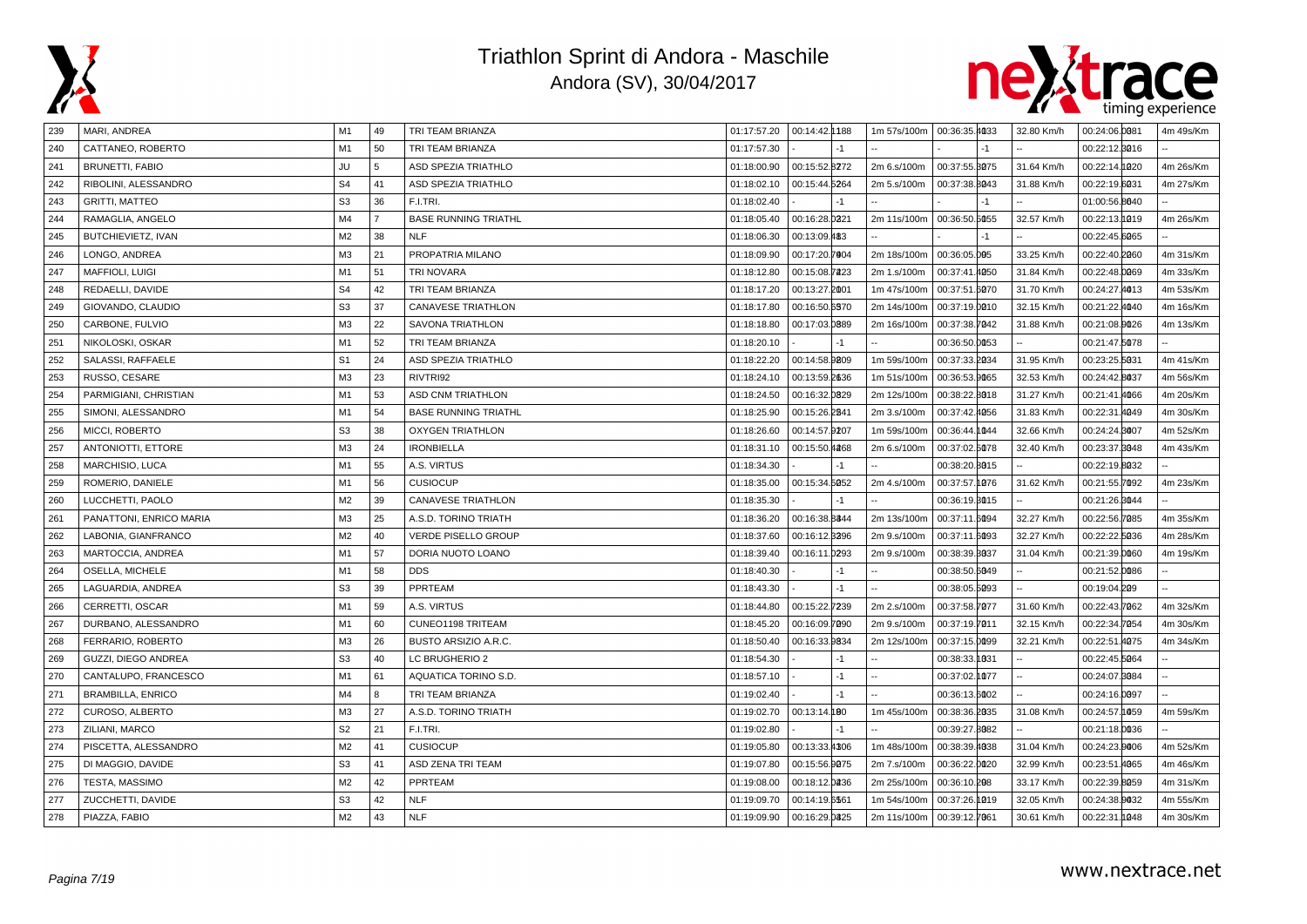



| 239 | MARI, ANDREA              | M1             | 49             | TRI TEAM BRIANZA            |             | 01:17:57.20   00:14:42.1188 | 1m 57s/100m 00:36:35.4033 |               |      | 32.80 Km/h | 00:24:06.0081      | 4m 49s/Km |
|-----|---------------------------|----------------|----------------|-----------------------------|-------------|-----------------------------|---------------------------|---------------|------|------------|--------------------|-----------|
| 240 | CATTANEO, ROBERTO         | M1             | 50             | TRI TEAM BRIANZA            | 01:17:57.30 |                             |                           |               |      |            | 00:22:12.3016      |           |
| 241 | <b>BRUNETTI, FABIO</b>    | <b>JU</b>      | 5              | ASD SPEZIA TRIATHLO         | 01:18:00.90 | 00:15:52.8272               | 2m 6.s/100m               | 00:37:55.3075 |      | 31.64 Km/h | 00:22:14.<br>h 220 | 4m 26s/Km |
| 242 | RIBOLINI, ALESSANDRO      | S <sub>4</sub> | 41             | ASD SPEZIA TRIATHLO         | 01:18:02.10 | 00:15:44.5264               | 2m 5.s/100m               | 00:37:38.8043 |      | 31.88 Km/h | 00:22:19.6031      | 4m 27s/Km |
| 243 | <b>GRITTI, MATTEO</b>     | S <sub>3</sub> | 36             | F.I.TRI.                    | 01:18:02.40 | $-1$                        |                           |               | $-1$ |            | 01:00:56.8040      |           |
| 244 | RAMAGLIA, ANGELO          | M4             | $\overline{7}$ | <b>BASE RUNNING TRIATHL</b> | 01:18:05.40 | 00:16:28.0221               | 2m 11s/100m               | 00:36:50.5055 |      | 32.57 Km/h | 00:22:13.1019      | 4m 26s/Km |
| 245 | BUTCHIEVIETZ, IVAN        | M <sub>2</sub> | 38             | <b>NLF</b>                  | 01:18:06.30 | 00:13:09.483                |                           |               | $-1$ |            | 00:22:45.6065      |           |
| 246 | LONGO, ANDREA             | M <sub>3</sub> | 21             | PROPATRIA MILANO            | 01:18:09.90 | 00:17:20.7004               | 2m 18s/100m               | 00:36:05.005  |      | 33.25 Km/h | 00:22:40.2060      | 4m 31s/Km |
| 247 | <b>MAFFIOLI, LUIGI</b>    | M1             | 51             | <b>TRI NOVARA</b>           | 01:18:12.80 | 00:15:08.7223               | 2m 1.s/100m               | 00:37:41.4050 |      | 31.84 Km/h | 00:22:48.0069      | 4m 33s/Km |
| 248 | REDAELLI, DAVIDE          | S <sub>4</sub> | 42             | TRI TEAM BRIANZA            | 01:18:17.20 | 00:13:27.2001               | 1m 47s/100m               | 00:37:51.6070 |      | 31.70 Km/h | 00:24:27.4013      | 4m 53s/Km |
| 249 | GIOVANDO, CLAUDIO         | S <sub>3</sub> | 37             | <b>CANAVESE TRIATHLON</b>   | 01:18:17.80 | 00:16:50.6570               | 2m 14s/100m               | 00:37:19.0010 |      | 32.15 Km/h | 00:21:22.4040      | 4m 16s/Km |
| 250 | CARBONE, FULVIO           | M <sub>3</sub> | 22             | SAVONA TRIATHLON            | 01:18:18.80 | 00:17:03.0889               | 2m 16s/100m               | 00:37:38.7042 |      | 31.88 Km/h | 00:21:08.0026      | 4m 13s/Km |
| 251 | NIKOLOSKI, OSKAR          | M1             | 52             | TRI TEAM BRIANZA            | 01:18:20.10 | $-1$                        |                           | 00:36:50.0053 |      |            | 00:21:47.5078      |           |
| 252 | SALASSI, RAFFAELE         | S <sub>1</sub> | 24             | ASD SPEZIA TRIATHLO         | 01:18:22.20 | 00:14:58.9809               | 1m 59s/100m               | 00:37:33.2034 |      | 31.95 Km/h | 00:23:25.5031      | 4m 41s/Km |
| 253 | RUSSO, CESARE             | M <sub>3</sub> | 23             | RIVTRI92                    | 01:18:24.10 | 00:13:59.2636               | 1m 51s/100m               | 00:36:53.9065 |      | 32.53 Km/h | 00:24:42.8037      | 4m 56s/Km |
| 254 | PARMIGIANI, CHRISTIAN     | M1             | 53             | ASD CNM TRIATHLON           | 01:18:24.50 | 00:16:32.0829               | 2m 12s/100m               | 00:38:22.8018 |      | 31.27 Km/h | 00:21:41.4066      | 4m 20s/Km |
| 255 | SIMONI, ALESSANDRO        | M1             | 54             | <b>BASE RUNNING TRIATHL</b> | 01:18:25.90 | 00:15:26.2841               | 2m 3.s/100m               | 00:37:42.4056 |      | 31.83 Km/h | 00:22:31.4049      | 4m 30s/Km |
| 256 | MICCI, ROBERTO            | S <sub>3</sub> | 38             | <b>OXYGEN TRIATHLON</b>     | 01:18:26.60 | 00:14:57.9207               | 1m 59s/100m               | 00:36:44.1044 |      | 32.66 Km/h | 00:24:24.8007      | 4m 52s/Km |
| 257 | <b>ANTONIOTTI, ETTORE</b> | M3             | 24             | <b>IRONBIELLA</b>           | 01:18:31.10 | 00:15:50.4268               | 2m 6.s/100m               | 00:37:02.5078 |      | 32.40 Km/h | 00:23:37.8048      | 4m 43s/Km |
| 258 | MARCHISIO, LUCA           | M1             | 55             | A.S. VIRTUS                 | 01:18:34.30 | $-1$                        |                           | 00:38:20.8015 |      |            | 00:22:19.8032      |           |
| 259 | ROMERIO, DANIELE          | M1             | 56             | <b>CUSIOCUP</b>             | 01:18:35.00 | 00:15:34.5052               | 2m 4.s/100m               | 00:37:57.1076 |      | 31.62 Km/h | 00:21:55.7092      | 4m 23s/Km |
| 260 | LUCCHETTI, PAOLO          | M <sub>2</sub> | 39             | <b>CANAVESE TRIATHLON</b>   | 01:18:35.30 | $-1$                        |                           | 00:36:19.8015 |      |            | 00:21:26.3044      |           |
| 261 | PANATTONI, ENRICO MARIA   | M <sub>3</sub> | 25             | A.S.D. TORINO TRIATH        | 01:18:36.20 | 00:16:38.8844               | 2m 13s/100m               | 00:37:11.6094 |      | 32.27 Km/h | 00:22:56.7085      | 4m 35s/Km |
| 262 | LABONIA, GIANFRANCO       | M <sub>2</sub> | 40             | <b>VERDE PISELLO GROUP</b>  | 01:18:37.60 | 00:16:12.3396               | 2m 9.s/100m               | 00:37:11.6093 |      | 32.27 Km/h | 00:22:22.5036      | 4m 28s/Km |
| 263 | MARTOCCIA, ANDREA         | M1             | 57             | DORIA NUOTO LOANO           | 01:18:39.40 | 00:16:11.0293               | 2m 9.s/100m               | 00:38:39.3037 |      | 31.04 Km/h | 00:21:39.0060      | 4m 19s/Km |
| 264 | OSELLA, MICHELE           | M1             | 58             | <b>DDS</b>                  | 01:18:40.30 | $-1$                        |                           | 00:38:50.6049 |      |            | 00:21:52.0086      |           |
| 265 | LAGUARDIA, ANDREA         | S <sub>3</sub> | 39             | PPRTEAM                     | 01:18:43.30 | $-1$                        |                           | 00:38:05.5093 |      |            | 00:19:04.209       |           |
| 266 | CERRETTI, OSCAR           | M <sub>1</sub> | 59             | A.S. VIRTUS                 | 01:18:44.80 | 00:15:22.7239               | 2m 2.s/100m               | 00:37:58.7077 |      | 31.60 Km/h | 00:22:43.7062      | 4m 32s/Km |
| 267 | DURBANO, ALESSANDRO       | M <sub>1</sub> | 60             | CUNEO1198 TRITEAM           | 01:18:45.20 | 00:16:09.7090               | 2m 9.s/100m               | 00:37:19.7011 |      | 32.15 Km/h | 00:22:34.7054      | 4m 30s/Km |
| 268 | FERRARIO, ROBERTO         | M3             | 26             | BUSTO ARSIZIO A.R.C.        | 01:18:50.40 | 00:16:33.9834               | 2m 12s/100m               | 00:37:15.0099 |      | 32.21 Km/h | 00:22:51.4075      | 4m 34s/Km |
| 269 | GUZZI, DIEGO ANDREA       | S <sub>3</sub> | 40             | LC BRUGHERIO 2              | 01:18:54.30 | $-1$                        |                           | 00:38:33.1031 |      |            | 00:22:45.5064      |           |
| 270 | CANTALUPO, FRANCESCO      | M <sub>1</sub> | 61             | AQUATICA TORINO S.D.        | 01:18:57.10 | $-1$                        |                           | 00:37:02.1077 |      |            | 00:24:07.8084      |           |
| 271 | <b>BRAMBILLA, ENRICO</b>  | M4             | 8              | TRI TEAM BRIANZA            | 01:19:02.40 | $-1$                        |                           | 00:36:13.6002 |      |            | 00:24:16.0097      |           |
| 272 | CUROSO, ALBERTO           | M3             | 27             | A.S.D. TORINO TRIATH        | 01:19:02.70 | 00:13:14.190                | 1m 45s/100m               | 00:38:36.2035 |      | 31.08 Km/h | 00:24:57.1059      | 4m 59s/Km |
| 273 | ZILIANI, MARCO            | S <sub>2</sub> | 21             | F.I.TRI.                    | 01:19:02.80 | $-1$                        |                           | 00:39:27.8082 |      |            | 00:21:18.0036      |           |
| 274 | PISCETTA, ALESSANDRO      | M <sub>2</sub> | 41             | <b>CUSIOCUP</b>             | 01:19:05.80 | 00:13:33.4306               | 1m 48s/100m               | 00:38:39.4038 |      | 31.04 Km/h | 00:24:23.9006      | 4m 52s/Km |
| 275 | DI MAGGIO, DAVIDE         | S <sub>3</sub> | 41             | ASD ZENA TRI TEAM           | 01:19:07.80 | 00:15:56.9075               | 2m 7.s/100m               | 00:36:22.0020 |      | 32.99 Km/h | 00:23:51.4065      | 4m 46s/Km |
| 276 | TESTA, MASSIMO            | M <sub>2</sub> | 42             | PPRTEAM                     | 01:19:08.00 | 00:18:12.0236               | 2m 25s/100m               | 00:36:10.208  |      | 33.17 Km/h | 00:22:39.8059      | 4m 31s/Km |
| 277 | ZUCCHETTI, DAVIDE         | S <sub>3</sub> | 42             | <b>NLF</b>                  | 01:19:09.70 | 00:14:19.6561               | 1m 54s/100m               | 00:37:26.1019 |      | 32.05 Km/h | 00:24:38.9032      | 4m 55s/Km |
| 278 | PIAZZA, FABIO             | M <sub>2</sub> | 43             | <b>NLF</b>                  | 01:19:09.90 | 00:16:29.0825               | 2m 11s/100m               | 00:39:12.7061 |      | 30.61 Km/h | 00:22:31.1048      | 4m 30s/Km |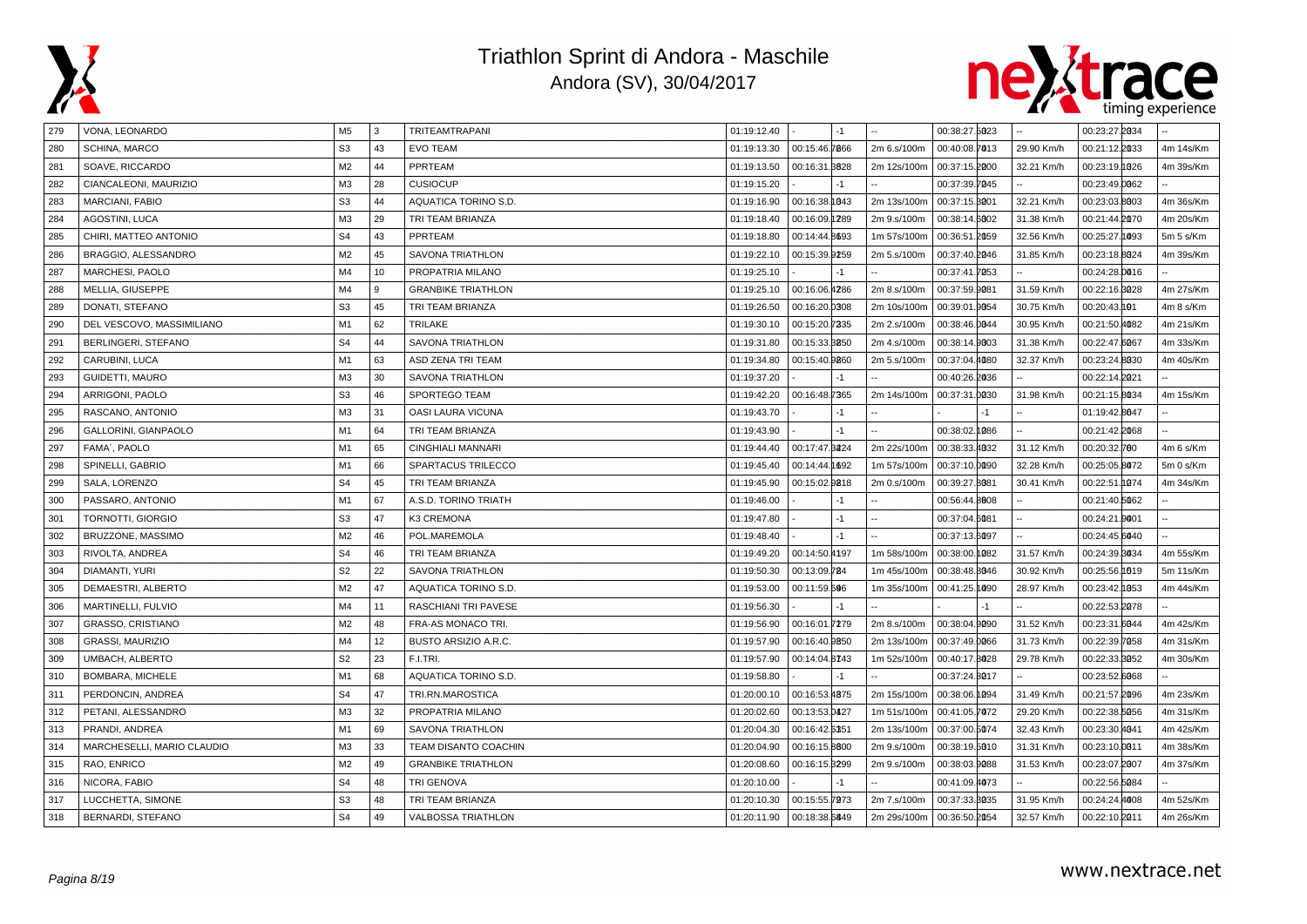



| 279 | VONA, LEONARDO             | M <sub>5</sub> | 3  | TRITEAMTRAPANI            | 01:19:12.40 | -1            |             | 00:38:27.5023 |      |            | 00:23:27.2034 |           |
|-----|----------------------------|----------------|----|---------------------------|-------------|---------------|-------------|---------------|------|------------|---------------|-----------|
| 280 | SCHINA, MARCO              | S <sub>3</sub> | 43 | <b>EVO TEAM</b>           | 01:19:13.30 | 00:15:46.7866 | 2m 6.s/100m | 00:40:08.7013 |      | 29.90 Km/h | 00:21:12.2033 | 4m 14s/Km |
| 281 | SOAVE, RICCARDO            | M <sub>2</sub> | 44 | PPRTEAM                   | 01:19:13.50 | 00:16:31.8828 | 2m 12s/100m | 00:37:15.2000 |      | 32.21 Km/h | 00:23:19.1026 | 4m 39s/Km |
| 282 | CIANCALEONI, MAURIZIO      | M <sub>3</sub> | 28 | <b>CUSIOCUP</b>           | 01:19:15.20 | -1            |             | 00:37:39.7045 |      |            | 00:23:49.0062 |           |
| 283 | MARCIANI, FABIO            | S <sub>3</sub> | 44 | AQUATICA TORINO S.D.      | 01:19:16.90 | 00:16:38.1043 | 2m 13s/100m | 00:37:15.3001 |      | 32.21 Km/h | 00:23:03.8003 | 4m 36s/Km |
| 284 | AGOSTINI, LUCA             | M3             | 29 | TRI TEAM BRIANZA          | 01:19:18.40 | 00:16:09.1289 | 2m 9.s/100m | 00:38:14.6002 |      | 31.38 Km/h | 00:21:44.2070 | 4m 20s/Km |
| 285 | CHIRI, MATTEO ANTONIO      | S <sub>4</sub> | 43 | PPRTEAM                   | 01:19:18.80 | 00:14:44.8693 | 1m 57s/100m | 00:36:51.2059 |      | 32.56 Km/h | 00:25:27.1093 | 5m 5 s/Km |
| 286 | BRAGGIO, ALESSANDRO        | M <sub>2</sub> | 45 | SAVONA TRIATHLON          | 01:19:22.10 | 00:15:39.9259 | 2m 5.s/100m | 00:37:40.2046 |      | 31.85 Km/h | 00:23:18.8024 | 4m 39s/Km |
| 287 | MARCHESI, PAOLO            | M <sub>4</sub> | 10 | PROPATRIA MILANO          | 01:19:25.10 | -1            |             | 00:37:41.7053 |      |            | 00:24:28.0016 |           |
| 288 | MELLIA, GIUSEPPE           | M <sub>4</sub> | 9  | <b>GRANBIKE TRIATHLON</b> | 01:19:25.10 | 00:16:06.4286 | 2m 8.s/100m | 00:37:59.9081 |      | 31.59 Km/h | 00:22:16.3028 | 4m 27s/Km |
| 289 | DONATI, STEFANO            | S <sub>3</sub> | 45 | TRI TEAM BRIANZA          | 01:19:26.50 | 00:16:20.0308 | 2m 10s/100m | 00:39:01.9054 |      | 30.75 Km/h | 00:20:43.191  | 4m 8 s/Km |
| 290 | DEL VESCOVO, MASSIMILIANO  | M1             | 62 | <b>TRILAKE</b>            | 01:19:30.10 | 00:15:20.7335 | 2m 2.s/100m | 00:38:46.0044 |      | 30.95 Km/h | 00:21:50.4082 | 4m 21s/Km |
| 291 | BERLINGERI, STEFANO        | S <sub>4</sub> | 44 | SAVONA TRIATHLON          | 01:19:31.80 | 00:15:33.3250 | 2m 4.s/100m | 00:38:14.9003 |      | 31.38 Km/h | 00:22:47.6067 | 4m 33s/Km |
| 292 | CARUBINI, LUCA             | M1             | 63 | ASD ZENA TRI TEAM         | 01:19:34.80 | 00:15:40.9860 | 2m 5.s/100m | 00:37:04.4080 |      | 32.37 Km/h | 00:23:24.8030 | 4m 40s/Km |
| 293 | GUIDETTI, MAURO            | M3             | 30 | SAVONA TRIATHLON          | 01:19:37.20 | $-1$          |             | 00:40:26.2036 |      |            | 00:22:14.2021 |           |
| 294 | ARRIGONI, PAOLO            | S <sub>3</sub> | 46 | SPORTEGO TEAM             | 01:19:42.20 | 00:16:48.7365 | 2m 14s/100m | 00:37:31.0030 |      | 31.98 Km/h | 00:21:15.8034 | 4m 15s/Km |
| 295 | RASCANO, ANTONIO           | M3             | 31 | OASI LAURA VICUNA         | 01:19:43.70 | $-1$          |             |               | $-1$ |            | 01:19:42.8647 |           |
| 296 | GALLORINI, GIANPAOLO       | M1             | 64 | TRI TEAM BRIANZA          | 01:19:43.90 | $-1$          |             | 00:38:02.1086 |      |            | 00:21:42.2068 |           |
| 297 | FAMA', PAOLO               | M1             | 65 | <b>CINGHIALI MANNARI</b>  | 01:19:44.40 | 00:17:47.8224 | 2m 22s/100m | 00:38:33.4032 |      | 31.12 Km/h | 00:20:32.780  | 4m 6 s/Km |
| 298 | SPINELLI, GABRIO           | M <sub>1</sub> | 66 | SPARTACUS TRILECCO        | 01:19:45.40 | 00:14:44.1692 | 1m 57s/100m | 00:37:10.0090 |      | 32.28 Km/h | 00:25:05.8072 | 5m 0 s/Km |
| 299 | SALA, LORENZO              | S <sub>4</sub> | 45 | TRI TEAM BRIANZA          | 01:19:45.90 | 00:15:02.9818 | 2m 0.s/100m | 00:39:27.8081 |      | 30.41 Km/h | 00:22:51.1074 | 4m 34s/Km |
| 300 | PASSARO, ANTONIO           | M1             | 67 | A.S.D. TORINO TRIATH      | 01:19:46.00 | $-1$          |             | 00:56:44.8008 |      |            | 00:21:40.5062 |           |
| 301 | TORNOTTI, GIORGIO          | S <sub>3</sub> | 47 | K3 CREMONA                | 01:19:47.80 | $-1$          |             | 00:37:04.6081 |      |            | 00:24:21.0001 |           |
| 302 | BRUZZONE, MASSIMO          | M <sub>2</sub> | 46 | POL.MAREMOLA              | 01:19:48.40 | $-1$          |             | 00:37:13.6097 |      |            | 00:24:45.6040 |           |
| 303 | RIVOLTA, ANDREA            | S <sub>4</sub> | 46 | TRI TEAM BRIANZA          | 01:19:49.20 | 00:14:50.4197 | 1m 58s/100m | 00:38:00.1082 |      | 31.57 Km/h | 00:24:39.8034 | 4m 55s/Km |
| 304 | DIAMANTI, YURI             | S <sub>2</sub> | 22 | SAVONA TRIATHLON          | 01:19:50.30 | 00:13:09.784  | 1m 45s/100m | 00:38:48.8046 |      | 30.92 Km/h | 00:25:56.1019 | 5m 11s/Km |
| 305 | DEMAESTRI, ALBERTO         | M <sub>2</sub> | 47 | AQUATICA TORINO S.D.      | 01:19:53.00 | 00:11:59.606  | 1m 35s/100m | 00:41:25.1090 |      | 28.97 Km/h | 00:23:42.1053 | 4m 44s/Km |
| 306 | MARTINELLI, FULVIO         | M <sub>4</sub> | 11 | RASCHIANI TRI PAVESE      | 01:19:56.30 |               |             |               | $-1$ |            | 00:22:53.2078 |           |
| 307 | GRASSO, CRISTIANO          | M <sub>2</sub> | 48 | FRA-AS MONACO TRI.        | 01:19:56.90 | 00:16:01.7279 | 2m 8.s/100m | 00:38:04.9090 |      | 31.52 Km/h | 00:23:31.6044 | 4m 42s/Km |
| 308 | <b>GRASSI, MAURIZIO</b>    | M4             | 12 | BUSTO ARSIZIO A.R.C.      | 01:19:57.90 | 00:16:40.9850 | 2m 13s/100m | 00:37:49.0066 |      | 31.73 Km/h | 00:22:39.7058 | 4m 31s/Km |
| 309 | UMBACH, ALBERTO            | S <sub>2</sub> | 23 | F.I.TRI.                  | 01:19:57.90 | 00:14:04.8743 | 1m 52s/100m | 00:40:17.8028 |      | 29.78 Km/h | 00:22:33.3052 | 4m 30s/Km |
| 310 | BOMBARA, MICHELE           | M1             | 68 | AQUATICA TORINO S.D.      | 01:19:58.80 | $-1$          |             | 00:37:24.8017 |      |            | 00:23:52.6068 |           |
| 311 | PERDONCIN, ANDREA          | S <sub>4</sub> | 47 | TRI.RN.MAROSTICA          | 01:20:00.10 | 00:16:53.4875 | 2m 15s/100m | 00:38:06.1094 |      | 31.49 Km/h | 00:21:57.2096 | 4m 23s/Km |
| 312 | PETANI, ALESSANDRO         | M3             | 32 | PROPATRIA MILANO          | 01:20:02.60 | 00:13:53.0427 | 1m 51s/100m | 00:41:05.7072 |      | 29.20 Km/h | 00:22:38.5056 | 4m 31s/Km |
| 313 | PRANDI, ANDREA             | M <sub>1</sub> | 69 | SAVONA TRIATHLON          | 01:20:04.30 | 00:16:42.6351 | 2m 13s/100m | 00:37:00.5074 |      | 32.43 Km/h | 00:23:30.4041 | 4m 42s/Km |
| 314 | MARCHESELLI, MARIO CLAUDIO | M3             | 33 | TEAM DISANTO COACHIN      | 01:20:04.90 | 00:16:15.8800 | 2m 9.s/100m | 00:38:19.5010 |      | 31.31 Km/h | 00:23:10.0011 | 4m 38s/Km |
| 315 | RAO, ENRICO                | M <sub>2</sub> | 49 | <b>GRANBIKE TRIATHLON</b> | 01:20:08.60 | 00:16:15.3299 | 2m 9.s/100m | 00:38:03.9088 |      | 31.53 Km/h | 00:23:07.2007 | 4m 37s/Km |
| 316 | NICORA, FABIO              | S <sub>4</sub> | 48 | TRI GENOVA                | 01:20:10.00 | $-1$          |             | 00:41:09.4073 |      |            | 00:22:56.5084 |           |
| 317 | LUCCHETTA, SIMONE          | S <sub>3</sub> | 48 | TRI TEAM BRIANZA          | 01:20:10.30 | 00:15:55.7973 | 2m 7.s/100m | 00:37:33.3035 |      | 31.95 Km/h | 00:24:24.4008 | 4m 52s/Km |
| 318 | <b>BERNARDI, STEFANO</b>   | S <sub>4</sub> | 49 | <b>VALBOSSA TRIATHLON</b> | 01:20:11.90 | 00:18:38.6849 | 2m 29s/100m | 00:36:50.2054 |      | 32.57 Km/h | 00:22:10.2011 | 4m 26s/Km |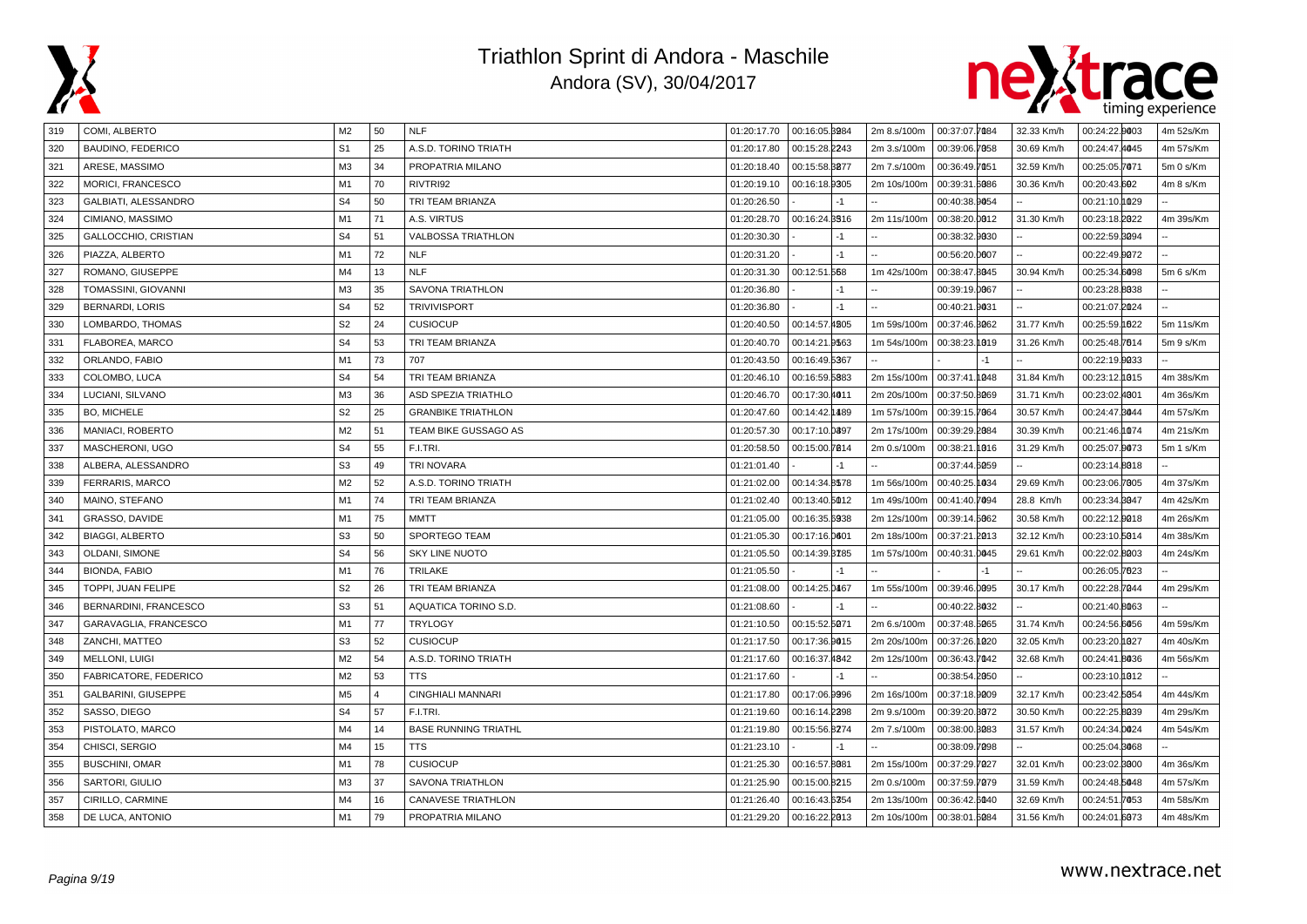



| 319 | COMI, ALBERTO              | M2             | 50             | <b>NLF</b>                  |             | 01:20:17.70  00:16:05.8984 | 2m 8.s/100m | 00:37:07.7084     | 32.33 Km/h | 00:24:22.0003 | 4m 52s/Km |
|-----|----------------------------|----------------|----------------|-----------------------------|-------------|----------------------------|-------------|-------------------|------------|---------------|-----------|
| 320 | <b>BAUDINO, FEDERICO</b>   | S <sub>1</sub> | 25             | A.S.D. TORINO TRIATH        | 01:20:17.80 | 00:15:28.2243              | 2m 3.s/100m | 00:39:06.7058     | 30.69 Km/h | 00:24:47.4045 | 4m 57s/Km |
| 321 | ARESE, MASSIMO             | M <sub>3</sub> | 34             | PROPATRIA MILANO            | 01:20:18.40 | 00:15:58.8877              | 2m 7.s/100m | 00:36:49.7051     | 32.59 Km/h | 00:25:05.7071 | 5m 0 s/Km |
| 322 | MORICI, FRANCESCO          | M1             | 70             | RIVTRI92                    | 01:20:19.10 | 00:16:18.9305              | 2m 10s/100m | 00:39:31.6086     | 30.36 Km/h | 00:20:43.602  | 4m 8 s/Km |
| 323 | GALBIATI, ALESSANDRO       | S <sub>4</sub> | 50             | TRI TEAM BRIANZA            | 01:20:26.50 |                            |             | 00:40:38.9054     |            | 00:21:10.0029 |           |
| 324 | CIMIANO, MASSIMO           | M <sub>1</sub> | 71             | A.S. VIRTUS                 | 01:20:28.70 | 00:16:24.8516              | 2m 11s/100m | 00:38:20.0012     | 31.30 Km/h | 00:23:18.2022 | 4m 39s/Km |
| 325 | GALLOCCHIO, CRISTIAN       | S <sub>4</sub> | 51             | <b>VALBOSSA TRIATHLON</b>   | 01:20:30.30 | $-1$                       |             | 00:38:32.9030     |            | 00:22:59.8094 |           |
| 326 | PIAZZA, ALBERTO            | M <sub>1</sub> | 72             | <b>NLF</b>                  | 01:20:31.20 | $-1$                       |             | 00:56:20.0007     |            | 00:22:49.9072 |           |
| 327 | ROMANO, GIUSEPPE           | M4             | 13             | <b>NLF</b>                  | 01:20:31.30 | 00:12:51.568               | 1m 42s/100m | 00:38:47.8045     | 30.94 Km/h | 00:25:34.6098 | 5m 6 s/Km |
| 328 | TOMASSINI, GIOVANNI        | M <sub>3</sub> | 35             | <b>SAVONA TRIATHLON</b>     | 01:20:36.80 | -1                         |             | 00:39:19.0067     |            | 00:23:28.8038 |           |
| 329 | <b>BERNARDI, LORIS</b>     | S <sub>4</sub> | 52             | <b>TRIVIVISPORT</b>         | 01:20:36.80 | $-1$                       |             | 00:40:21.9031     |            | 00:21:07.2024 |           |
| 330 | LOMBARDO, THOMAS           | S <sub>2</sub> | 24             | <b>CUSIOCUP</b>             | 01:20:40.50 | 00:14:57.4205              | 1m 59s/100m | 00:37:46.3062     | 31.77 Km/h | 00:25:59.1822 | 5m 11s/Km |
| 331 | FLABOREA, MARCO            | S <sub>4</sub> | 53             | TRI TEAM BRIANZA            | 01:20:40.70 | 00:14:21.9563              | 1m 54s/100m | 00:38:23.1019     | 31.26 Km/h | 00:25:48.7614 | 5m 9 s/Km |
| 332 | ORLANDO, FABIO             | M1             | 73             | 707                         | 01:20:43.50 | 00:16:49.5367              |             | $-1$              |            | 00:22:19.0033 |           |
| 333 | COLOMBO, LUCA              | S <sub>4</sub> | 54             | TRI TEAM BRIANZA            | 01:20:46.10 | 00:16:59.5883              | 2m 15s/100m | 00:37:41.1048     | 31.84 Km/h | 00:23:12.1015 | 4m 38s/Km |
| 334 | LUCIANI, SILVANO           | M <sub>3</sub> | 36             | <b>ASD SPEZIA TRIATHLO</b>  | 01:20:46.70 | 00:17:30.4011              | 2m 20s/100m | 00:37:50.8069     | 31.71 Km/h | 00:23:02.4001 | 4m 36s/Km |
| 335 | <b>BO, MICHELE</b>         | S <sub>2</sub> | 25             | <b>GRANBIKE TRIATHLON</b>   | 01:20:47.60 | 00:14:42.1489              | 1m 57s/100m | 00:39:15.7064     | 30.57 Km/h | 00:24:47.8044 | 4m 57s/Km |
| 336 | MANIACI, ROBERTO           | M <sub>2</sub> | 51             | TEAM BIKE GUSSAGO AS        | 01:20:57.30 | 00:17:10.0897              | 2m 17s/100m | 00:39:29.2084     | 30.39 Km/h | 00:21:46.1074 | 4m 21s/Km |
| 337 | MASCHERONI, UGO            | S <sub>4</sub> | 55             | F.I.TRI.                    | 01:20:58.50 | 00:15:00.7014              | 2m 0.s/100m | 00:38:21.<br>1016 | 31.29 Km/h | 00:25:07.0073 | 5m 1 s/Km |
| 338 | ALBERA, ALESSANDRO         | S <sub>3</sub> | 49             | <b>TRI NOVARA</b>           | 01:21:01.40 | -1                         |             | 00:37:44.6059     |            | 00:23:14.8018 |           |
| 339 | FERRARIS, MARCO            | M <sub>2</sub> | 52             | A.S.D. TORINO TRIATH        | 01:21:02.00 | 00:14:34.8578              | 1m 56s/100m | 00:40:25.1034     | 29.69 Km/h | 00:23:06.7005 | 4m 37s/Km |
| 340 | MAINO, STEFANO             | M1             | 74             | TRI TEAM BRIANZA            | 01:21:02.40 | 00:13:40.5012              | 1m 49s/100m | 00:41:40.7094     | 28.8 Km/h  | 00:23:34.8047 | 4m 42s/Km |
| 341 | GRASSO, DAVIDE             | M1             | 75             | MMTT                        | 01:21:05.00 | 00:16:35.6938              | 2m 12s/100m | 00:39:14.5062     | 30.58 Km/h | 00:22:12.0018 | 4m 26s/Km |
| 342 | <b>BIAGGI, ALBERTO</b>     | S <sub>3</sub> | 50             | SPORTEGO TEAM               | 01:21:05.30 | 00:17:16.0601              | 2m 18s/100m | 00:37:21.2013     | 32.12 Km/h | 00:23:10.5014 | 4m 38s/Km |
| 343 | OLDANI, SIMONE             | S <sub>4</sub> | 56             | <b>SKY LINE NUOTO</b>       | 01:21:05.50 | 00:14:39.3785              | 1m 57s/100m | 00:40:31.0045     | 29.61 Km/h | 00:22:02.8003 | 4m 24s/Km |
| 344 | <b>BIONDA, FABIO</b>       | M <sub>1</sub> | 76             | TRILAKE                     | 01:21:05.50 |                            |             |                   |            | 00:26:05.7623 |           |
| 345 | TOPPI, JUAN FELIPE         | S <sub>2</sub> | 26             | TRI TEAM BRIANZA            | 01:21:08.00 | 00:14:25.0467              | 1m 55s/100m | 00:39:46.0095     | 30.17 Km/h | 00:22:28.7044 | 4m 29s/Km |
| 346 | BERNARDINI, FRANCESCO      | S <sub>3</sub> | 51             | AQUATICA TORINO S.D.        | 01:21:08.60 |                            |             | 00:40:22.8032     |            | 00:21:40.8063 |           |
| 347 | GARAVAGLIA, FRANCESCO      | M1             | 77             | <b>TRYLOGY</b>              | 01:21:10.50 | 00:15:52.5071              | 2m 6.s/100m | 00:37:48.5065     | 31.74 Km/h | 00:24:56.6056 | 4m 59s/Km |
| 348 | ZANCHI, MATTEO             | S <sub>3</sub> | 52             | <b>CUSIOCUP</b>             | 01:21:17.50 | 00:17:36.9015              | 2m 20s/100m | 00:37:26.1020     | 32.05 Km/h | 00:23:20.0027 | 4m 40s/Km |
| 349 | MELLONI, LUIGI             | M <sub>2</sub> | 54             | A.S.D. TORINO TRIATH        | 01:21:17.60 | 00:16:37.4842              | 2m 12s/100m | 00:36:43.7042     | 32.68 Km/h | 00:24:41.8036 | 4m 56s/Km |
| 350 | FABRICATORE, FEDERICO      | M <sub>2</sub> | 53             | <b>TTS</b>                  | 01:21:17.60 |                            |             | 00:38:54.2050     |            | 00:23:10.1012 |           |
| 351 | <b>GALBARINI, GIUSEPPE</b> | M <sub>5</sub> | $\overline{4}$ | <b>CINGHIALI MANNARI</b>    | 01:21:17.80 | 00:17:06.9996              | 2m 16s/100m | 00:37:18.9009     | 32.17 Km/h | 00:23:42.5054 | 4m 44s/Km |
| 352 | SASSO, DIEGO               | S <sub>4</sub> | 57             | F.I.TRI.                    | 01:21:19.60 | 00:16:14.2398              | 2m 9.s/100m | 00:39:20.8072     | 30.50 Km/h | 00:22:25.8039 | 4m 29s/Km |
| 353 | PISTOLATO, MARCO           | M4             | 14             | <b>BASE RUNNING TRIATHL</b> | 01:21:19.80 | 00:15:56.8274              | 2m 7.s/100m | 00:38:00.3083     | 31.57 Km/h | 00:24:34.0024 | 4m 54s/Km |
| 354 | CHISCI, SERGIO             | M4             | 15             | <b>TTS</b>                  | 01:21:23.10 | $-1$                       |             | 00:38:09.7098     |            | 00:25:04.8068 |           |
| 355 | <b>BUSCHINI, OMAR</b>      | M <sub>1</sub> | 78             | <b>CUSIOCUP</b>             | 01:21:25.30 | 00:16:57.8081              | 2m 15s/100m | 00:37:29.7027     | 32.01 Km/h | 00:23:02.8000 | 4m 36s/Km |
| 356 | SARTORI, GIULIO            | M <sub>3</sub> | 37             | SAVONA TRIATHLON            | 01:21:25.90 | 00:15:00.8215              | 2m 0.s/100m | 00:37:59.7079     | 31.59 Km/h | 00:24:48.5048 | 4m 57s/Km |
| 357 | CIRILLO, CARMINE           | M4             | 16             | <b>CANAVESE TRIATHLON</b>   | 01:21:26.40 | 00:16:43.6354              | 2m 13s/100m | 00:36:42.6040     | 32.69 Km/h | 00:24:51.7053 | 4m 58s/Km |
| 358 | DE LUCA, ANTONIO           | M1             | 79             | PROPATRIA MILANO            | 01:21:29.20 | 00:16:22.2013              | 2m 10s/100m | 00:38:01.6084     | 31.56 Km/h | 00:24:01.6073 | 4m 48s/Km |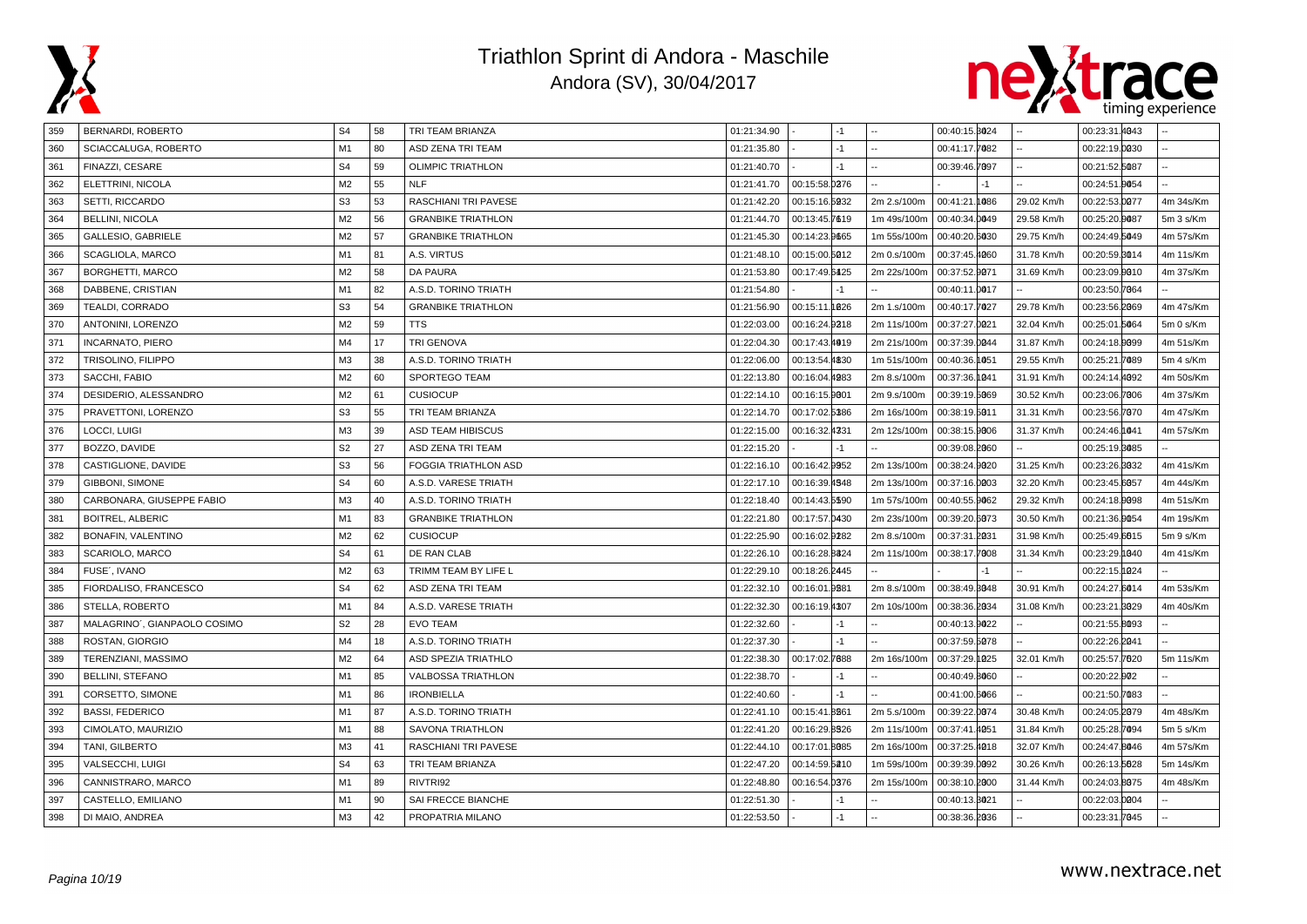



| 359 | BERNARDI, ROBERTO            | S <sub>4</sub> | 58 | TRI TEAM BRIANZA            | 01:21:34.90 |               | $-1$  |             | 00:40:15.8024 |      |            | 00:23:31.4043 |           |
|-----|------------------------------|----------------|----|-----------------------------|-------------|---------------|-------|-------------|---------------|------|------------|---------------|-----------|
| 360 | SCIACCALUGA, ROBERTO         | M1             | 80 | ASD ZENA TRI TEAM           | 01:21:35.80 |               | $-1$  |             | 00:41:17.7082 |      |            | 00:22:19.0030 |           |
| 361 | FINAZZI, CESARE              | S <sub>4</sub> | 59 | <b>OLIMPIC TRIATHLON</b>    | 01:21:40.70 |               | $-1$  |             | 00:39:46.7097 |      |            | 00:21:52.5087 |           |
| 362 | ELETTRINI, NICOLA            | M <sub>2</sub> | 55 | <b>NLF</b>                  | 01:21:41.70 | 00:15:58.0276 |       |             |               | $-1$ |            | 00:24:51.0054 |           |
| 363 | SETTI, RICCARDO              | S <sub>3</sub> | 53 | RASCHIANI TRI PAVESE        | 01:21:42.20 | 00:15:16.5932 |       | 2m 2.s/100m | 00:41:21.1086 |      | 29.02 Km/h | 00:22:53.0077 | 4m 34s/Km |
| 364 | <b>BELLINI, NICOLA</b>       | M <sub>2</sub> | 56 | <b>GRANBIKE TRIATHLON</b>   | 01:21:44.70 | 00:13:45.7619 |       | 1m 49s/100m | 00:40:34.0049 |      | 29.58 Km/h | 00:25:20.0087 | 5m 3 s/Km |
| 365 | GALLESIO, GABRIELE           | M <sub>2</sub> | 57 | <b>GRANBIKE TRIATHLON</b>   | 01:21:45.30 | 00:14:23.9665 |       | 1m 55s/100m | 00:40:20.6030 |      | 29.75 Km/h | 00:24:49.5049 | 4m 57s/Km |
| 366 | SCAGLIOLA, MARCO             | M1             | 81 | A.S. VIRTUS                 | 01:21:48.10 | 00:15:00.5012 |       | 2m 0.s/100m | 00:37:45.4060 |      | 31.78 Km/h | 00:20:59.3014 | 4m 11s/Km |
| 367 | <b>BORGHETTI, MARCO</b>      | M <sub>2</sub> | 58 | <b>DA PAURA</b>             | 01:21:53.80 | 00:17:49.6425 |       | 2m 22s/100m | 00:37:52.9071 |      | 31.69 Km/h | 00:23:09.0010 | 4m 37s/Km |
| 368 | DABBENE, CRISTIAN            | M1             | 82 | A.S.D. TORINO TRIATH        | 01:21:54.80 |               | $-1$  |             | 00:40:11.0017 |      |            | 00:23:50.7064 |           |
| 369 | TEALDI, CORRADO              | S <sub>3</sub> | 54 | <b>GRANBIKE TRIATHLON</b>   | 01:21:56.90 | 00:15:11.1826 |       | 2m 1.s/100m | 00:40:17.7027 |      | 29.78 Km/h | 00:23:56.2069 | 4m 47s/Km |
| 370 | ANTONINI, LORENZO            | M <sub>2</sub> | 59 | TTS                         | 01:22:03.00 | 00:16:24.9218 |       | 2m 11s/100m | 00:37:27.0021 |      | 32.04 Km/h | 00:25:01.5064 | 5m 0 s/Km |
| 371 | <b>INCARNATO, PIERO</b>      | M4             | 17 | TRI GENOVA                  | 01:22:04.30 | 00:17:43.4919 |       | 2m 21s/100m | 00:37:39.0044 |      | 31.87 Km/h | 00:24:18.0099 | 4m 51s/Km |
| 372 | TRISOLINO, FILIPPO           | M <sub>3</sub> | 38 | A.S.D. TORINO TRIATH        | 01:22:06.00 | 00:13:54.4830 |       | 1m 51s/100m | 00:40:36.1051 |      | 29.55 Km/h | 00:25:21.7089 | 5m 4 s/Km |
| 373 | SACCHI, FABIO                | M <sub>2</sub> | 60 | SPORTEGO TEAM               | 01:22:13.80 | 00:16:04.4983 |       | 2m 8.s/100m | 00:37:36.1041 |      | 31.91 Km/h | 00:24:14.4092 | 4m 50s/Km |
| 374 | DESIDERIO, ALESSANDRO        | M <sub>2</sub> | 61 | <b>CUSIOCUP</b>             | 01:22:14.10 | 00:16:15.9001 |       | 2m 9.s/100m | 00:39:19.5069 |      | 30.52 Km/h | 00:23:06.7006 | 4m 37s/Km |
| 375 | PRAVETTONI, LORENZO          | S <sub>3</sub> | 55 | TRI TEAM BRIANZA            | 01:22:14.70 | 00:17:02.5386 |       | 2m 16s/100m | 00:38:19.5011 |      | 31.31 Km/h | 00:23:56.7070 | 4m 47s/Km |
| 376 | LOCCI, LUIGI                 | M <sub>3</sub> | 39 | <b>ASD TEAM HIBISCUS</b>    | 01:22:15.00 | 00:16:32.4331 |       | 2m 12s/100m | 00:38:15.9006 |      | 31.37 Km/h | 00:24:46.1041 | 4m 57s/Km |
| 377 | BOZZO, DAVIDE                | S <sub>2</sub> | 27 | ASD ZENA TRI TEAM           | 01:22:15.20 |               | $-1$  |             | 00:39:08.2060 |      |            | 00:25:19.8085 |           |
| 378 | CASTIGLIONE, DAVIDE          | S <sub>3</sub> | 56 | <b>FOGGIA TRIATHLON ASD</b> | 01:22:16.10 | 00:16:42.9952 |       | 2m 13s/100m | 00:38:24.9020 |      | 31.25 Km/h | 00:23:26.8032 | 4m 41s/Km |
| 379 | GIBBONI, SIMONE              | S <sub>4</sub> | 60 | A.S.D. VARESE TRIATH        | 01:22:17.10 | 00:16:39.4548 |       | 2m 13s/100m | 00:37:16.0003 |      | 32.20 Km/h | 00:23:45.6057 | 4m 44s/Km |
| 380 | CARBONARA, GIUSEPPE FABIO    | M <sub>3</sub> | 40 | A.S.D. TORINO TRIATH        | 01:22:18.40 | 00:14:43.5590 |       | 1m 57s/100m | 00:40:55.9062 |      | 29.32 Km/h | 00:24:18.9098 | 4m 51s/Km |
| 381 | <b>BOITREL, ALBERIC</b>      | M1             | 83 | <b>GRANBIKE TRIATHLON</b>   | 01:22:21.80 | 00:17:57.0430 |       | 2m 23s/100m | 00:39:20.6073 |      | 30.50 Km/h | 00:21:36.0054 | 4m 19s/Km |
| 382 | BONAFIN, VALENTINO           | M <sub>2</sub> | 62 | <b>CUSIOCUP</b>             | 01:22:25.90 | 00:16:02.9282 |       | 2m 8.s/100m | 00:37:31.2031 |      | 31.98 Km/h | 00:25:49.6615 | 5m 9 s/Km |
| 383 | SCARIOLO, MARCO              | S <sub>4</sub> | 61 | DE RAN CLAB                 | 01:22:26.10 | 00:16:28.8324 |       | 2m 11s/100m | 00:38:17.7008 |      | 31.34 Km/h | 00:23:29.1040 | 4m 41s/Km |
| 384 | FUSE', IVANO                 | M <sub>2</sub> | 63 | TRIMM TEAM BY LIFE L        | 01:22:29.10 | 00:18:26.2445 |       |             |               | $-1$ |            | 00:22:15.1024 |           |
| 385 | FIORDALISO, FRANCESCO        | S <sub>4</sub> | 62 | ASD ZENA TRI TEAM           | 01:22:32.10 | 00:16:01      | .9881 | 2m 8.s/100m | 00:38:49.3048 |      | 30.91 Km/h | 00:24:27.6014 | 4m 53s/Km |
| 386 | STELLA, ROBERTO              | M <sub>1</sub> | 84 | A.S.D. VARESE TRIATH        | 01:22:32.30 | 00:16:19.4307 |       | 2m 10s/100m | 00:38:36.2034 |      | 31.08 Km/h | 00:23:21.8029 | 4m 40s/Km |
| 387 | MALAGRINO', GIANPAOLO COSIMO | S <sub>2</sub> | 28 | <b>EVO TEAM</b>             | 01:22:32.60 |               | $-1$  |             | 00:40:13.9022 |      |            | 00:21:55.8093 |           |
| 388 | ROSTAN, GIORGIO              | M4             | 18 | A.S.D. TORINO TRIATH        | 01:22:37.30 |               | $-1$  |             | 00:37:59.5078 |      |            | 00:22:26.2041 |           |
| 389 | TERENZIANI, MASSIMO          | M <sub>2</sub> | 64 | <b>ASD SPEZIA TRIATHLO</b>  | 01:22:38.30 | 00:17:02.7688 |       | 2m 16s/100m | 00:37:29.1025 |      | 32.01 Km/h | 00:25:57.7620 | 5m 11s/Km |
| 390 | <b>BELLINI, STEFANO</b>      | M1             | 85 | VALBOSSA TRIATHLON          | 01:22:38.70 |               | $-1$  |             | 00:40:49.8060 |      |            | 00:20:22.002  |           |
| 391 | CORSETTO, SIMONE             | M1             | 86 | <b>IRONBIELLA</b>           | 01:22:40.60 |               | $-1$  |             | 00:41:00.6066 |      |            | 00:21:50.7083 |           |
| 392 | <b>BASSI, FEDERICO</b>       | M1             | 87 | A.S.D. TORINO TRIATH        | 01:22:41.10 | 00:15:41.8861 |       | 2m 5.s/100m | 00:39:22.0074 |      | 30.48 Km/h | 00:24:05.2079 | 4m 48s/Km |
| 393 | CIMOLATO, MAURIZIO           | M1             | 88 | <b>SAVONA TRIATHLON</b>     | 01:22:41.20 | 00:16:29.8326 |       | 2m 11s/100m | 00:37:41.4051 |      | 31.84 Km/h | 00:25:28.7094 | 5m 5 s/Km |
| 394 | TANI, GILBERTO               | M3             | 41 | RASCHIANI TRI PAVESE        | 01:22:44.10 | 00:17:01.8085 |       | 2m 16s/100m | 00:37:25.4018 |      | 32.07 Km/h | 00:24:47.8046 | 4m 57s/Km |
| 395 | VALSECCHI, LUIGI             | S <sub>4</sub> | 63 | TRI TEAM BRIANZA            | 01:22:47.20 | 00:14:59.5210 |       | 1m 59s/100m | 00:39:39.0092 |      | 30.26 Km/h | 00:26:13.5628 | 5m 14s/Km |
| 396 | CANNISTRARO, MARCO           | M1             | 89 | RIVTRI92                    | 01:22:48.80 | 00:16:54.0376 |       | 2m 15s/100m | 00:38:10.2000 |      | 31.44 Km/h | 00:24:03.8075 | 4m 48s/Km |
| 397 | CASTELLO, EMILIANO           | M1             | 90 | SAI FRECCE BIANCHE          | 01:22:51.30 |               | $-1$  |             | 00:40:13.3021 |      |            | 00:22:03.0004 |           |
| 398 | DI MAIO, ANDREA              | MЗ             | 42 | PROPATRIA MILANO            | 01:22:53.50 |               | $-1$  |             | 00:38:36.2036 |      |            | 00:23:31.7045 |           |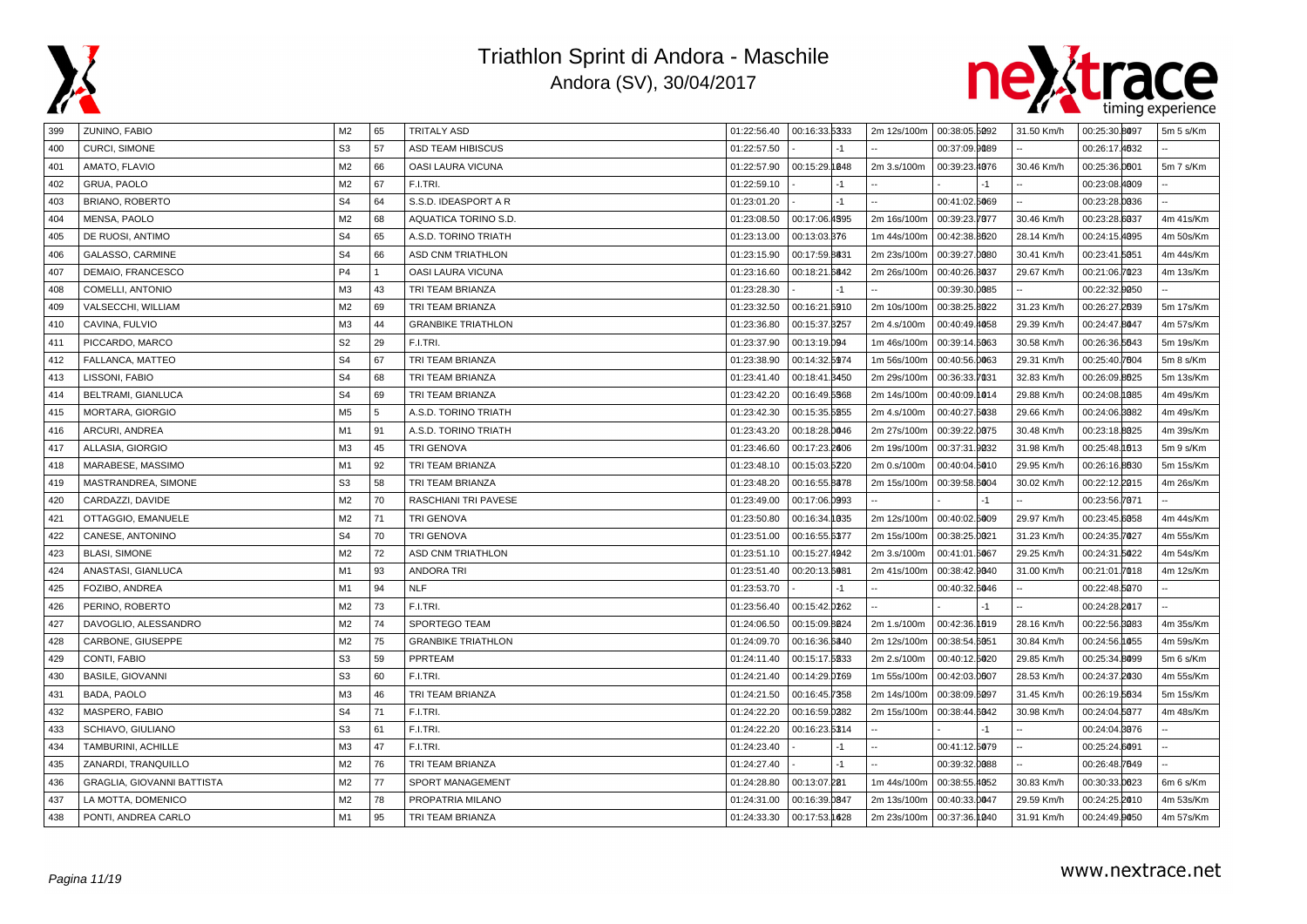



| 399 | ZUNINO, FABIO              | M <sub>2</sub> | 65                   | <b>TRITALY ASD</b>        | 01:22:56.40 | 00:16:33.5333 | 2m 12s/100m | 00:38:05.5092 | 31.50 Km/h | 00:25:30.8097 | 5m 5 s/Km |
|-----|----------------------------|----------------|----------------------|---------------------------|-------------|---------------|-------------|---------------|------------|---------------|-----------|
| 400 | <b>CURCI, SIMONE</b>       | S <sub>3</sub> | 57                   | ASD TEAM HIBISCUS         | 01:22:57.50 |               |             | 00:37:09.9089 |            | 00:26:17.4632 |           |
| 401 | AMATO, FLAVIO              | M <sub>2</sub> | 66                   | OASI LAURA VICUNA         | 01:22:57.90 | 00:15:29.1848 | 2m 3.s/100m | 00:39:23.4076 | 30.46 Km/h | 00:25:36.0001 | 5m 7 s/Km |
| 402 | GRUA, PAOLO                | M <sub>2</sub> | 67                   | F.I.TRI.                  | 01:22:59.10 | -1            |             |               |            | 00:23:08.4009 |           |
| 403 | BRIANO, ROBERTO            | S <sub>4</sub> | 64                   | S.S.D. IDEASPORT A R      | 01:23:01.20 | $-1$          |             | 00:41:02.5069 |            | 00:23:28.0036 |           |
| 404 | MENSA, PAOLO               | M <sub>2</sub> | 68                   | AQUATICA TORINO S.D.      | 01:23:08.50 | 00:17:06.4595 | 2m 16s/100m | 00:39:23.7077 | 30.46 Km/h | 00:23:28.6037 | 4m 41s/Km |
| 405 | DE RUOSI, ANTIMO           | S <sub>4</sub> | 65                   | A.S.D. TORINO TRIATH      | 01:23:13.00 | 00:13:03.376  | 1m 44s/100m | 00:42:38.8020 | 28.14 Km/h | 00:24:15.4095 | 4m 50s/Km |
| 406 | GALASSO, CARMINE           | S <sub>4</sub> | 66                   | ASD CNM TRIATHLON         | 01:23:15.90 | 00:17:59.8831 | 2m 23s/100m | 00:39:27.0080 | 30.41 Km/h | 00:23:41.5051 | 4m 44s/Km |
| 407 | DEMAIO, FRANCESCO          | <b>P4</b>      | $\blacktriangleleft$ | OASI LAURA VICUNA         | 01:23:16.60 | 00:18:21.6842 | 2m 26s/100m | 00:40:26.3037 | 29.67 Km/h | 00:21:06.7023 | 4m 13s/Km |
| 408 | COMELLI, ANTONIO           | M3             | 43                   | TRI TEAM BRIANZA          | 01:23:28.30 | -1            |             | 00:39:30.0085 |            | 00:22:32.0050 |           |
| 409 | VALSECCHI, WILLIAM         | M <sub>2</sub> | 69                   | TRI TEAM BRIANZA          | 01:23:32.50 | 00:16:21.6910 | 2m 10s/100m | 00:38:25.8022 | 31.23 Km/h | 00:26:27.2039 | 5m 17s/Km |
| 410 | CAVINA, FULVIO             | M <sub>3</sub> | 44                   | <b>GRANBIKE TRIATHLON</b> | 01:23:36.80 | 00:15:37.8257 | 2m 4.s/100m | 00:40:49.4058 | 29.39 Km/h | 00:24:47.8047 | 4m 57s/Km |
| 411 | PICCARDO, MARCO            | S <sub>2</sub> | 29                   | F.I.TRI.                  | 01:23:37.90 | 00:13:19.094  | 1m 46s/100m | 00:39:14.5063 | 30.58 Km/h | 00:26:36.5643 | 5m 19s/Km |
| 412 | FALLANCA, MATTEO           | S <sub>4</sub> | 67                   | TRI TEAM BRIANZA          | 01:23:38.90 | 00:14:32.5974 | 1m 56s/100m | 00:40:56.0063 | 29.31 Km/h | 00:25:40.7604 | 5m 8 s/Km |
| 413 | LISSONI, FABIO             | S <sub>4</sub> | 68                   | TRI TEAM BRIANZA          | 01:23:41.40 | 00:18:41.8450 | 2m 29s/100m | 00:36:33.7031 | 32.83 Km/h | 00:26:09.8025 | 5m 13s/Km |
| 414 | BELTRAMI, GIANLUCA         | S <sub>4</sub> | 69                   | TRI TEAM BRIANZA          | 01:23:42.20 | 00:16:49.5568 | 2m 14s/100m | 00:40:09.1014 | 29.88 Km/h | 00:24:08.1085 | 4m 49s/Km |
| 415 | MORTARA, GIORGIO           | M <sub>5</sub> | 5                    | A.S.D. TORINO TRIATH      | 01:23:42.30 | 00:15:35.5255 | 2m 4.s/100m | 00:40:27.5038 | 29.66 Km/h | 00:24:06.3082 | 4m 49s/Km |
| 416 | ARCURI, ANDREA             | M1             | 91                   | A.S.D. TORINO TRIATH      | 01:23:43.20 | 00:18:28.0046 | 2m 27s/100m | 00:39:22.0075 | 30.48 Km/h | 00:23:18.8025 | 4m 39s/Km |
| 417 | ALLASIA, GIORGIO           | M3             | 45                   | <b>TRI GENOVA</b>         | 01:23:46.60 | 00:17:23.2606 | 2m 19s/100m | 00:37:31.9032 | 31.98 Km/h | 00:25:48.1013 | 5m 9 s/Km |
| 418 | MARABESE, MASSIMO          | M <sub>1</sub> | 92                   | TRI TEAM BRIANZA          | 01:23:48.10 | 00:15:03.5220 | 2m 0.s/100m | 00:40:04.5010 | 29.95 Km/h | 00:26:16.8630 | 5m 15s/Km |
| 419 | MASTRANDREA, SIMONE        | S <sub>3</sub> | 58                   | TRI TEAM BRIANZA          | 01:23:48.20 | 00:16:55.8378 | 2m 15s/100m | 00:39:58.6004 | 30.02 Km/h | 00:22:12.2015 | 4m 26s/Km |
| 420 | CARDAZZI, DAVIDE           | M <sub>2</sub> | 70                   | RASCHIANI TRI PAVESE      | 01:23:49.00 | 00:17:06.0993 |             | $-1$          |            | 00:23:56.7071 |           |
| 421 | OTTAGGIO, EMANUELE         | M <sub>2</sub> | 71                   | TRI GENOVA                | 01:23:50.80 | 00:16:34.1035 | 2m 12s/100m | 00:40:02.5009 | 29.97 Km/h | 00:23:45.6058 | 4m 44s/Km |
| 422 | CANESE, ANTONINO           | S <sub>4</sub> | 70                   | <b>TRI GENOVA</b>         | 01:23:51.00 | 00:16:55.6377 | 2m 15s/100m | 00:38:25.0021 | 31.23 Km/h | 00:24:35.7027 | 4m 55s/Km |
| 423 | <b>BLASI, SIMONE</b>       | M2             | 72                   | <b>ASD CNM TRIATHLON</b>  | 01:23:51.10 | 00:15:27.4942 | 2m 3.s/100m | 00:41:01.5067 | 29.25 Km/h | 00:24:31.5022 | 4m 54s/Km |
| 424 | ANASTASI, GIANLUCA         | M <sub>1</sub> | 93                   | <b>ANDORA TRI</b>         | 01:23:51.40 | 00:20:13.6081 | 2m 41s/100m | 00:38:42.9040 | 31.00 Km/h | 00:21:01.7018 | 4m 12s/Km |
| 425 | FOZIBO, ANDREA             | M <sub>1</sub> | 94                   | <b>NLF</b>                | 01:23:53.70 | $-1$          |             | 00:40:32.6046 |            | 00:22:48.5070 |           |
| 426 | PERINO, ROBERTO            | M <sub>2</sub> | 73                   | F.I.TRI.                  | 01:23:56.40 | 00:15:42.0262 |             |               |            | 00:24:28.2017 |           |
| 427 | DAVOGLIO, ALESSANDRO       | M2             | 74                   | SPORTEGO TEAM             | 01:24:06.50 | 00:15:09.8024 | 2m 1.s/100m | 00:42:36.1019 | 28.16 Km/h | 00:22:56.3083 | 4m 35s/Km |
| 428 | CARBONE, GIUSEPPE          | M <sub>2</sub> | 75                   | <b>GRANBIKE TRIATHLON</b> | 01:24:09.70 | 00:16:36.6340 | 2m 12s/100m | 00:38:54.6051 | 30.84 Km/h | 00:24:56.1055 | 4m 59s/Km |
| 429 | CONTI, FABIO               | S <sub>3</sub> | 59                   | PPRTEAM                   | 01:24:11.40 | 00:15:17.5233 | 2m 2.s/100m | 00:40:12.5020 | 29.85 Km/h | 00:25:34.8099 | 5m 6 s/Km |
| 430 | <b>BASILE, GIOVANNI</b>    | S <sub>3</sub> | 60                   | F.I.TRI.                  | 01:24:21.40 | 00:14:29.0769 | 1m 55s/100m | 00:42:03.0607 | 28.53 Km/h | 00:24:37.2030 | 4m 55s/Km |
| 431 | BADA, PAOLO                | M <sub>3</sub> | 46                   | TRI TEAM BRIANZA          | 01:24:21.50 | 00:16:45.7358 | 2m 14s/100m | 00:38:09.6097 | 31.45 Km/h | 00:26:19.5634 | 5m 15s/Km |
| 432 | MASPERO, FABIO             | S <sub>4</sub> | 71                   | F.I.TRI.                  | 01:24:22.20 | 00:16:59.0282 | 2m 15s/100m | 00:38:44.6042 | 30.98 Km/h | 00:24:04.5077 | 4m 48s/Km |
| 433 | SCHIAVO, GIULIANO          | S <sub>3</sub> | 61                   | F.I.TRI.                  | 01:24:22.20 | 00:16:23.5314 |             |               |            | 00:24:04.8076 |           |
| 434 | TAMBURINI, ACHILLE         | M3             | 47                   | F.I.TRI.                  | 01:24:23.40 | -1            |             | 00:41:12.5079 |            | 00:25:24.6091 |           |
| 435 | ZANARDI, TRANQUILLO        | M2             | 76                   | TRI TEAM BRIANZA          | 01:24:27.40 | $-1$          |             | 00:39:32.0088 |            | 00:26:48.7649 |           |
| 436 | GRAGLIA, GIOVANNI BATTISTA | M2             | 77                   | SPORT MANAGEMENT          | 01:24:28.80 | 00:13:07.281  | 1m 44s/100m | 00:38:55.4052 | 30.83 Km/h | 00:30:33.0023 | 6m 6 s/Km |
| 437 | LA MOTTA, DOMENICO         | M <sub>2</sub> | 78                   | PROPATRIA MILANO          | 01:24:31.00 | 00:16:39.0847 | 2m 13s/100m | 00:40:33.0047 | 29.59 Km/h | 00:24:25.2010 | 4m 53s/Km |
| 438 | PONTI, ANDREA CARLO        | M1             | 95                   | TRI TEAM BRIANZA          | 01:24:33.30 | 00:17:53.1628 | 2m 23s/100m | 00:37:36.1040 | 31.91 Km/h | 00:24:49.0050 | 4m 57s/Km |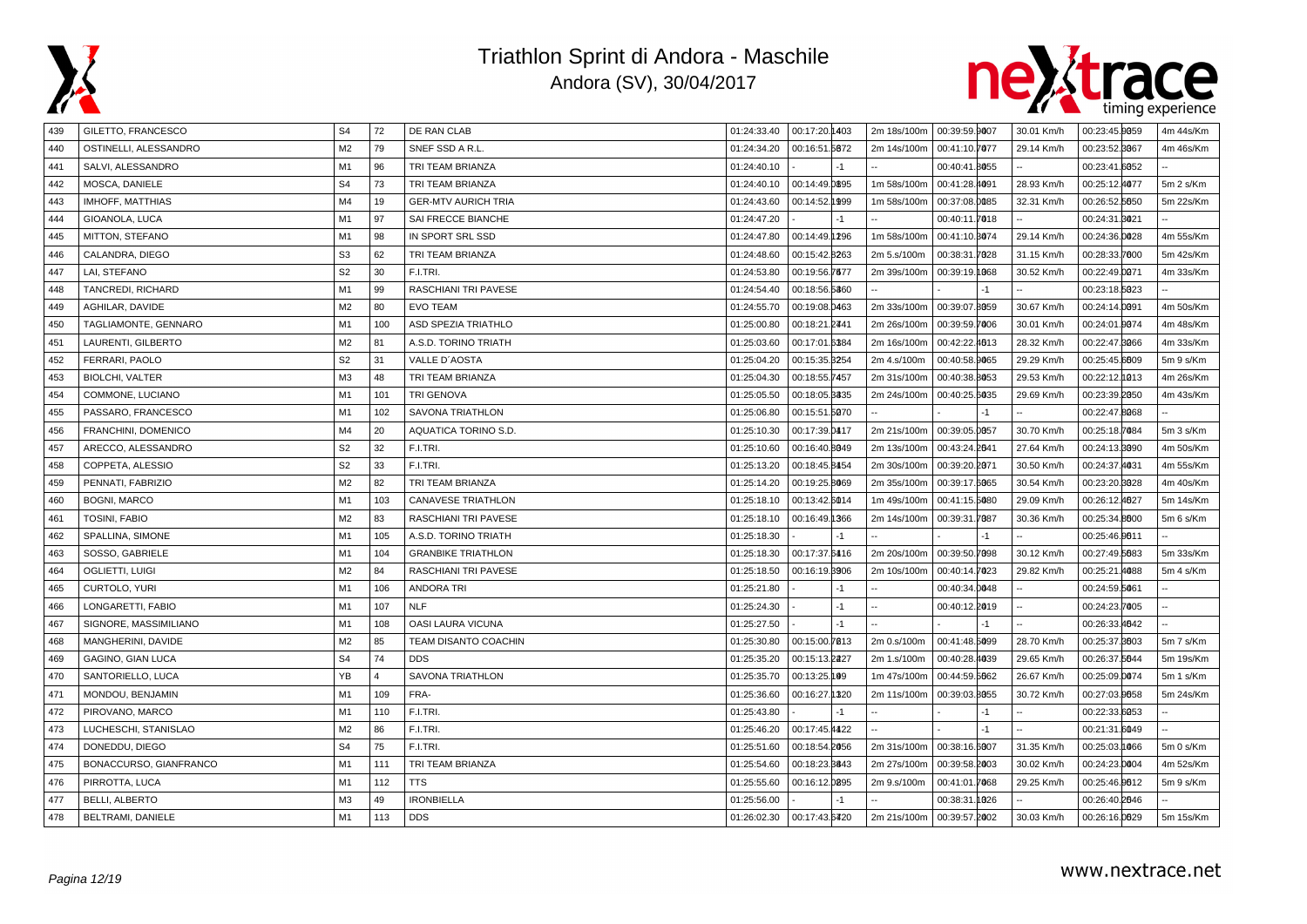



| 439 | GILETTO, FRANCESCO       | S <sub>4</sub> | 72             | DE RAN CLAB                | 01:24:33.40 | 00:17:20.1403 |      | 2m 18s/100m | 00:39:59.9007     | 30.01 Km/h | 00:23:45.0059 | 4m 44s/Km |
|-----|--------------------------|----------------|----------------|----------------------------|-------------|---------------|------|-------------|-------------------|------------|---------------|-----------|
| 440 | OSTINELLI, ALESSANDRO    | M2             | 79             | SNEF SSD A R.L             | 01:24:34.20 | 00:16:51.5672 |      | 2m 14s/100m | 00:41:10.7077     | 29.14 Km/h | 00:23:52.8067 | 4m 46s/Km |
| 441 | SALVI, ALESSANDRO        | M1             | 96             | TRI TEAM BRIANZA           | 01:24:40.10 |               | $-1$ |             | 00:40:41.8055     |            | 00:23:41.6052 |           |
| 442 | MOSCA, DANIELE           | S <sub>4</sub> | 73             | TRI TEAM BRIANZA           | 01:24:40.10 | 00:14:49.0895 |      | 1m 58s/100m | 00:41:28.4091     | 28.93 Km/h | 00:25:12.4077 | 5m 2 s/Km |
| 443 | IMHOFF, MATTHIAS         | M4             | 19             | <b>GER-MTV AURICH TRIA</b> | 01:24:43.60 | 00:14:52.1999 |      | 1m 58s/100m | 00:37:08.0085     | 32.31 Km/h | 00:26:52.5650 | 5m 22s/Km |
| 444 | GIOANOLA, LUCA           | M <sub>1</sub> | 97             | SAI FRECCE BIANCHE         | 01:24:47.20 |               |      |             | 00:40:11.7018     |            | 00:24:31.8021 |           |
| 445 | MITTON, STEFANO          | M1             | 98             | IN SPORT SRL SSD           | 01:24:47.80 | 00:14:49.1296 |      | 1m 58s/100m | 00:41:10.3074     | 29.14 Km/h | 00:24:36.0028 | 4m 55s/Km |
| 446 | CALANDRA, DIEGO          | S <sub>3</sub> | 62             | TRI TEAM BRIANZA           | 01:24:48.60 | 00:15:42.8263 |      | 2m 5.s/100m | 00:38:31.<br>7028 | 31.15 Km/h | 00:28:33.7000 | 5m 42s/Km |
| 447 | LAI, STEFANO             | S <sub>2</sub> | 30             | F.I.TRI.                   | 01:24:53.80 | 00:19:56.7677 |      | 2m 39s/100m | 00:39:19.1068     | 30.52 Km/h | 00:22:49.0071 | 4m 33s/Km |
| 448 | TANCREDI, RICHARD        | M <sub>1</sub> | 99             | RASCHIANI TRI PAVESE       | 01:24:54.40 | 00:18:56.5360 |      |             |                   |            | 00:23:18.5023 |           |
| 449 | AGHILAR, DAVIDE          | M <sub>2</sub> | 80             | <b>EVO TEAM</b>            | 01:24:55.70 | 00:19:08.0463 |      | 2m 33s/100m | 00:39:07.8059     | 30.67 Km/h | 00:24:14.0091 | 4m 50s/Km |
| 450 | TAGLIAMONTE, GENNARO     | M <sub>1</sub> | 100            | ASD SPEZIA TRIATHLO        | 01:25:00.80 | 00:18:21.2441 |      | 2m 26s/100m | 00:39:59.7006     | 30.01 Km/h | 00:24:01.0074 | 4m 48s/Km |
| 451 | LAURENTI, GILBERTO       | M <sub>2</sub> | 81             | A.S.D. TORINO TRIATH       | 01:25:03.60 | 00:17:01.6384 |      | 2m 16s/100m | 00:42:22.4013     | 28.32 Km/h | 00:22:47.8066 | 4m 33s/Km |
| 452 | FERRARI, PAOLO           | S <sub>2</sub> | 31             | VALLE D'AOSTA              | 01:25:04.20 | 00:15:35.3254 |      | 2m 4.s/100m | 00:40:58.9065     | 29.29 Km/h | 00:25:45.6009 | 5m 9 s/Km |
| 453 | <b>BIOLCHI, VALTER</b>   | M3             | 48             | TRI TEAM BRIANZA           | 01:25:04.30 | 00:18:55.7457 |      | 2m 31s/100m | 00:40:38.8053     | 29.53 Km/h | 00:22:12.1013 | 4m 26s/Km |
| 454 | COMMONE, LUCIANO         | M <sub>1</sub> | 101            | <b>TRI GENOVA</b>          | 01:25:05.50 | 00:18:05.3335 |      | 2m 24s/100m | 00:40:25.6035     | 29.69 Km/h | 00:23:39.2050 | 4m 43s/Km |
| 455 | PASSARO, FRANCESCO       | M <sub>1</sub> | 102            | SAVONA TRIATHLON           | 01:25:06.80 | 00:15:51.5070 |      |             |                   |            | 00:22:47.8068 |           |
| 456 | FRANCHINI, DOMENICO      | M4             | 20             | AQUATICA TORINO S.D.       | 01:25:10.30 | 00:17:39.0417 |      | 2m 21s/100m | 00:39:05.0057     | 30.70 Km/h | 00:25:18.7084 | 5m 3 s/Km |
| 457 | ARECCO, ALESSANDRO       | S <sub>2</sub> | 32             | F.I.TRI.                   | 01:25:10.60 | 00:16:40.8049 |      | 2m 13s/100m | 00:43:24.2041     | 27.64 Km/h | 00:24:13.8090 | 4m 50s/Km |
| 458 | COPPETA, ALESSIO         | S <sub>2</sub> | 33             | F.I.TRI.                   | 01:25:13.20 | 00:18:45.8454 |      | 2m 30s/100m | 00:39:20.2071     | 30.50 Km/h | 00:24:37.4031 | 4m 55s/Km |
| 459 | PENNATI, FABRIZIO        | M <sub>2</sub> | 82             | TRI TEAM BRIANZA           | 01:25:14.20 | 00:19:25.8069 |      | 2m 35s/100m | 00:39:17.6065     | 30.54 Km/h | 00:23:20.3028 | 4m 40s/Km |
| 460 | <b>BOGNI, MARCO</b>      | M1             | 103            | <b>CANAVESE TRIATHLON</b>  | 01:25:18.10 | 00:13:42.6014 |      | 1m 49s/100m | 00:41:15.5080     | 29.09 Km/h | 00:26:12.4627 | 5m 14s/Km |
| 461 | TOSINI, FABIO            | M2             | 83             | RASCHIANI TRI PAVESE       | 01:25:18.10 | 00:16:49.1366 |      | 2m 14s/100m | 00:39:31.7087     | 30.36 Km/h | 00:25:34.8000 | 5m 6 s/Km |
| 462 | SPALLINA, SIMONE         | M1             | 105            | A.S.D. TORINO TRIATH       | 01:25:18.30 |               | $-1$ |             |                   |            | 00:25:46.9611 |           |
| 463 | SOSSO, GABRIELE          | M1             | 104            | <b>GRANBIKE TRIATHLON</b>  | 01:25:18.30 | 00:17:37.6416 |      | 2m 20s/100m | 00:39:50.7098     | 30.12 Km/h | 00:27:49.5683 | 5m 33s/Km |
| 464 | OGLIETTI, LUIGI          | M2             | 84             | RASCHIANI TRI PAVESE       | 01:25:18.50 | 00:16:19.3906 |      | 2m 10s/100m | 00:40:14.7023     | 29.82 Km/h | 00:25:21.4088 | 5m 4 s/Km |
| 465 | CURTOLO, YURI            | M <sub>1</sub> | 106            | ANDORA TRI                 | 01:25:21.80 |               | -1   |             | 00:40:34.0048     |            | 00:24:59.5061 |           |
| 466 | LONGARETTI, FABIO        | M1             | 107            | <b>NLF</b>                 | 01:25:24.30 |               | $-1$ |             | 00:40:12.2019     |            | 00:24:23.7005 |           |
| 467 | SIGNORE, MASSIMILIANO    | M1             | 108            | OASI LAURA VICUNA          | 01:25:27.50 |               | $-1$ |             |                   |            | 00:26:33.4642 |           |
| 468 | MANGHERINI, DAVIDE       | M2             | 85             | TEAM DISANTO COACHIN       | 01:25:30.80 | 00:15:00.7813 |      | 2m 0.s/100m | 00:41:48.5099     | 28.70 Km/h | 00:25:37.8003 | 5m 7 s/Km |
| 469 | <b>GAGINO, GIAN LUCA</b> | S <sub>4</sub> | 74             | <b>DDS</b>                 | 01:25:35.20 | 00:15:13.2227 |      | 2m 1.s/100m | 00:40:28.4039     | 29.65 Km/h | 00:26:37.5644 | 5m 19s/Km |
| 470 | SANTORIELLO, LUCA        | YB             | $\overline{4}$ | SAVONA TRIATHLON           | 01:25:35.70 | 00:13:25.199  |      | 1m 47s/100m | 00:44:59.5662     | 26.67 Km/h | 00:25:09.0074 | 5m 1 s/Km |
| 471 | MONDOU, BENJAMIN         | M1             | 109            | FRA-                       | 01:25:36.60 | 00:16:27.1320 |      | 2m 11s/100m | 00:39:03.8055     | 30.72 Km/h | 00:27:03.0058 | 5m 24s/Km |
| 472 | PIROVANO, MARCO          | M <sub>1</sub> | 110            | F.I.TRI.                   | 01:25:43.80 |               | $-1$ |             | -1                |            | 00:22:33.6053 |           |
| 473 | LUCHESCHI, STANISLAO     | M2             | 86             | F.I.TRI.                   | 01:25:46.20 | 00:17:45.4422 |      |             | $-1$              |            | 00:21:31.6049 |           |
| 474 | DONEDDU, DIEGO           | S <sub>4</sub> | 75             | F.I.TRI.                   | 01:25:51.60 | 00:18:54.2056 |      | 2m 31s/100m | 00:38:16.6007     | 31.35 Km/h | 00:25:03.1066 | 5m 0 s/Km |
| 475 | BONACCURSO, GIANFRANCO   | M <sub>1</sub> | 111            | TRI TEAM BRIANZA           | 01:25:54.60 | 00:18:23.8843 |      | 2m 27s/100m | 00:39:58.2003     | 30.02 Km/h | 00:24:23.0004 | 4m 52s/Km |
| 476 | PIRROTTA, LUCA           | M1             | 112            | <b>TTS</b>                 | 01:25:55.60 | 00:16:12.0895 |      | 2m 9.s/100m | 00:41:01.7068     | 29.25 Km/h | 00:25:46.0012 | 5m 9 s/Km |
| 477 | <b>BELLI, ALBERTO</b>    | M3             | 49             | <b>IRONBIELLA</b>          | 01:25:56.00 |               | $-1$ |             | 00:38:31<br>1026  |            | 00:26:40.2046 |           |
| 478 | BELTRAMI, DANIELE        | M1             | 113            | <b>DDS</b>                 | 01:26:02.30 | 00:17:43.6420 |      | 2m 21s/100m | 00:39:57.2002     | 30.03 Km/h | 00:26:16.0029 | 5m 15s/Km |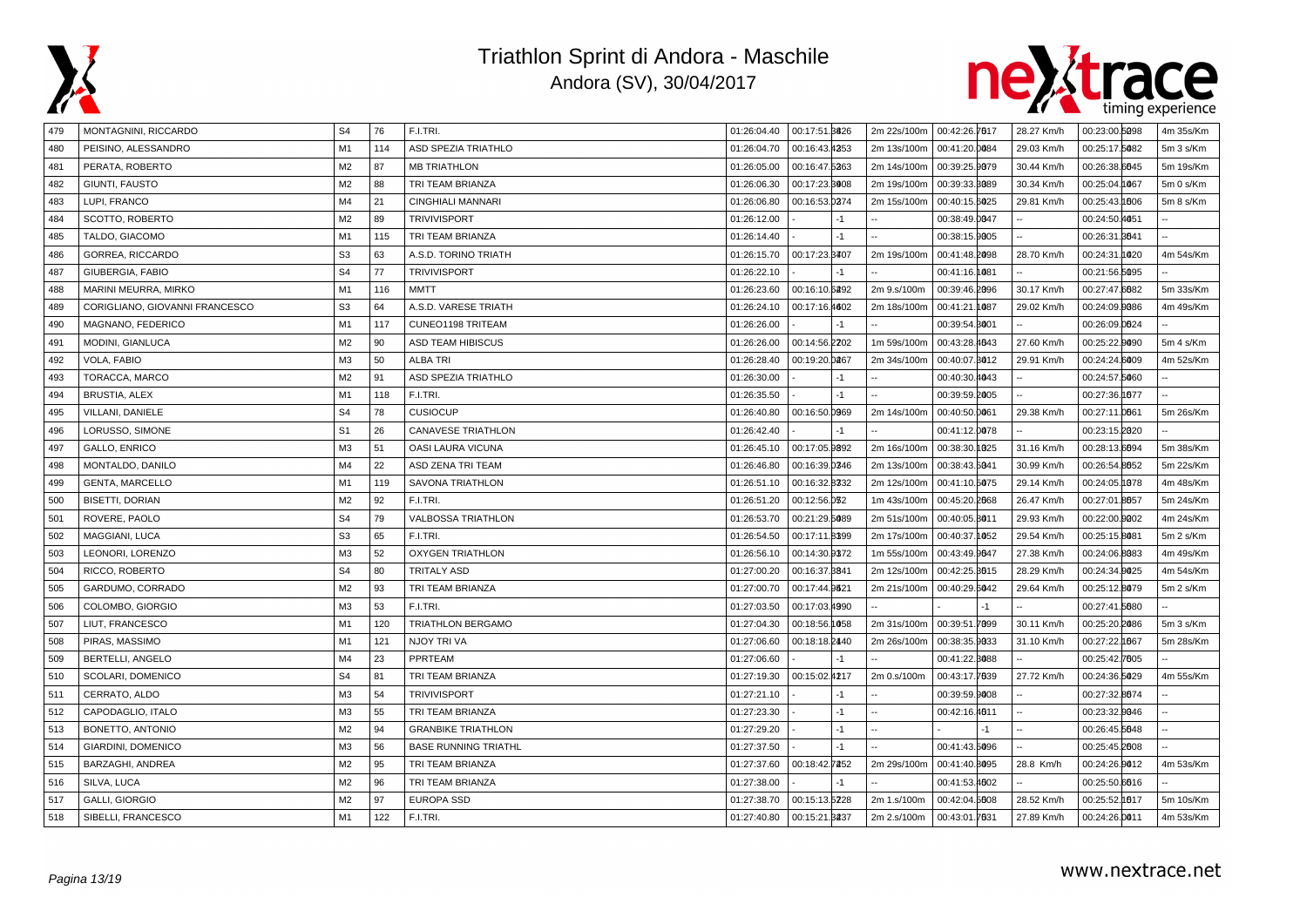



| 479 | MONTAGNINI, RICCARDO           | S4             | 76  | F.I.TRI.                    | 01:26:04.40  00:17:51.8826 |               |      |             | 2m 22s/100m   00:42:26.7617 | 28.27 Km/h | 00:23:00.5098 | 4m 35s/Km |
|-----|--------------------------------|----------------|-----|-----------------------------|----------------------------|---------------|------|-------------|-----------------------------|------------|---------------|-----------|
| 480 | PEISINO, ALESSANDRO            | M1             | 114 | ASD SPEZIA TRIATHLO         | 01:26:04.70                | 00:16:43.4353 |      | 2m 13s/100m | 00:41:20.0084               | 29.03 Km/h | 00:25:17.5082 | 5m 3 s/Km |
| 481 | PERATA, ROBERTO                | M <sub>2</sub> | 87  | <b>MB TRIATHLON</b>         | 01:26:05.00                | 00:16:47.5263 |      | 2m 14s/100m | 00:39:25.9079               | 30.44 Km/h | 00:26:38.6645 | 5m 19s/Km |
| 482 | GIUNTI, FAUSTO                 | M2             | 88  | TRI TEAM BRIANZA            | 01:26:06.30                | 00:17:23.8008 |      | 2m 19s/100m | 00:39:33.3089               | 30.34 Km/h | 00:25:04.1067 | 5m 0 s/Km |
| 483 | LUPI, FRANCO                   | M <sub>4</sub> | 21  | <b>CINGHIALI MANNARI</b>    | 01:26:06.80                | 00:16:53.0274 |      | 2m 15s/100m | 00:40:15.6025               | 29.81 Km/h | 00:25:43.1006 | 5m 8 s/Km |
| 484 | SCOTTO, ROBERTO                | M <sub>2</sub> | 89  | <b>TRIVIVISPORT</b>         | 01:26:12.00                |               | -1   |             | 00:38:49.0047               |            | 00:24:50.4051 |           |
| 485 | TALDO, GIACOMO                 | M <sub>1</sub> | 115 | TRI TEAM BRIANZA            | 01:26:14.40                |               | $-1$ |             | 00:38:15.9005               |            | 00:26:31.8641 |           |
| 486 | GORREA, RICCARDO               | S <sub>3</sub> | 63  | A.S.D. TORINO TRIATH        | 01:26:15.70                | 00:17:23.8407 |      | 2m 19s/100m | 00:41:48.2098               | 28.70 Km/h | 00:24:31.1020 | 4m 54s/Km |
| 487 | GIUBERGIA, FABIO               | S <sub>4</sub> | 77  | <b>TRIVIVISPORT</b>         | 01:26:22.10                |               |      |             | 00:41:16.1081               |            | 00:21:56.5095 |           |
| 488 | MARINI MEURRA, MIRKO           | M1             | 116 | <b>MMTT</b>                 | 01:26:23.60                | 00:16:10.6292 |      | 2m 9.s/100m | 00:39:46.2096               | 30.17 Km/h | 00:27:47.6682 | 5m 33s/Km |
| 489 | CORIGLIANO, GIOVANNI FRANCESCO | S <sub>3</sub> | 64  | A.S.D. VARESE TRIATH        | 01:26:24.10                | 00:17:16.4602 |      | 2m 18s/100m | 00:41:21.1087               | 29.02 Km/h | 00:24:09.0086 | 4m 49s/Km |
| 490 | MAGNANO, FEDERICO              | M1             | 117 | CUNEO1198 TRITEAM           | 01:26:26.00                |               | -1   |             | 00:39:54.8001               |            | 00:26:09.0624 |           |
| 491 | MODINI, GIANLUCA               | M2             | 90  | ASD TEAM HIBISCUS           | 01:26:26.00                | 00:14:56.2202 |      | 1m 59s/100m | 00:43:28.4643               | 27.60 Km/h | 00:25:22.0090 | 5m 4 s/Km |
| 492 | VOLA, FABIO                    | M3             | 50  | <b>ALBA TRI</b>             | 01:26:28.40                | 00:19:20.0267 |      | 2m 34s/100m | 00:40:07.8012               | 29.91 Km/h | 00:24:24.6009 | 4m 52s/Km |
| 493 | TORACCA, MARCO                 | M <sub>2</sub> | 91  | ASD SPEZIA TRIATHLO         | 01:26:30.00                |               | $-1$ |             | 00:40:30.4043               |            | 00:24:57.5060 |           |
| 494 | <b>BRUSTIA, ALEX</b>           | M <sub>1</sub> | 118 | F.I.TRI.                    | 01:26:35.50                |               | $-1$ |             | 00:39:59.2005               |            | 00:27:36.1877 |           |
| 495 | VILLANI, DANIELE               | S <sub>4</sub> | 78  | <b>CUSIOCUP</b>             | 01:26:40.80                | 00:16:50.0969 |      | 2m 14s/100m | 00:40:50.0061               | 29.38 Km/h | 00:27:11.0061 | 5m 26s/Km |
| 496 | LORUSSO, SIMONE                | S <sub>1</sub> | 26  | <b>CANAVESE TRIATHLON</b>   | 01:26:42.40                |               | -1   |             | 00:41:12.0078               |            | 00:23:15.2020 |           |
| 497 | GALLO, ENRICO                  | M3             | 51  | OASI LAURA VICUNA           | 01:26:45.10                | 00:17:05.9892 |      | 2m 16s/100m | 00:38:30.1025               | 31.16 Km/h | 00:28:13.6694 | 5m 38s/Km |
| 498 | MONTALDO, DANILO               | M <sub>4</sub> | 22  | ASD ZENA TRI TEAM           | 01:26:46.80                | 00:16:39.0346 |      | 2m 13s/100m | 00:38:43.5041               | 30.99 Km/h | 00:26:54.8052 | 5m 22s/Km |
| 499 | <b>GENTA, MARCELLO</b>         | M1             | 119 | <b>SAVONA TRIATHLON</b>     | 01:26:51.10                | 00:16:32.8332 |      | 2m 12s/100m | 00:41:10.5075               | 29.14 Km/h | 00:24:05.1078 | 4m 48s/Km |
| 500 | <b>BISETTI, DORIAN</b>         | M <sub>2</sub> | 92  | F.I.TRI.                    | 01:26:51.20                | 00:12:56.032  |      | 1m 43s/100m | 00:45:20.2068               | 26.47 Km/h | 00:27:01.8657 | 5m 24s/Km |
| 501 | ROVERE, PAOLO                  | S <sub>4</sub> | 79  | <b>VALBOSSA TRIATHLON</b>   | 01:26:53.70                | 00:21:29.5089 |      | 2m 51s/100m | 00:40:05.8011               | 29.93 Km/h | 00:22:00.0002 | 4m 24s/Km |
| 502 | MAGGIANI, LUCA                 | S <sub>3</sub> | 65  | F.I.TRI.                    | 01:26:54.50                | 00:17:11.8399 |      | 2m 17s/100m | 00:40:37.1052               | 29.54 Km/h | 00:25:15.8081 | 5m 2 s/Km |
| 503 | LEONORI, LORENZO               | M <sub>3</sub> | 52  | <b>OXYGEN TRIATHLON</b>     | 01:26:56.10                | 00:14:30.9372 |      | 1m 55s/100m | 00:43:49.9647               | 27.38 Km/h | 00:24:06.8083 | 4m 49s/Km |
| 504 | RICCO, ROBERTO                 | S <sub>4</sub> | 80  | <b>TRITALY ASD</b>          | 01:27:00.20                | 00:16:37.8841 |      | 2m 12s/100m | 00:42:25.3015               | 28.29 Km/h | 00:24:34.9025 | 4m 54s/Km |
| 505 | GARDUMO, CORRADO               | M <sub>2</sub> | 93  | TRI TEAM BRIANZA            | 01:27:00.70                | 00:17:44.9621 |      | 2m 21s/100m | 00:40:29.6042               | 29.64 Km/h | 00:25:12.8079 | 5m 2 s/Km |
| 506 | COLOMBO, GIORGIO               | M <sub>3</sub> | 53  | F.I.TRI.                    | 01:27:03.50                | 00:17:03.4990 |      |             |                             |            | 00:27:41.5680 |           |
| 507 | LIUT, FRANCESCO                | M <sub>1</sub> | 120 | <b>TRIATHLON BERGAMO</b>    | 01:27:04.30                | 00:18:56.1058 |      | 2m 31s/100m | 00:39:51.7099               | 30.11 Km/h | 00:25:20.2086 | 5m 3 s/Km |
| 508 | PIRAS, MASSIMO                 | M <sub>1</sub> | 121 | NJOY TRI VA                 | 01:27:06.60                | 00:18:18.2440 |      | 2m 26s/100m | 00:38:35.9033               | 31.10 Km/h | 00:27:22.1667 | 5m 28s/Km |
| 509 | BERTELLI, ANGELO               | M4             | 23  | PPRTEAM                     | 01:27:06.60                |               | $-1$ |             | 00:41:22.8088               |            | 00:25:42.7605 |           |
| 510 | SCOLARI, DOMENICO              | S <sub>4</sub> | 81  | TRI TEAM BRIANZA            | 01:27:19.30                | 00:15:02.4217 |      | 2m 0.s/100m | 00:43:17.7639               | 27.72 Km/h | 00:24:36.5029 | 4m 55s/Km |
| 511 | CERRATO, ALDO                  | M3             | 54  | <b>TRIVIVISPORT</b>         | 01:27:21.10                |               | $-1$ |             | 00:39:59.9008               |            | 00:27:32.8674 |           |
| 512 | CAPODAGLIO, ITALO              | M3             | 55  | TRI TEAM BRIANZA            | 01:27:23.30                |               | $-1$ | ÷.          | 00:42:16.4011               |            | 00:23:32.0046 |           |
| 513 | BONETTO, ANTONIO               | M <sub>2</sub> | 94  | <b>GRANBIKE TRIATHLON</b>   | 01:27:29.20                |               | $-1$ |             | $-1$                        |            | 00:26:45.5648 |           |
| 514 | GIARDINI, DOMENICO             | M <sub>3</sub> | 56  | <b>BASE RUNNING TRIATHL</b> | 01:27:37.50                |               | $-1$ |             | 00:41:43.5096               |            | 00:25:45.2008 |           |
| 515 | BARZAGHI, ANDREA               | M2             | 95  | TRI TEAM BRIANZA            | 01:27:37.60                | 00:18:42.7252 |      | 2m 29s/100m | 00:41:40.8095               | 28.8 Km/h  | 00:24:26.0012 | 4m 53s/Km |
| 516 | SILVA, LUCA                    | M <sub>2</sub> | 96  | TRI TEAM BRIANZA            | 01:27:38.00                |               | $-1$ |             | 00:41:53.4602               |            | 00:25:50.6616 |           |
| 517 | <b>GALLI, GIORGIO</b>          | M2             | 97  | <b>EUROPA SSD</b>           | 01:27:38.70                | 00:15:13.5228 |      | 2m 1.s/100m | 00:42:04.5608               | 28.52 Km/h | 00:25:52.1017 | 5m 10s/Km |
| 518 | SIBELLI, FRANCESCO             | M1             | 122 | F.I.TRI.                    | 01:27:40.80                | 00:15:21.3237 |      | 2m 2.s/100m | 00:43:01.7631               | 27.89 Km/h | 00:24:26.0011 | 4m 53s/Km |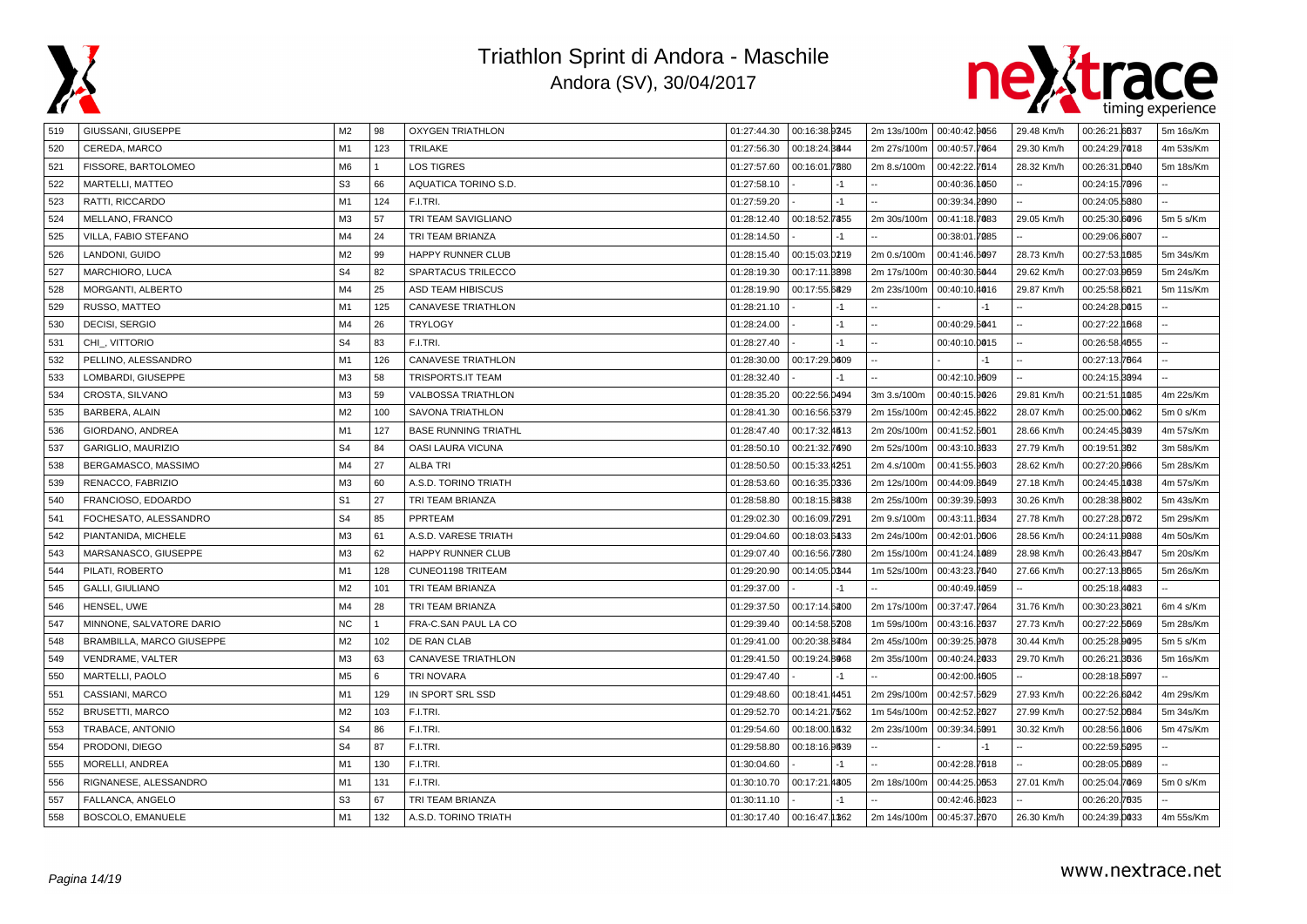



| 519 | GIUSSANI, GIUSEPPE        | M2             | 98           | <b>OXYGEN TRIATHLON</b>     | 01:27:44.30 | 00:16:38.9345               | 2m 13s/100m 00:40:42.9056 |               |      | 29.48 Km/h | 00:26:21.6637 | 5m 16s/Km |
|-----|---------------------------|----------------|--------------|-----------------------------|-------------|-----------------------------|---------------------------|---------------|------|------------|---------------|-----------|
| 520 | CEREDA, MARCO             | M1             | 123          | <b>TRILAKE</b>              | 01:27:56.30 | 00:18:24.8844               | 2m 27s/100m               | 00:40:57.7064 |      | 29.30 Km/h | 00:24:29.7018 | 4m 53s/Km |
| 521 | FISSORE, BARTOLOMEO       | M <sub>6</sub> | $\mathbf{1}$ | <b>LOS TIGRES</b>           | 01:27:57.60 | 00:16:01.7980               | 2m 8.s/100m               | 00:42:22.7614 |      | 28.32 Km/h | 00:26:31.0040 | 5m 18s/Km |
| 522 | MARTELLI, MATTEO          | S <sub>3</sub> | 66           | AQUATICA TORINO S.D.        | 01:27:58.10 | $-1$                        |                           | 00:40:36.1050 |      |            | 00:24:15.7096 |           |
| 523 | RATTI, RICCARDO           | M1             | 124          | F.I.TRI.                    | 01:27:59.20 | $-1$                        |                           | 00:39:34.2090 |      |            | 00:24:05.5080 |           |
| 524 | MELLANO, FRANCO           | M3             | 57           | TRI TEAM SAVIGLIANO         | 01:28:12.40 | 00:18:52.7355               | 2m 30s/100m               | 00:41:18.7083 |      | 29.05 Km/h | 00:25:30.6096 | 5m 5 s/Km |
| 525 | VILLA, FABIO STEFANO      | M4             | 24           | TRI TEAM BRIANZA            | 01:28:14.50 | $-1$                        |                           | 00:38:01.7085 |      |            | 00:29:06.6007 |           |
| 526 | LANDONI, GUIDO            | M <sub>2</sub> | 99           | HAPPY RUNNER CLUB           | 01:28:15.40 | 00:15:03.0219               | 2m 0.s/100m               | 00:41:46.6097 |      | 28.73 Km/h | 00:27:53.1885 | 5m 34s/Km |
| 527 | MARCHIORO, LUCA           | S <sub>4</sub> | 82           | SPARTACUS TRILECCO          | 01:28:19.30 | 00:17:11.8898               | 2m 17s/100m               | 00:40:30.6044 |      | 29.62 Km/h | 00:27:03.9659 | 5m 24s/Km |
| 528 | MORGANTI, ALBERTO         | M <sub>4</sub> | 25           | ASD TEAM HIBISCUS           | 01:28:19.90 | 00:17:55.6829               | 2m 23s/100m               | 00:40:10.4016 |      | 29.87 Km/h | 00:25:58.6621 | 5m 11s/Km |
| 529 | RUSSO, MATTEO             | M1             | 125          | <b>CANAVESE TRIATHLON</b>   | 01:28:21.10 | $-1$                        |                           |               | $-1$ |            | 00:24:28.0015 |           |
| 530 | DECISI, SERGIO            | M4             | 26           | <b>TRYLOGY</b>              | 01:28:24.00 | $-1$                        |                           | 00:40:29.5041 |      |            | 00:27:22.1668 |           |
| 531 | CHI_, VITTORIO            | S <sub>4</sub> | 83           | F.I.TRI.                    | 01:28:27.40 | $-1$                        |                           | 00:40:10.0015 |      |            | 00:26:58.4655 |           |
| 532 | PELLINO, ALESSANDRO       | M1             | 126          | <b>CANAVESE TRIATHLON</b>   | 01:28:30.00 | 00:17:29.0609               |                           |               | $-1$ |            | 00:27:13.7664 |           |
| 533 | LOMBARDI, GIUSEPPE        | M <sub>3</sub> | 58           | TRISPORTS.IT TEAM           | 01:28:32.40 | $-1$                        |                           | 00:42:10.9609 |      |            | 00:24:15.3094 |           |
| 534 | CROSTA, SILVANO           | M3             | 59           | <b>VALBOSSA TRIATHLON</b>   | 01:28:35.20 | 00:22:56.0494               | 3m 3.s/100m               | 00:40:15.9026 |      | 29.81 Km/h | 00:21:51.1085 | 4m 22s/Km |
| 535 | <b>BARBERA, ALAIN</b>     | M <sub>2</sub> | 100          | <b>SAVONA TRIATHLON</b>     | 01:28:41.30 | 00:16:56.5379               | 2m 15s/100m               | 00:42:45.8622 |      | 28.07 Km/h | 00:25:00.0062 | 5m 0 s/Km |
| 536 | GIORDANO, ANDREA          | M1             | 127          | <b>BASE RUNNING TRIATHL</b> | 01:28:47.40 | 00:17:32.4513               | 2m 20s/100m               | 00:41:52.5601 |      | 28.66 Km/h | 00:24:45.3039 | 4m 57s/Km |
| 537 | GARIGLIO, MAURIZIO        | S <sub>4</sub> | 84           | OASI LAURA VICUNA           | 01:28:50.10 | 00:21:32.7690               | 2m 52s/100m               | 00:43:10.3033 |      | 27.79 Km/h | 00:19:51.862  | 3m 58s/Km |
| 538 | BERGAMASCO, MASSIMO       | M4             | 27           | <b>ALBA TRI</b>             | 01:28:50.50 | 00:15:33.4251               | 2m 4.s/100m               | 00:41:55.9603 |      | 28.62 Km/h | 00:27:20.0666 | 5m 28s/Km |
| 539 | RENACCO, FABRIZIO         | M <sub>3</sub> | 60           | A.S.D. TORINO TRIATH        | 01:28:53.60 | 00:16:35.0336               | 2m 12s/100m               | 00:44:09.8649 |      | 27.18 Km/h | 00:24:45.1038 | 4m 57s/Km |
| 540 | FRANCIOSO, EDOARDO        | S <sub>1</sub> | 27           | TRI TEAM BRIANZA            | 01:28:58.80 | 00:18:15.8838               | 2m 25s/100m               | 00:39:39.5093 |      | 30.26 Km/h | 00:28:38.8002 | 5m 43s/Km |
| 541 | FOCHESATO, ALESSANDRO     | S <sub>4</sub> | 85           | PPRTEAM                     | 01:29:02.30 | 00:16:09.7291               | 2m 9.s/100m               | 00:43:11.8634 |      | 27.78 Km/h | 00:27:28.0072 | 5m 29s/Km |
| 542 | PIANTANIDA, MICHELE       | M <sub>3</sub> | 61           | A.S.D. VARESE TRIATH        | 01:29:04.60 | 00:18:03.6433               | 2m 24s/100m               | 00:42:01.0006 |      | 28.56 Km/h | 00:24:11.0088 | 4m 50s/Km |
| 543 | MARSANASCO, GIUSEPPE      | M3             | 62           | HAPPY RUNNER CLUB           | 01:29:07.40 | 00:16:56.7380               | 2m 15s/100m               | 00:41:24.1089 |      | 28.98 Km/h | 00:26:43.8647 | 5m 20s/Km |
| 544 | PILATI, ROBERTO           | M <sub>1</sub> | 128          | CUNEO1198 TRITEAM           | 01:29:20.90 | 00:14:05.0344               | 1m 52s/100m               | 00:43:23.7640 |      | 27.66 Km/h | 00:27:13.8665 | 5m 26s/Km |
| 545 | <b>GALLI, GIULIANO</b>    | M <sub>2</sub> | 101          | TRI TEAM BRIANZA            | 01:29:37.00 | -1                          |                           | 00:40:49.4059 |      |            | 00:25:18.4083 |           |
| 546 | HENSEL, UWE               | M <sub>4</sub> | 28           | TRI TEAM BRIANZA            | 01:29:37.50 | 00:17:14.6200               | 2m 17s/100m               | 00:37:47.7064 |      | 31.76 Km/h | 00:30:23.8021 | 6m 4 s/Km |
| 547 | MINNONE, SALVATORE DARIO  | <b>NC</b>      |              | FRA-C.SAN PAUL LA CO        | 01:29:39.40 | 00:14:58.5208               | 1m 59s/100m               | 00:43:16.2037 |      | 27.73 Km/h | 00:27:22.5669 | 5m 28s/Km |
| 548 | BRAMBILLA, MARCO GIUSEPPE | M <sub>2</sub> | 102          | DE RAN CLAB                 | 01:29:41.00 | 00:20:38.8484               | 2m 45s/100m               | 00:39:25.9078 |      | 30.44 Km/h | 00:25:28.0095 | 5m 5 s/Km |
| 549 | VENDRAME, VALTER          | M <sub>3</sub> | 63           | CANAVESE TRIATHLON          | 01:29:41.50 | 00:19:24.8068               | 2m 35s/100m               | 00:40:24.2033 |      | 29.70 Km/h | 00:26:21.3636 | 5m 16s/Km |
| 550 | MARTELLI, PAOLO           | M <sub>5</sub> | 6            | <b>TRI NOVARA</b>           | 01:29:47.40 | $-1$                        |                           | 00:42:00.4605 |      |            | 00:28:18.5697 |           |
| 551 | CASSIANI, MARCO           | M <sub>1</sub> | 129          | IN SPORT SRL SSD            | 01:29:48.60 | 00:18:41.4451               | 2m 29s/100m               | 00:42:57.5629 |      | 27.93 Km/h | 00:22:26.6042 | 4m 29s/Km |
| 552 | <b>BRUSETTI, MARCO</b>    | M <sub>2</sub> | 103          | F.I.TRI.                    | 01:29:52.70 | 00:14:21.7562               | 1m 54s/100m               | 00:42:52.2027 |      | 27.99 Km/h | 00:27:52.0684 | 5m 34s/Km |
| 553 | TRABACE, ANTONIO          | S <sub>4</sub> | 86           | F.I.TRI.                    | 01:29:54.60 | 00:18:00.1532               | 2m 23s/100m               | 00:39:34.6091 |      | 30.32 Km/h | 00:28:56.1006 | 5m 47s/Km |
| 554 | PRODONI, DIEGO            | S <sub>4</sub> | 87           | F.I.TRI.                    | 01:29:58.80 | 00:18:16.9539               |                           |               | $-1$ |            | 00:22:59.5095 |           |
| 555 | MORELLI, ANDREA           | M1             | 130          | F.I.TRI.                    | 01:30:04.60 | -1                          |                           | 00:42:28.7018 |      |            | 00:28:05.0689 |           |
| 556 | RIGNANESE, ALESSANDRO     | M1             | 131          | F.I.TRI.                    | 01:30:10.70 | 00:17:21.4305               | 2m 18s/100m               | 00:44:25.0053 |      | 27.01 Km/h | 00:25:04.7069 | 5m 0 s/Km |
| 557 | FALLANCA, ANGELO          | S <sub>3</sub> | 67           | TRI TEAM BRIANZA            | 01:30:11.10 | $-1$                        |                           | 00:42:46.8023 |      |            | 00:26:20.7635 |           |
| 558 | BOSCOLO, EMANUELE         | M1             | 132          | A.S.D. TORINO TRIATH        |             | $01:30:17.40$ 00:16:47.1362 | 2m 14s/100m 00:45:37.2070 |               |      | 26.30 Km/h | 00:24:39.0033 | 4m 55s/Km |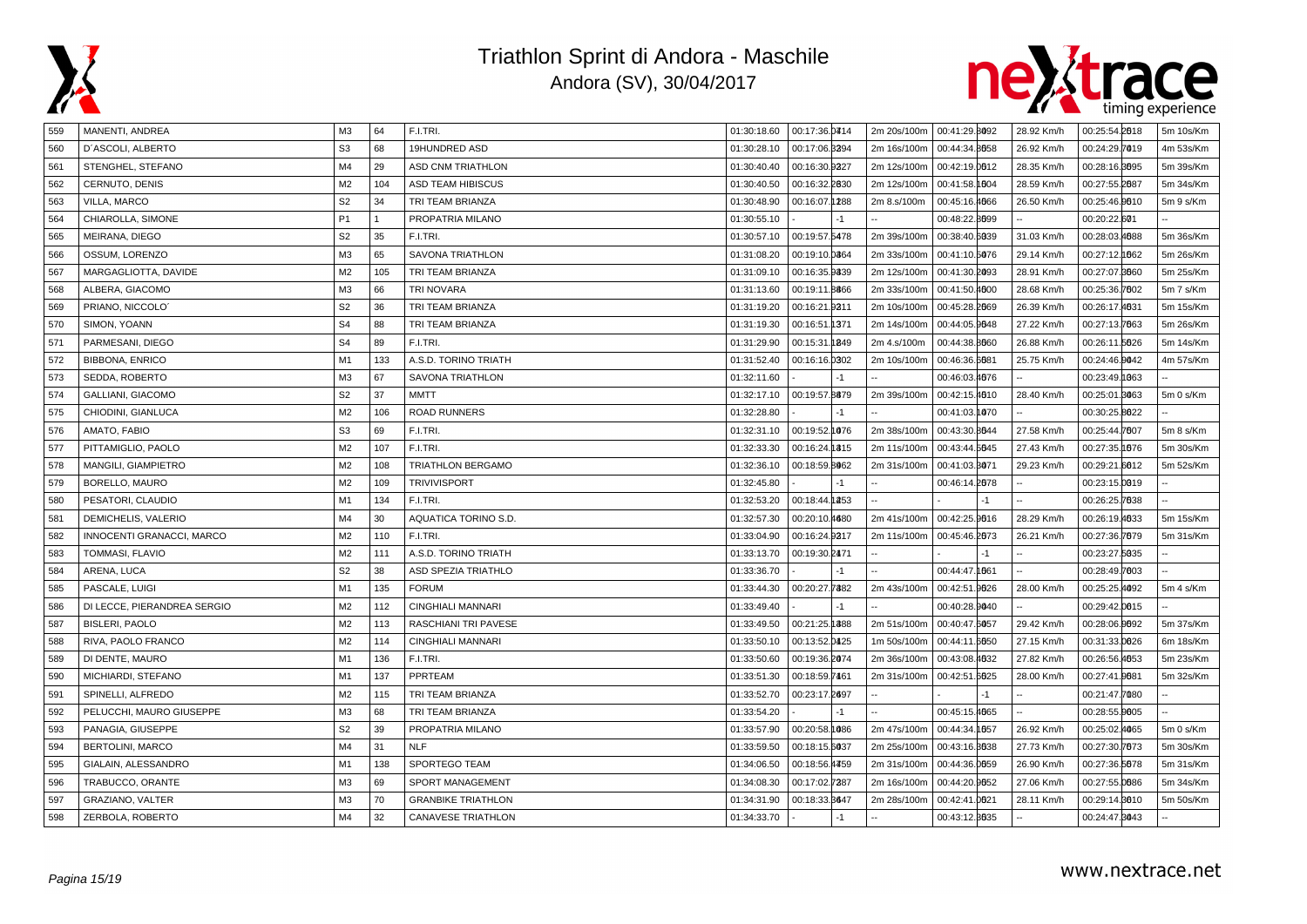



| 559 | MANENTI, ANDREA             | M3             | 64  | F.I.TRI.                  | 01:30:18.60 | 00:17:36.0414 |             | 2m 20s/100m   00:41:29.8092 | 28.92 Km/h | 00:25:54.2018 | 5m 10s/Km |
|-----|-----------------------------|----------------|-----|---------------------------|-------------|---------------|-------------|-----------------------------|------------|---------------|-----------|
| 560 | D'ASCOLI, ALBERTO           | S <sub>3</sub> | 68  | 19HUNDRED ASD             | 01:30:28.10 | 00:17:06.3394 | 2m 16s/100m | 00:44:34.8058               | 26.92 Km/h | 00:24:29.7019 | 4m 53s/Km |
| 561 | STENGHEL, STEFANO           | M <sub>4</sub> | 29  | <b>ASD CNM TRIATHLON</b>  | 01:30:40.40 | 00:16:30.9327 | 2m 12s/100m | 00:42:19.0012               | 28.35 Km/h | 00:28:16.3095 | 5m 39s/Km |
| 562 | CERNUTO, DENIS              | M <sub>2</sub> | 104 | ASD TEAM HIBISCUS         | 01:30:40.50 | 00:16:32.2830 | 2m 12s/100m | 00:41:58.1004               | 28.59 Km/h | 00:27:55.2087 | 5m 34s/Km |
| 563 | VILLA, MARCO                | S <sub>2</sub> | 34  | TRI TEAM BRIANZA          | 01:30:48.90 | 00:16:07.1288 | 2m 8.s/100m | 00:45:16.4666               | 26.50 Km/h | 00:25:46.0010 | 5m 9 s/Km |
| 564 | CHIAROLLA, SIMONE           | P <sub>1</sub> |     | PROPATRIA MILANO          | 01:30:55.10 | -1            |             | 00:48:22.8099               |            | 00:20:22.601  |           |
| 565 | MEIRANA, DIEGO              | S <sub>2</sub> | 35  | F.I.TRI.                  | 01:30:57.10 | 00:19:57.5478 | 2m 39s/100m | 00:38:40.6039               | 31.03 Km/h | 00:28:03.4688 | 5m 36s/Km |
| 566 | OSSUM, LORENZO              | M <sub>3</sub> | 65  | SAVONA TRIATHLON          | 01:31:08.20 | 00:19:10.0864 | 2m 33s/100m | 00:41:10.5076               | 29.14 Km/h | 00:27:12.062  | 5m 26s/Km |
| 567 | MARGAGLIOTTA, DAVIDE        | M <sub>2</sub> | 105 | TRI TEAM BRIANZA          | 01:31:09.10 | 00:16:35.9339 | 2m 12s/100m | 00:41:30.2093               | 28.91 Km/h | 00:27:07.8660 | 5m 25s/Km |
| 568 | ALBERA, GIACOMO             | M <sub>3</sub> | 66  | <b>TRI NOVARA</b>         | 01:31:13.60 | 00:19:11.8866 | 2m 33s/100m | 00:41:50.4000               | 28.68 Km/h | 00:25:36.7002 | 5m 7 s/Km |
| 569 | PRIANO, NICCOLO             | S <sub>2</sub> | 36  | TRI TEAM BRIANZA          | 01:31:19.20 | 00:16:21.9311 | 2m 10s/100m | 00:45:28.2069               | 26.39 Km/h | 00:26:17.4631 | 5m 15s/Km |
| 570 | SIMON, YOANN                | S <sub>4</sub> | 88  | TRI TEAM BRIANZA          | 01:31:19.30 | 00:16:51.1371 | 2m 14s/100m | 00:44:05.9048               | 27.22 Km/h | 00:27:13.7663 | 5m 26s/Km |
| 571 | PARMESANI, DIEGO            | S <sub>4</sub> | 89  | F.I.TRI.                  | 01:31:29.90 | 00:15:31.1849 | 2m 4.s/100m | 00:44:38.8660               | 26.88 Km/h | 00:26:11.5626 | 5m 14s/Km |
| 572 | <b>BIBBONA, ENRICO</b>      | M1             | 133 | A.S.D. TORINO TRIATH      | 01:31:52.40 | 00:16:16.0302 | 2m 10s/100m | 00:46:36.6681               | 25.75 Km/h | 00:24:46.0042 | 4m 57s/Km |
| 573 | SEDDA, ROBERTO              | M <sub>3</sub> | 67  | <b>SAVONA TRIATHLON</b>   | 01:32:11.60 | $-1$          |             | 00:46:03.4076               |            | 00:23:49.1063 |           |
| 574 | GALLIANI, GIACOMO           | S <sub>2</sub> | 37  | <b>MMTT</b>               | 01:32:17.10 | 00:19:57.8879 | 2m 39s/100m | 00:42:15.4010               | 28.40 Km/h | 00:25:01.8063 | 5m 0 s/Km |
| 575 | CHIODINI, GIANLUCA          | M <sub>2</sub> | 106 | <b>ROAD RUNNERS</b>       | 01:32:28.80 | $-1$          |             | 00:41:03.1070               |            | 00:30:25.8022 |           |
| 576 | AMATO, FABIO                | S <sub>3</sub> | 69  | F.I.TRI.                  | 01:32:31.10 | 00:19:52.1076 | 2m 38s/100m | 00:43:30.8644               | 27.58 Km/h | 00:25:44.7607 | 5m 8 s/Km |
| 577 | PITTAMIGLIO, PAOLO          | M <sub>2</sub> | 107 | F.I.TRI.                  | 01:32:33.30 | 00:16:24.1315 | 2m 11s/100m | 00:43:44.5645               | 27.43 Km/h | 00:27:35.1876 | 5m 30s/Km |
| 578 | MANGILI, GIAMPIETRO         | M <sub>2</sub> | 108 | <b>TRIATHLON BERGAMO</b>  | 01:32:36.10 | 00:18:59.8062 | 2m 31s/100m | 00:41:03.3071               | 29.23 Km/h | 00:29:21.6012 | 5m 52s/Km |
| 579 | BORELLO, MAURO              | M <sub>2</sub> | 109 | <b>TRIVIVISPORT</b>       | 01:32:45.80 | $-1$          |             | 00:46:14.2078               |            | 00:23:15.0019 |           |
| 580 | PESATORI, CLAUDIO           | M1             | 134 | F.I.TRI.                  | 01:32:53.20 | 00:18:44.1253 |             | $-1$                        |            | 00:26:25.7638 |           |
| 581 | DEMICHELIS, VALERIO         | M <sub>4</sub> | 30  | AQUATICA TORINO S.D.      | 01:32:57.30 | 00:20:10.4680 | 2m 41s/100m | 00:42:25.9016               | 28.29 Km/h | 00:26:19.4633 | 5m 15s/Km |
| 582 | INNOCENTI GRANACCI, MARCO   | M <sub>2</sub> | 110 | F.I.TRI.                  | 01:33:04.90 | 00:16:24.9317 | 2m 11s/100m | 00:45:46.2073               | 26.21 Km/h | 00:27:36.7679 | 5m 31s/Km |
| 583 | TOMMASI, FLAVIO             | M <sub>2</sub> | 111 | A.S.D. TORINO TRIATH      | 01:33:13.70 | 00:19:30.2471 |             | $-1$                        |            | 00:23:27.5035 |           |
| 584 | ARENA, LUCA                 | S <sub>2</sub> | 38  | ASD SPEZIA TRIATHLO       | 01:33:36.70 | $-1$          |             | 00:44:47.1661               |            | 00:28:49.7003 |           |
| 585 | PASCALE, LUIGI              | M <sub>1</sub> | 135 | <b>FORUM</b>              | 01:33:44.30 | 00:20:27.7382 | 2m 43s/100m | 00:42:51.9026               | 28.00 Km/h | 00:25:25.4092 | 5m 4 s/Km |
| 586 | DI LECCE, PIERANDREA SERGIO | M <sub>2</sub> | 112 | CINGHIALI MANNARI         | 01:33:49.40 |               |             | 00:40:28.9040               |            | 00:29:42.0015 |           |
| 587 | <b>BISLERI, PAOLO</b>       | M <sub>2</sub> | 113 | RASCHIANI TRI PAVESE      | 01:33:49.50 | 00:21:25.1388 | 2m 51s/100m | 00:40:47.6057               | 29.42 Km/h | 00:28:06.0092 | 5m 37s/Km |
| 588 | RIVA, PAOLO FRANCO          | M <sub>2</sub> | 114 | CINGHIALI MANNARI         | 01:33:50.10 | 00:13:52.0425 | 1m 50s/100m | 00:44:11.6050               | 27.15 Km/h | 00:31:33.0026 | 6m 18s/Km |
| 589 | DI DENTE, MAURO             | M1             | 136 | F.I.TRI.                  | 01:33:50.60 | 00:19:36.2074 | 2m 36s/100m | 00:43:08.4632               | 27.82 Km/h | 00:26:56.4653 | 5m 23s/Km |
| 590 | MICHIARDI, STEFANO          | M1             | 137 | PPRTEAM                   | 01:33:51.30 | 00:18:59.7461 | 2m 31s/100m | 00:42:51.6025               | 28.00 Km/h | 00:27:41.0081 | 5m 32s/Km |
| 591 | SPINELLI, ALFREDO           | M <sub>2</sub> | 115 | TRI TEAM BRIANZA          | 01:33:52.70 | 00:23:17.2697 |             |                             |            | 00:21:47.7080 |           |
| 592 | PELUCCHI, MAURO GIUSEPPE    | M <sub>3</sub> | 68  | TRI TEAM BRIANZA          | 01:33:54.20 | -1            |             | 00:45:15.4065               |            | 00:28:55.0005 |           |
| 593 | PANAGIA, GIUSEPPE           | S <sub>2</sub> | 39  | PROPATRIA MILANO          | 01:33:57.90 | 00:20:58.1086 | 2m 47s/100m | 00:44:34.1057               | 26.92 Km/h | 00:25:02.4065 | 5m 0 s/Km |
| 594 | <b>BERTOLINI, MARCO</b>     | M <sub>4</sub> | 31  | <b>NLF</b>                | 01:33:59.50 | 00:18:15.6037 | 2m 25s/100m | 00:43:16.3638               | 27.73 Km/h | 00:27:30.7673 | 5m 30s/Km |
| 595 | GIALAIN, ALESSANDRO         | M <sub>1</sub> | 138 | SPORTEGO TEAM             | 01:34:06.50 | 00:18:56.4459 | 2m 31s/100m | 00:44:36.0059               | 26.90 Km/h | 00:27:36.5678 | 5m 31s/Km |
| 596 | TRABUCCO, ORANTE            | M3             | 69  | SPORT MANAGEMENT          | 01:34:08.30 | 00:17:02.7387 | 2m 16s/100m | 00:44:20.9652               | 27.06 Km/h | 00:27:55.0086 | 5m 34s/Km |
| 597 | GRAZIANO, VALTER            | M <sub>3</sub> | 70  | <b>GRANBIKE TRIATHLON</b> | 01:34:31.90 | 00:18:33.8647 | 2m 28s/100m | 00:42:41.0021               | 28.11 Km/h | 00:29:14.8010 | 5m 50s/Km |
| 598 | ZERBOLA, ROBERTO            | M <sub>4</sub> | 32  | <b>CANAVESE TRIATHLON</b> | 01:34:33.70 | $-1$          |             | 00:43:12.8635               |            | 00:24:47.8043 |           |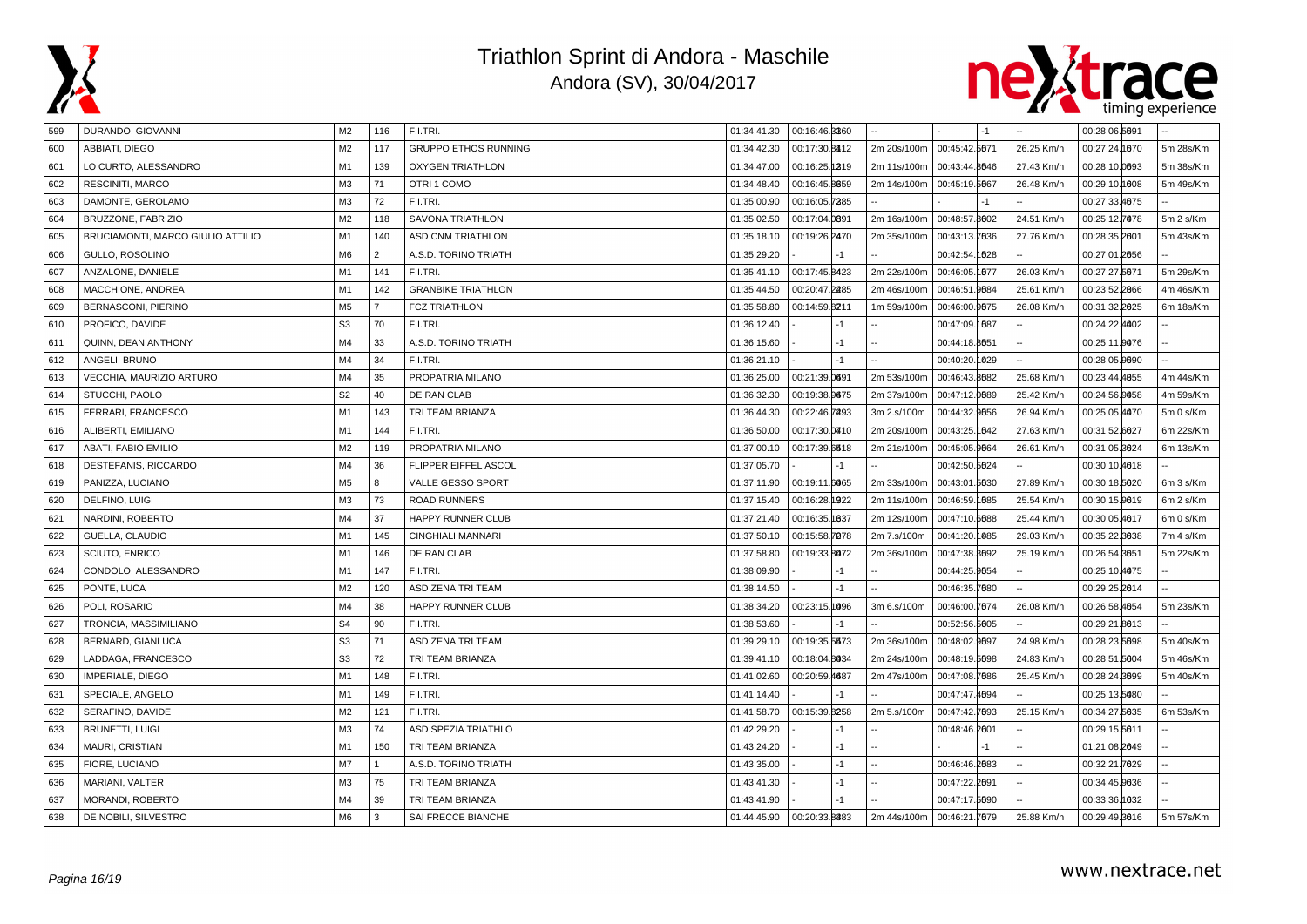



| 599 | DURANDO, GIOVANNI                 | M2             | 116            | F.I.TRI.                    | 01:34:41.30 | 00:16:46.3360 |      |                           |               | $-1$ |            | 00:28:06.5691 |           |
|-----|-----------------------------------|----------------|----------------|-----------------------------|-------------|---------------|------|---------------------------|---------------|------|------------|---------------|-----------|
| 600 | ABBIATI, DIEGO                    | M <sub>2</sub> | 117            | <b>GRUPPO ETHOS RUNNING</b> | 01:34:42.30 | 00:17:30.8412 |      | 2m 20s/100m               | 00:45:42.5671 |      | 26.25 Km/h | 00:27:24.1070 | 5m 28s/Km |
| 601 | LO CURTO, ALESSANDRO              | M1             | 139            | <b>OXYGEN TRIATHLON</b>     | 01:34:47.00 | 00:16:25.1319 |      | 2m 11s/100m               | 00:43:44.8646 |      | 27.43 Km/h | 00:28:10.0093 | 5m 38s/Km |
| 602 | RESCINITI, MARCO                  | M <sub>3</sub> | 71             | OTRI 1 COMO                 | 01:34:48.40 | 00:16:45.8859 |      | 2m 14s/100m               | 00:45:19.5667 |      | 26.48 Km/h | 00:29:10.1008 | 5m 49s/Km |
| 603 | DAMONTE, GEROLAMO                 | M3             | 72             | F.I.TRI.                    | 01:35:00.90 | 00:16:05.7285 |      |                           |               | $-1$ |            | 00:27:33.4675 |           |
| 604 | BRUZZONE, FABRIZIO                | M <sub>2</sub> | 118            | SAVONA TRIATHLON            | 01:35:02.50 | 00:17:04.0891 |      | 2m 16s/100m               | 00:48:57.8002 |      | 24.51 Km/h | 00:25:12.7078 | 5m 2 s/Km |
| 605 | BRUCIAMONTI, MARCO GIULIO ATTILIO | M1             | 140            | <b>ASD CNM TRIATHLON</b>    | 01:35:18.10 | 00:19:26.2470 |      | 2m 35s/100m               | 00:43:13.7636 |      | 27.76 Km/h | 00:28:35.2001 | 5m 43s/Km |
| 606 | GULLO, ROSOLINO                   | M <sub>6</sub> | $\overline{2}$ | A.S.D. TORINO TRIATH        | 01:35:29.20 |               | $-1$ |                           | 00:42:54.1028 |      |            | 00:27:01.2056 |           |
| 607 | ANZALONE, DANIELE                 | M <sub>1</sub> | 141            | F.I.TRI.                    | 01:35:41.10 | 00:17:45.8423 |      | 2m 22s/100m               | 00:46:05.1677 |      | 26.03 Km/h | 00:27:27.5671 | 5m 29s/Km |
| 608 | MACCHIONE, ANDREA                 | M <sub>1</sub> | 142            | <b>GRANBIKE TRIATHLON</b>   | 01:35:44.50 | 00:20:47.2285 |      | 2m 46s/100m               | 00:46:51.9684 |      | 25.61 Km/h | 00:23:52.2066 | 4m 46s/Km |
| 609 | BERNASCONI, PIERINO               | M <sub>5</sub> | $\overline{7}$ | <b>FCZ TRIATHLON</b>        | 01:35:58.80 | 00:14:59.8211 |      | 1m 59s/100m               | 00:46:00.9675 |      | 26.08 Km/h | 00:31:32.2025 | 6m 18s/Km |
| 610 | PROFICO, DAVIDE                   | S <sub>3</sub> | 70             | F.I.TRI.                    | 01:36:12.40 |               | $-1$ |                           | 00:47:09.1687 |      |            | 00:24:22.4002 |           |
| 611 | QUINN, DEAN ANTHONY               | M4             | 33             | A.S.D. TORINO TRIATH        | 01:36:15.60 |               | $-1$ |                           | 00:44:18.8051 |      |            | 00:25:11.0076 |           |
| 612 | ANGELI, BRUNO                     | M4             | 34             | F.I.TRI.                    | 01:36:21.10 |               | $-1$ |                           | 00:40:20.1029 |      |            | 00:28:05.0090 |           |
| 613 | VECCHIA, MAURIZIO ARTURO          | M4             | 35             | PROPATRIA MILANO            | 01:36:25.00 | 00:21:39.0691 |      | 2m 53s/100m               | 00:46:43.8682 |      | 25.68 Km/h | 00:23:44.4055 | 4m 44s/Km |
| 614 | STUCCHI, PAOLO                    | S <sub>2</sub> | 40             | DE RAN CLAB                 | 01:36:32.30 | 00:19:38.9675 |      | 2m 37s/100m               | 00:47:12.0089 |      | 25.42 Km/h | 00:24:56.9058 | 4m 59s/Km |
| 615 | FERRARI, FRANCESCO                | M <sub>1</sub> | 143            | TRI TEAM BRIANZA            | 01:36:44.30 | 00:22:46.7293 |      | 3m 2.s/100m               | 00:44:32.9656 |      | 26.94 Km/h | 00:25:05.4070 | 5m 0 s/Km |
| 616 | ALIBERTI, EMILIANO                | M <sub>1</sub> | 144            | F.I.TRI.                    | 01:36:50.00 | 00:17:30.0410 |      | 2m 20s/100m               | 00:43:25.1642 |      | 27.63 Km/h | 00:31:52.6627 | 6m 22s/Km |
| 617 | ABATI, FABIO EMILIO               | M <sub>2</sub> | 119            | PROPATRIA MILANO            | 01:37:00.10 | 00:17:39.6618 |      | 2m 21s/100m               | 00:45:05.9664 |      | 26.61 Km/h | 00:31:05.3624 | 6m 13s/Km |
| 618 | DESTEFANIS, RICCARDO              | M4             | 36             | FLIPPER EIFFEL ASCOL        | 01:37:05.70 |               | $-1$ |                           | 00:42:50.5624 |      |            | 00:30:10.4018 |           |
| 619 | PANIZZA, LUCIANO                  | M <sub>5</sub> | 8              | VALLE GESSO SPORT           | 01:37:11.90 | 00:19:11.6065 |      | 2m 33s/100m               | 00:43:01.5630 |      | 27.89 Km/h | 00:30:18.5020 | 6m 3 s/Km |
| 620 | DELFINO, LUIGI                    | M <sub>3</sub> | 73             | <b>ROAD RUNNERS</b>         | 01:37:15.40 | 00:16:28.1922 |      | 2m 11s/100m               | 00:46:59.1685 |      | 25.54 Km/h | 00:30:15.0019 | 6m 2 s/Km |
| 621 | NARDINI, ROBERTO                  | M4             | 37             | HAPPY RUNNER CLUB           | 01:37:21.40 | 00:16:35.1837 |      | 2m 12s/100m               | 00:47:10.6688 |      | 25.44 Km/h | 00:30:05.4617 | 6m 0 s/Km |
| 622 | GUELLA, CLAUDIO                   | M1             | 145            | <b>CINGHIALI MANNARI</b>    | 01:37:50.10 | 00:15:58.7078 |      | 2m 7.s/100m               | 00:41:20.1085 |      | 29.03 Km/h | 00:35:22.8038 | 7m 4 s/Km |
| 623 | SCIUTO, ENRICO                    | M1             | 146            | DE RAN CLAB                 | 01:37:58.80 | 00:19:33.8072 |      | 2m 36s/100m               | 00:47:38.8092 |      | 25.19 Km/h | 00:26:54.8651 | 5m 22s/Km |
| 624 | CONDOLO, ALESSANDRO               | M <sub>1</sub> | 147            | F.I.TRI.                    | 01:38:09.90 |               | $-1$ |                           | 00:44:25.9654 |      |            | 00:25:10.4075 |           |
| 625 | PONTE, LUCA                       | M <sub>2</sub> | 120            | ASD ZENA TRI TEAM           | 01:38:14.50 |               | $-1$ |                           | 00:46:35.7680 |      |            | 00:29:25.2014 |           |
| 626 | POLI, ROSARIO                     | M4             | 38             | HAPPY RUNNER CLUB           | 01:38:34.20 | 00:23:15.1096 |      | 3m 6.s/100m               | 00:46:00.7674 |      | 26.08 Km/h | 00:26:58.4654 | 5m 23s/Km |
| 627 | TRONCIA, MASSIMILIANO             | S <sub>4</sub> | 90             | F.I.TRI.                    | 01:38:53.60 |               | $-1$ |                           | 00:52:56.5005 |      |            | 00:29:21.8013 |           |
| 628 | BERNARD, GIANLUCA                 | S <sub>3</sub> | 71             | ASD ZENA TRI TEAM           | 01:39:29.10 | 00:19:35.5673 |      | 2m 36s/100m               | 00:48:02.9697 |      | 24.98 Km/h | 00:28:23.5698 | 5m 40s/Km |
| 629 | LADDAGA, FRANCESCO                | S <sub>3</sub> | 72             | TRI TEAM BRIANZA            | 01:39:41.10 | 00:18:04.8034 |      | 2m 24s/100m               | 00:48:19.5698 |      | 24.83 Km/h | 00:28:51.5604 | 5m 46s/Km |
| 630 | IMPERIALE, DIEGO                  | M1             | 148            | F.I.TRI.                    | 01:41:02.60 | 00:20:59.4687 |      | 2m 47s/100m               | 00:47:08.7686 |      | 25.45 Km/h | 00:28:24.8699 | 5m 40s/Km |
| 631 | SPECIALE, ANGELO                  | M1             | 149            | F.I.TRI.                    | 01:41:14.40 |               | $-1$ |                           | 00:47:47.4694 |      |            | 00:25:13.5080 |           |
| 632 | SERAFINO, DAVIDE                  | M <sub>2</sub> | 121            | F.I.TRI.                    | 01:41:58.70 | 00:15:39.8258 |      | 2m 5.s/100m               | 00:47:42.7693 |      | 25.15 Km/h | 00:34:27.5635 | 6m 53s/Km |
| 633 | <b>BRUNETTI, LUIGI</b>            | M <sub>3</sub> | 74             | <b>ASD SPEZIA TRIATHLO</b>  | 01:42:29.20 |               | $-1$ |                           | 00:48:46.2001 |      |            | 00:29:15.5611 |           |
| 634 | MAURI, CRISTIAN                   | M1             | 150            | TRI TEAM BRIANZA            | 01:43:24.20 |               | $-1$ |                           |               | $-1$ |            | 01:21:08.2049 |           |
| 635 | FIORE, LUCIANO                    | M <sub>7</sub> |                | A.S.D. TORINO TRIATH        | 01:43:35.00 |               | $-1$ |                           | 00:46:46.2083 |      |            | 00:32:21.7029 |           |
| 636 | MARIANI, VALTER                   | M <sub>3</sub> | 75             | TRI TEAM BRIANZA            | 01:43:41.30 |               | $-1$ |                           | 00:47:22.2091 |      |            | 00:34:45.0036 |           |
| 637 | MORANDI, ROBERTO                  | M4             | 39             | TRI TEAM BRIANZA            | 01:43:41.90 |               |      |                           | 00:47:17.5690 |      |            | 00:33:36.1032 |           |
| 638 | DE NOBILI, SILVESTRO              | M <sub>6</sub> | 3              | SAI FRECCE BIANCHE          | 01:44:45.90 | 00:20:33.8383 |      | 2m 44s/100m 00:46:21.7679 |               |      | 25.88 Km/h | 00:29:49.8016 | 5m 57s/Km |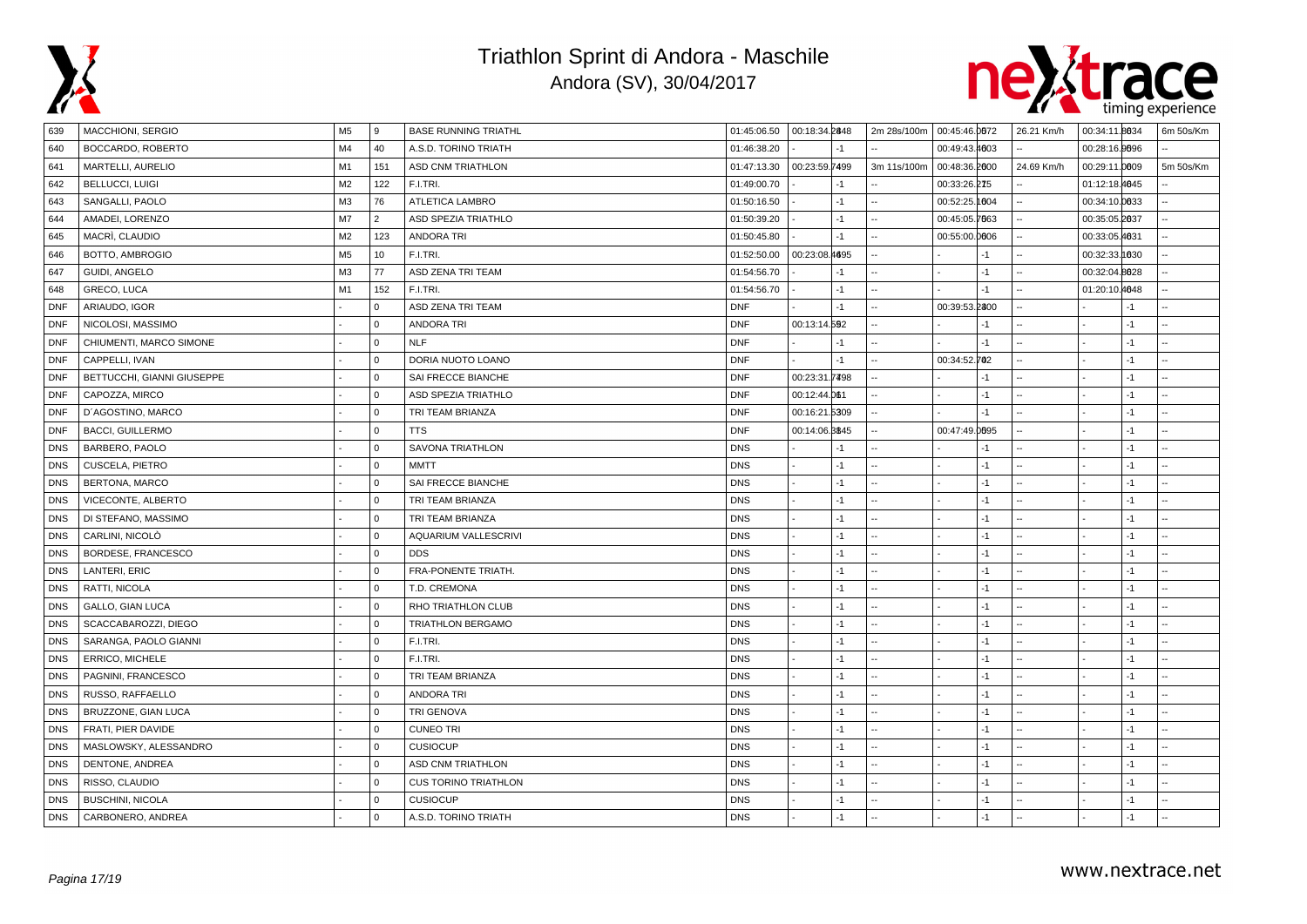



| 639        | MACCHIONI, SERGIO          | M <sub>5</sub> | 9              | <b>BASE RUNNING TRIATHL</b> | 01:45:06.50  00:18:34.2848 |               |       | 2m 28s/100m 00:45:46.0072 |               |      | 26.21 Km/h | 00:34:11.8634 |      | 6m 50s/Km      |
|------------|----------------------------|----------------|----------------|-----------------------------|----------------------------|---------------|-------|---------------------------|---------------|------|------------|---------------|------|----------------|
| 640        | BOCCARDO, ROBERTO          | M4             | 40             | A.S.D. TORINO TRIATH        | 01:46:38.20                |               | $-1$  |                           | 00:49:43.4003 |      |            | 00:28:16.0096 |      |                |
| 641        | MARTELLI, AURELIO          | M1             | 151            | <b>ASD CNM TRIATHLON</b>    | 01:47:13.30                | 00:23:59.7499 |       | 3m 11s/100m               | 00:48:36.2000 |      | 24.69 Km/h | 00:29:11.0009 |      | 5m 50s/Km      |
| 642        | <b>BELLUCCI, LUIGI</b>     | M <sub>2</sub> | 122            | F.I.TRI.                    | 01:49:00.70                |               | $-1$  |                           | 00:33:26.275  |      |            | 01:12:18.4645 |      |                |
| 643        | SANGALLI, PAOLO            | M <sub>3</sub> | 76             | ATLETICA LAMBRO             | 01:50:16.50                |               | $-1$  |                           | 00:52:25.1004 |      |            | 00:34:10.0033 |      |                |
| 644        | AMADEI, LORENZO            | M7             | $\overline{2}$ | ASD SPEZIA TRIATHLO         | 01:50:39.20                |               | -1    |                           | 00:45:05.7663 |      |            | 00:35:05.2037 |      | Ξ.             |
| 645        | MACRÌ, CLAUDIO             | M <sub>2</sub> | 123            | <b>ANDORA TRI</b>           | 01:50:45.80                |               | -1    |                           | 00:55:00.0006 |      |            | 00:33:05.4631 |      |                |
| 646        | BOTTO, AMBROGIO            | M <sub>5</sub> | 10             | F.I.TRI.                    | 01:52:50.00                | 00:23:08.4695 |       |                           |               | -1   |            | 00:32:33.1830 |      | ÷.             |
| 647        | <b>GUIDI, ANGELO</b>       | M <sub>3</sub> | 77             | ASD ZENA TRI TEAM           | 01:54:56.70                |               | -1    |                           |               | $-1$ |            | 00:32:04.8028 |      |                |
| 648        | GRECO, LUCA                | M1             | 152            | F.I.TRI.                    | 01:54:56.70                |               | $-1$  |                           |               | $-1$ |            | 01:20:10.4048 |      | $\overline{a}$ |
| <b>DNF</b> | ARIAUDO, IGOR              |                | $\mathbf 0$    | ASD ZENA TRI TEAM           | <b>DNF</b>                 |               | -1    |                           | 00:39:53.2800 |      |            |               | $-1$ |                |
| <b>DNF</b> | NICOLOSI, MASSIMO          |                | $\mathbf 0$    | <b>ANDORA TRI</b>           | <b>DNF</b>                 | 00:13:14.592  |       |                           |               | $-1$ |            |               | $-1$ |                |
| <b>DNF</b> | CHIUMENTI, MARCO SIMONE    |                | $\mathbf 0$    | <b>NLF</b>                  | <b>DNF</b>                 |               | -1    |                           |               | -1   |            |               | $-1$ |                |
| <b>DNF</b> | CAPPELLI, IVAN             |                | $\mathbf{0}$   | DORIA NUOTO LOANO           | <b>DNF</b>                 |               | $-1$  |                           | 00:34:52.702  |      |            |               | $-1$ |                |
| <b>DNF</b> | BETTUCCHI, GIANNI GIUSEPPE |                | $\mathbf 0$    | SAI FRECCE BIANCHE          | <b>DNF</b>                 | 00:23:31      | .7498 |                           |               | $-1$ |            |               | $-1$ |                |
| <b>DNF</b> | CAPOZZA, MIRCO             |                | $\mathbf 0$    | ASD SPEZIA TRIATHLO         | <b>DNF</b>                 | 00:12:44.061  |       |                           |               | $-1$ |            |               | $-1$ |                |
| <b>DNF</b> | D'AGOSTINO, MARCO          |                | $\mathbf 0$    | TRI TEAM BRIANZA            | <b>DNF</b>                 | 00:16:21.5309 |       |                           |               | $-1$ |            |               | $-1$ |                |
| <b>DNF</b> | <b>BACCI, GUILLERMO</b>    |                | $\mathbf{0}$   | <b>TTS</b>                  | <b>DNF</b>                 | 00:14:06.8845 |       |                           | 00:47:49.0095 |      |            |               | $-1$ |                |
| <b>DNS</b> | BARBERO, PAOLO             |                | $\mathbf 0$    | <b>SAVONA TRIATHLON</b>     | <b>DNS</b>                 |               | -1    |                           |               | $-1$ |            |               | $-1$ |                |
| DNS        | CUSCELA, PIETRO            |                | $\mathbf 0$    | <b>MMTT</b>                 | <b>DNS</b>                 |               | $-1$  |                           |               | $-1$ |            |               | $-1$ |                |
| <b>DNS</b> | BERTONA, MARCO             |                | $\mathbf 0$    | SAI FRECCE BIANCHE          | <b>DNS</b>                 |               | -1    |                           |               | -1   |            |               | $-1$ |                |
| <b>DNS</b> | VICECONTE, ALBERTO         |                | $\mathbf{0}$   | TRI TEAM BRIANZA            | <b>DNS</b>                 |               | $-1$  |                           |               | $-1$ |            |               | $-1$ |                |
| <b>DNS</b> | DI STEFANO, MASSIMO        |                | $\mathbf 0$    | TRI TEAM BRIANZA            | <b>DNS</b>                 |               | -1    |                           |               | $-1$ |            |               | $-1$ |                |
| <b>DNS</b> | CARLINI, NICOLÒ            |                | $\mathbf 0$    | AQUARIUM VALLESCRIVI        | <b>DNS</b>                 |               | $-1$  |                           |               | $-1$ |            |               | $-1$ |                |
| <b>DNS</b> | BORDESE, FRANCESCO         |                | $\mathbf 0$    | <b>DDS</b>                  | <b>DNS</b>                 |               | $-1$  |                           |               | $-1$ |            |               | $-1$ |                |
| <b>DNS</b> | LANTERI, ERIC              |                | $\mathbf 0$    | FRA-PONENTE TRIATH.         | <b>DNS</b>                 |               | $-1$  |                           |               | $-1$ |            |               | $-1$ |                |
| <b>DNS</b> | RATTI, NICOLA              |                | $\mathbf 0$    | T.D. CREMONA                | <b>DNS</b>                 |               | -1    |                           |               | $-1$ |            |               | $-1$ |                |
| <b>DNS</b> | <b>GALLO, GIAN LUCA</b>    |                | $\mathbf 0$    | RHO TRIATHLON CLUB          | <b>DNS</b>                 |               | $-1$  |                           |               | $-1$ |            |               | $-1$ |                |
| <b>DNS</b> | SCACCABAROZZI, DIEGO       |                | $\mathbf 0$    | <b>TRIATHLON BERGAMO</b>    | <b>DNS</b>                 |               | $-1$  |                           |               | -1   |            |               | $-1$ |                |
| <b>DNS</b> | SARANGA, PAOLO GIANNI      |                | $\Omega$       | F.I.TRI.                    | <b>DNS</b>                 |               | $-1$  |                           |               | $-1$ |            |               | $-1$ |                |
| <b>DNS</b> | ERRICO, MICHELE            |                | $\mathbf 0$    | F.I.TRI.                    | <b>DNS</b>                 |               | -1    |                           |               | $-1$ |            |               | $-1$ |                |
| <b>DNS</b> | PAGNINI, FRANCESCO         |                | $\mathbf 0$    | TRI TEAM BRIANZA            | <b>DNS</b>                 |               | $-1$  |                           |               | $-1$ |            |               | $-1$ |                |
| <b>DNS</b> | RUSSO, RAFFAELLO           |                | $\mathbf 0$    | <b>ANDORA TRI</b>           | <b>DNS</b>                 |               | $-1$  |                           |               | -1   |            |               | $-1$ |                |
| <b>DNS</b> | BRUZZONE, GIAN LUCA        |                | $\Omega$       | <b>TRI GENOVA</b>           | <b>DNS</b>                 |               | $-1$  |                           |               | $-1$ |            |               | $-1$ |                |
| <b>DNS</b> | FRATI, PIER DAVIDE         |                | $\mathbf 0$    | <b>CUNEO TRI</b>            | <b>DNS</b>                 |               | $-1$  |                           |               | $-1$ |            |               | $-1$ |                |
| <b>DNS</b> | MASLOWSKY, ALESSANDRO      |                | $\mathbf 0$    | <b>CUSIOCUP</b>             | <b>DNS</b>                 |               | $-1$  |                           |               | -1   |            |               | $-1$ |                |
| <b>DNS</b> | DENTONE, ANDREA            |                | $\mathbf 0$    | <b>ASD CNM TRIATHLON</b>    | <b>DNS</b>                 |               | $-1$  |                           |               | -1   |            |               | $-1$ |                |
| <b>DNS</b> | RISSO, CLAUDIO             |                | $\mathbf{0}$   | <b>CUS TORINO TRIATHLON</b> | <b>DNS</b>                 |               | $-1$  |                           |               | -1   |            |               | $-1$ |                |
| <b>DNS</b> | <b>BUSCHINI, NICOLA</b>    |                | $\mathbf 0$    | <b>CUSIOCUP</b>             | <b>DNS</b>                 |               | $-1$  |                           |               | -1   |            |               | $-1$ | щ,             |
| <b>DNS</b> | CARBONERO, ANDREA          |                | $\Omega$       | A.S.D. TORINO TRIATH        | <b>DNS</b>                 |               | $-1$  |                           |               | $-1$ |            |               | $-1$ |                |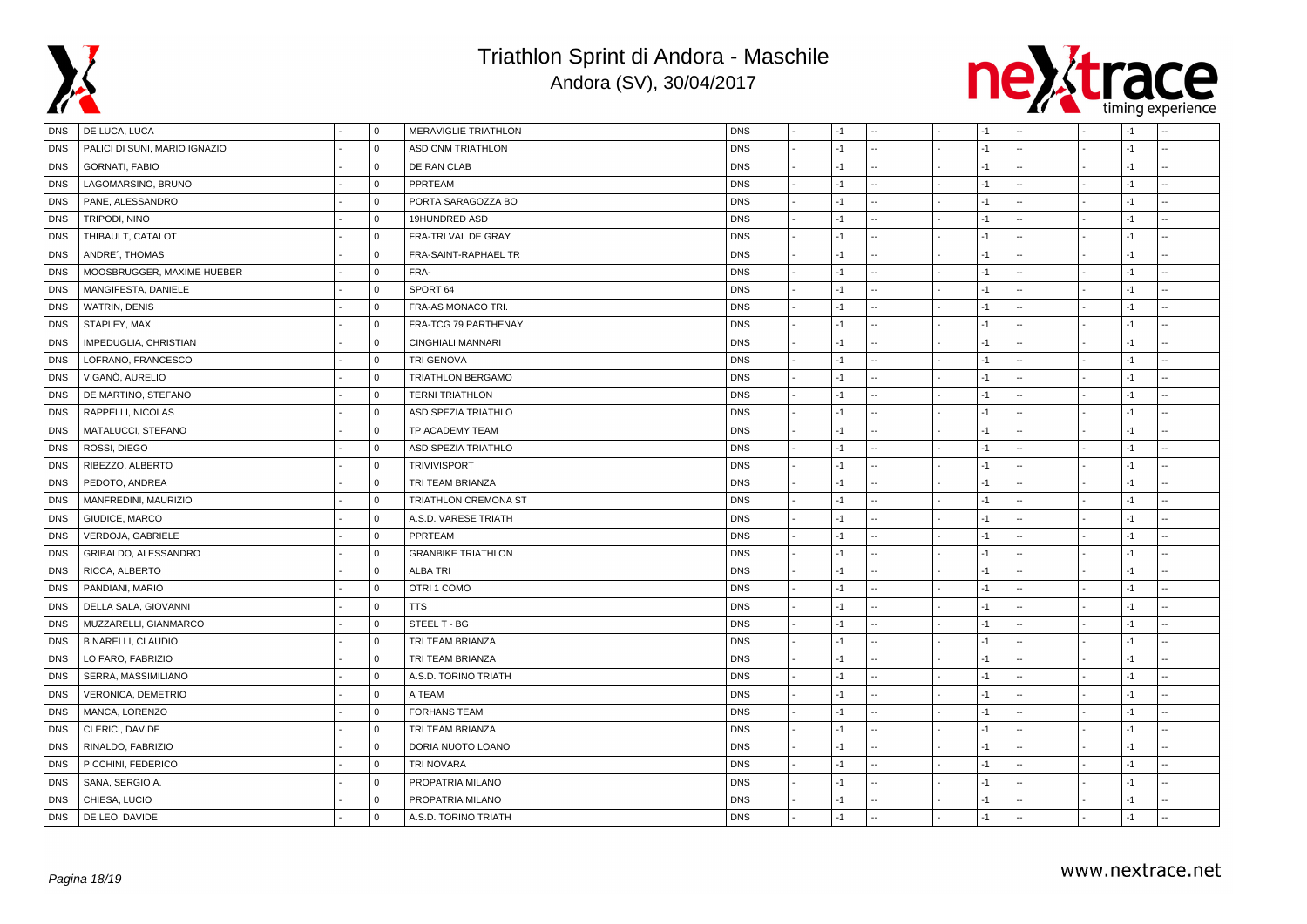



| DNS        | DE LUCA, LUCA                 | $\mathbf 0$  | MERAVIGLIE TRIATHLON      | <b>DNS</b> | $-1$ |  | -1   |  | $-1$ |  |
|------------|-------------------------------|--------------|---------------------------|------------|------|--|------|--|------|--|
| <b>DNS</b> | PALICI DI SUNI, MARIO IGNAZIO | $\mathbf 0$  | ASD CNM TRIATHLON         | <b>DNS</b> | -1   |  | $-1$ |  | $-1$ |  |
| <b>DNS</b> | <b>GORNATI, FABIO</b>         | $\Omega$     | DE RAN CLAB               | <b>DNS</b> | $-1$ |  | $-1$ |  | $-1$ |  |
| <b>DNS</b> | LAGOMARSINO, BRUNO            | $\mathbf 0$  | PPRTEAM                   | <b>DNS</b> | $-1$ |  | -1   |  | $-1$ |  |
| <b>DNS</b> | PANE, ALESSANDRO              | $\Omega$     | PORTA SARAGOZZA BO        | <b>DNS</b> | $-1$ |  | -1   |  | $-1$ |  |
| <b>DNS</b> | TRIPODI, NINO                 | $\mathbf 0$  | 19HUNDRED ASD             | <b>DNS</b> | $-1$ |  | $-1$ |  | $-1$ |  |
| <b>DNS</b> | THIBAULT, CATALOT             | $\mathbf 0$  | FRA-TRI VAL DE GRAY       | <b>DNS</b> | $-1$ |  | -1   |  | $-1$ |  |
| <b>DNS</b> | ANDRE', THOMAS                | $\mathbf 0$  | FRA-SAINT-RAPHAEL TR      | <b>DNS</b> | $-1$ |  | -1   |  | $-1$ |  |
| <b>DNS</b> | MOOSBRUGGER, MAXIME HUEBER    | $\mathbf 0$  | FRA-                      | <b>DNS</b> | $-1$ |  | -1   |  | $-1$ |  |
| <b>DNS</b> | MANGIFESTA, DANIELE           | $\mathbf 0$  | SPORT 64                  | <b>DNS</b> | $-1$ |  | $-1$ |  | $-1$ |  |
| <b>DNS</b> | WATRIN, DENIS                 | $\Omega$     | FRA-AS MONACO TRI.        | <b>DNS</b> | $-1$ |  | $-1$ |  | $-1$ |  |
| <b>DNS</b> | STAPLEY, MAX                  | $\mathbf 0$  | FRA-TCG 79 PARTHENAY      | <b>DNS</b> | $-1$ |  | -1   |  | $-1$ |  |
| <b>DNS</b> | IMPEDUGLIA, CHRISTIAN         | $\mathbf 0$  | CINGHIALI MANNARI         | <b>DNS</b> | $-1$ |  | -1   |  | $-1$ |  |
| <b>DNS</b> | LOFRANO, FRANCESCO            | $\mathbf 0$  | <b>TRI GENOVA</b>         | <b>DNS</b> | -1   |  | -1   |  | $-1$ |  |
| <b>DNS</b> | VIGANÒ, AURELIO               | $\mathbf 0$  | <b>TRIATHLON BERGAMO</b>  | <b>DNS</b> | $-1$ |  | -1   |  | $-1$ |  |
| <b>DNS</b> | DE MARTINO, STEFANO           | $\mathbf 0$  | <b>TERNI TRIATHLON</b>    | <b>DNS</b> | $-1$ |  | $-1$ |  | $-1$ |  |
| <b>DNS</b> | RAPPELLI, NICOLAS             | $\mathbf 0$  | ASD SPEZIA TRIATHLO       | <b>DNS</b> | $-1$ |  | $-1$ |  | $-1$ |  |
| <b>DNS</b> | MATALUCCI, STEFANO            | $\mathbf 0$  | TP ACADEMY TEAM           | <b>DNS</b> | -1   |  | -1   |  | $-1$ |  |
| <b>DNS</b> | ROSSI, DIEGO                  | $\Omega$     | ASD SPEZIA TRIATHLO       | <b>DNS</b> | $-1$ |  | $-1$ |  | $-1$ |  |
| <b>DNS</b> | RIBEZZO, ALBERTO              | $\mathbf 0$  | <b>TRIVIVISPORT</b>       | <b>DNS</b> | $-1$ |  | -1   |  | $-1$ |  |
| <b>DNS</b> | PEDOTO, ANDREA                | $\mathbf 0$  | TRI TEAM BRIANZA          | <b>DNS</b> | $-1$ |  | -1   |  | $-1$ |  |
| <b>DNS</b> | MANFREDINI, MAURIZIO          | $\mathbf{0}$ | TRIATHLON CREMONA ST      | <b>DNS</b> | $-1$ |  | $-1$ |  | $-1$ |  |
| <b>DNS</b> | GIUDICE, MARCO                | $\mathbf{0}$ | A.S.D. VARESE TRIATH      | <b>DNS</b> | $-1$ |  | $-1$ |  | $-1$ |  |
| <b>DNS</b> | VERDOJA, GABRIELE             | $\mathbf 0$  | PPRTEAM                   | <b>DNS</b> | $-1$ |  | -1   |  | $-1$ |  |
| <b>DNS</b> | GRIBALDO, ALESSANDRO          | $\mathbf 0$  | <b>GRANBIKE TRIATHLON</b> | <b>DNS</b> | $-1$ |  | -1   |  | $-1$ |  |
| <b>DNS</b> | RICCA, ALBERTO                | $\mathbf 0$  | <b>ALBA TRI</b>           | <b>DNS</b> | $-1$ |  | $-1$ |  | $-1$ |  |
| <b>DNS</b> | PANDIANI, MARIO               | $\mathbf{0}$ | OTRI 1 COMO               | <b>DNS</b> | -1   |  | $-1$ |  | $-1$ |  |
| <b>DNS</b> | DELLA SALA, GIOVANNI          | $\mathbf 0$  | <b>TTS</b>                | <b>DNS</b> | $-1$ |  | $-1$ |  | $-1$ |  |
| <b>DNS</b> | MUZZARELLI, GIANMARCO         | $\mathbf 0$  | STEEL T - BG              | <b>DNS</b> | $-1$ |  | -1   |  | $-1$ |  |
| <b>DNS</b> | BINARELLI, CLAUDIO            | $\mathbf 0$  | TRI TEAM BRIANZA          | <b>DNS</b> | $-1$ |  | -1   |  | $-1$ |  |
| <b>DNS</b> | LO FARO, FABRIZIO             | $\mathbf 0$  | TRI TEAM BRIANZA          | <b>DNS</b> | -1   |  | -1   |  | $-1$ |  |
| <b>DNS</b> | SERRA, MASSIMILIANO           | $\mathbf 0$  | A.S.D. TORINO TRIATH      | <b>DNS</b> | $-1$ |  | $-1$ |  | $-1$ |  |
| <b>DNS</b> | VERONICA, DEMETRIO            | $\mathbf 0$  | A TEAM                    | <b>DNS</b> | $-1$ |  | -1   |  | $-1$ |  |
| <b>DNS</b> | MANCA, LORENZO                | $\Omega$     | <b>FORHANS TEAM</b>       | <b>DNS</b> | $-1$ |  | $-1$ |  | $-1$ |  |
| <b>DNS</b> | CLERICI, DAVIDE               | $\mathsf 0$  | TRI TEAM BRIANZA          | <b>DNS</b> | $-1$ |  | $-1$ |  | $-1$ |  |
| <b>DNS</b> | RINALDO, FABRIZIO             | $\Omega$     | DORIA NUOTO LOANO         | <b>DNS</b> | $-1$ |  | -1   |  | $-1$ |  |
| <b>DNS</b> | PICCHINI, FEDERICO            | $\mathbf 0$  | <b>TRI NOVARA</b>         | <b>DNS</b> | $-1$ |  | -1   |  | $-1$ |  |
| <b>DNS</b> | SANA, SERGIO A.               | $\mathbf 0$  | PROPATRIA MILANO          | <b>DNS</b> | $-1$ |  | -1   |  | $-1$ |  |
| <b>DNS</b> | CHIESA, LUCIO                 | $\mathbf 0$  | PROPATRIA MILANO          | <b>DNS</b> | -1   |  | -1   |  | $-1$ |  |
| <b>DNS</b> | DE LEO, DAVIDE                | $\Omega$     | A.S.D. TORINO TRIATH      | <b>DNS</b> | $-1$ |  | $-1$ |  | $-1$ |  |